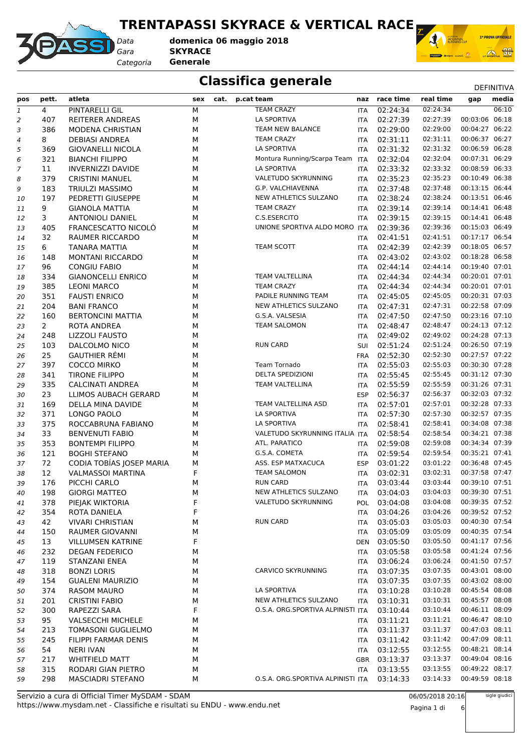#### **TRENTAPASSI SKYRACE & VERTICAL RACE**



*Gara* **SKYRACE** *Categoria* **Generale domenica 06 maggio 2018**



#### **Classifica generale** Definitival DEFINITIVA

| pos              | pett.          | atleta                                     | sex | cat. | p.cat team                        |            | naz race time | real time                 | gap            | media |
|------------------|----------------|--------------------------------------------|-----|------|-----------------------------------|------------|---------------|---------------------------|----------------|-------|
| $\mathbf{1}$     | 4              | PINTARELLI GIL                             | М   |      | <b>TEAM CRAZY</b>                 | <b>ITA</b> | 02:24:34      | 02:24:34                  |                | 06:10 |
| $\overline{2}$   | 407            | <b>REITERER ANDREAS</b>                    | M   |      | LA SPORTIVA                       | <b>ITA</b> | 02:27:39      | 02:27:39                  | 00:03:06 06:18 |       |
| 3                | 386            | MODENA CHRISTIAN                           | М   |      | TEAM NEW BALANCE                  | <b>ITA</b> | 02:29:00      | 02:29:00                  | 00:04:27 06:22 |       |
| $\boldsymbol{4}$ | 8              | <b>DEBIASI ANDREA</b>                      | М   |      | <b>TEAM CRAZY</b>                 | <b>ITA</b> | 02:31:11      | 02:31:11                  | 00:06:37 06:27 |       |
| 5                | 369            | <b>GIOVANELLI NICOLA</b>                   | M   |      | <b>LA SPORTIVA</b>                | <b>ITA</b> | 02:31:32      | 02:31:32                  | 00:06:59 06:28 |       |
| 6                | 321            | <b>BIANCHI FILIPPO</b>                     | M   |      | Montura Running/Scarpa Team ITA   |            | 02:32:04      | 02:32:04                  | 00:07:31 06:29 |       |
| 7                | 11             | <b>INVERNIZZI DAVIDE</b>                   | M   |      | <b>LA SPORTIVA</b>                | <b>ITA</b> | 02:33:32      | 02:33:32                  | 00:08:59 06:33 |       |
| 8                | 379            | <b>CRISTINI MANUEL</b>                     | M   |      | VALETUDO SKYRUNNING               | <b>ITA</b> | 02:35:23      | 02:35:23                  | 00:10:49 06:38 |       |
| 9                | 183            | <b>TRIULZI MASSIMO</b>                     | M   |      | G.P. VALCHIAVENNA                 | <b>ITA</b> | 02:37:48      | 02:37:48                  | 00:13:15 06:44 |       |
| 10               | 197            | PEDRETTI GIUSEPPE                          | М   |      | NEW ATHLETICS SULZANO             | <b>ITA</b> | 02:38:24      | 02:38:24                  | 00:13:51 06:46 |       |
| 11               | 9              | <b>GIANOLA MATTIA</b>                      | M   |      | <b>TEAM CRAZY</b>                 | <b>ITA</b> | 02:39:14      | 02:39:14                  | 00:14:41 06:48 |       |
| 12               | 3              | <b>ANTONIOLI DANIEL</b>                    | M   |      | C.S.ESERCITO                      | ITA        | 02:39:15      | 02:39:15                  | 00:14:41 06:48 |       |
| 13               | 405            | FRANCESCATTO NICOLÒ                        | М   |      | UNIONE SPORTIVA ALDO MORO ITA     |            | 02:39:36      | 02:39:36                  | 00:15:03 06:49 |       |
| 14               | 32             | RAUMER RICCARDO                            | M   |      |                                   | ITA        | 02:41:51      | 02:41:51                  | 00:17:17 06:54 |       |
| 15               | 6              | <b>TANARA MATTIA</b>                       | М   |      | TEAM SCOTT                        | ITA        | 02:42:39      | 02:42:39                  | 00:18:05 06:57 |       |
|                  | 148            | MONTANI RICCARDO                           | M   |      |                                   | <b>ITA</b> | 02:43:02      | 02:43:02                  | 00:18:28 06:58 |       |
| 16<br>17         | 96             | <b>CONGIU FABIO</b>                        | M   |      |                                   | <b>ITA</b> | 02:44:14      | 02:44:14                  | 00:19:40 07:01 |       |
|                  | 334            | <b>GIANONCELLI ENRICO</b>                  | M   |      | TEAM VALTELLINA                   | ITA        | 02:44:34      | 02:44:34                  | 00:20:01 07:01 |       |
| 18               | 385            | <b>LEONI MARCO</b>                         | M   |      | <b>TEAM CRAZY</b>                 |            | 02:44:34      | 02:44:34                  | 00:20:01 07:01 |       |
| 19               |                |                                            |     |      | PADILE RUNNING TEAM               | <b>ITA</b> |               | 02:45:05                  | 00:20:31 07:03 |       |
| 20               | 351            | <b>FAUSTI ENRICO</b><br><b>BANI FRANCO</b> | M   |      |                                   | <b>ITA</b> | 02:45:05      |                           | 00:22:58 07:09 |       |
| 21               | 204            |                                            | М   |      | NEW ATHLETICS SULZANO             | ITA        | 02:47:31      | 02:47:31                  | 00:23:16 07:10 |       |
| 22               | 160            | <b>BERTONCINI MATTIA</b>                   | М   |      | G.S.A. VALSESIA                   | <b>ITA</b> | 02:47:50      | 02:47:50                  |                |       |
| 23               | $\overline{2}$ | ROTA ANDREA                                | M   |      | <b>TEAM SALOMON</b>               | <b>ITA</b> | 02:48:47      | 02:48:47                  | 00:24:13 07:12 |       |
| 24               | 248            | LIZZOLI FAUSTO                             | M   |      |                                   | ITA        | 02:49:02      | 02:49:02                  | 00:24:28 07:13 |       |
| 25               | 103            | DALCOLMO NICO                              | M   |      | <b>RUN CARD</b>                   | SUI        | 02:51:24      | 02:51:24                  | 00:26:50 07:19 |       |
| 26               | 25             | <b>GAUTHIER RÉMI</b>                       | M   |      |                                   | <b>FRA</b> | 02:52:30      | 02:52:30                  | 00:27:57 07:22 |       |
| 27               | 397            | COCCO MIRKO                                | М   |      | Team Tornado                      | ITA        | 02:55:03      | 02:55:03                  | 00:30:30 07:28 |       |
| 28               | 341            | <b>TIRONE FILIPPO</b>                      | М   |      | <b>DELTA SPEDIZIONI</b>           | <b>ITA</b> | 02:55:45      | 02:55:45                  | 00:31:12 07:30 |       |
| 29               | 335            | <b>CALCINATI ANDREA</b>                    | M   |      | TEAM VALTELLINA                   | <b>ITA</b> | 02:55:59      | 02:55:59                  | 00:31:26 07:31 |       |
| 30               | 23             | LLIMOS AUBACH GERARD                       | M   |      |                                   | <b>ESP</b> | 02:56:37      | 02:56:37                  | 00:32:03 07:32 |       |
| 31               | 169            | DELLA MINA DAVIDE                          | M   |      | TEAM VALTELLINA ASD               | <b>ITA</b> | 02:57:01      | 02:57:01                  | 00:32:28 07:33 |       |
| 32               | 371            | LONGO PAOLO                                | M   |      | LA SPORTIVA                       | <b>ITA</b> | 02:57:30      | 02:57:30                  | 00:32:57 07:35 |       |
| 33               | 375            | ROCCABRUNA FABIANO                         | М   |      | LA SPORTIVA                       | ITA        | 02:58:41      | 02:58:41                  | 00:34:08 07:38 |       |
| 34               | 33             | <b>BENVENUTI FABIO</b>                     | M   |      | VALETUDO SKYRUNNING ITALIA ITA    |            | 02:58:54      | 02:58:54                  | 00:34:21 07:38 |       |
| 35               | 353            | <b>BONTEMPI FILIPPO</b>                    | M   |      | ATL. PARATICO                     | ITA        | 02:59:08      | 02:59:08                  | 00:34:34 07:39 |       |
| 36               | 121            | <b>BOGHI STEFANO</b>                       | M   |      | G.S.A. COMETA                     | ITA        | 02:59:54      | 02:59:54                  | 00:35:21 07:41 |       |
| 37               | 72             | CODIA TOBÍAS JOSEP MARIA                   | М   |      | ASS. ESP MATXACUCA                | <b>ESP</b> | 03:01:22      | 03:01:22                  | 00:36:48 07:45 |       |
| 38               | 12             | <b>VALMASSOI MARTINA</b>                   | F   |      | <b>TEAM SALOMON</b>               | <b>ITA</b> | 03:02:31      | 03:02:31                  | 00:37:58 07:47 |       |
| 39               | 176            | PICCHI CARLO                               | M   |      | <b>RUN CARD</b>                   | ITA        | 03:03:44      | 03:03:44                  | 00:39:10 07:51 |       |
| 40               | 198            | <b>GIORGI MATTEO</b>                       | М   |      | NEW ATHLETICS SULZANO             |            | ITA 03:04:03  | 03:04:03  00:39:30  07:51 |                |       |
| 41               | 378            | PIEJAK WIKTORIA                            | F   |      | VALETUDO SKYRUNNING               | <b>POL</b> | 03:04:08      | 03:04:08                  | 00:39:35 07:52 |       |
| 42               | 354            | ROTA DANIELA                               | F   |      |                                   | ITA        | 03:04:26      | 03:04:26                  | 00:39:52 07:52 |       |
| 43               | 42             | <b>VIVARI CHRISTIAN</b>                    | м   |      | <b>RUN CARD</b>                   | ITA        | 03:05:03      | 03:05:03                  | 00:40:30 07:54 |       |
| 44               | 150            | RAUMER GIOVANNI                            | М   |      |                                   | <b>ITA</b> | 03:05:09      | 03:05:09                  | 00:40:35 07:54 |       |
| 45               | 13             | <b>VILLUMSEN KATRINE</b>                   | F   |      |                                   | <b>DEN</b> | 03:05:50      | 03:05:50                  | 00:41:17 07:56 |       |
| 46               | 232            | <b>DEGAN FEDERICO</b>                      | М   |      |                                   | ITA        | 03:05:58      | 03:05:58                  | 00:41:24 07:56 |       |
| 47               | 119            | STANZANI ENEA                              | м   |      |                                   | ITA        | 03:06:24      | 03:06:24                  | 00:41:50 07:57 |       |
| 48               | 318            | <b>BONZI LORIS</b>                         | м   |      | <b>CARVICO SKYRUNNING</b>         | ITA        | 03:07:35      | 03:07:35                  | 00:43:01 08:00 |       |
| 49               | 154            | <b>GUALENI MAURIZIO</b>                    | М   |      |                                   | <b>ITA</b> | 03:07:35      | 03:07:35                  | 00:43:02 08:00 |       |
| 50               | 374            | <b>RASOM MAURO</b>                         | М   |      | LA SPORTIVA                       | ITA        | 03:10:28      | 03:10:28                  | 00:45:54 08:08 |       |
| 51               | 201            | <b>CRISTINI FABIO</b>                      | м   |      | NEW ATHLETICS SULZANO             | ITA        | 03:10:31      | 03:10:31                  | 00:45:57 08:08 |       |
| 52               | 300            | RAPEZZI SARA                               | F   |      | O.S.A. ORG.SPORTIVA ALPINISTI ITA |            | 03:10:44      | 03:10:44                  | 00:46:11 08:09 |       |
| 53               | 95             | <b>VALSECCHI MICHELE</b>                   | м   |      |                                   | <b>ITA</b> | 03:11:21      | 03:11:21                  | 00:46:47 08:10 |       |
| 54               | 213            | <b>TOMASONI GUGLIELMO</b>                  | м   |      |                                   | ITA        | 03:11:37      | 03:11:37                  | 00:47:03 08:11 |       |
| 55               | 245            | FILIPPI FARMAR DENIS                       | М   |      |                                   | ITA        | 03:11:42      | 03:11:42                  | 00:47:09 08:11 |       |
| 56               | 54             | <b>NERI IVAN</b>                           | М   |      |                                   | <b>ITA</b> | 03:12:55      | 03:12:55                  | 00:48:21 08:14 |       |
| 57               | 217            | <b>WHITFIELD MATT</b>                      | М   |      |                                   | <b>GBR</b> | 03:13:37      | 03:13:37                  | 00:49:04 08:16 |       |
| 58               | 315            | RODARI GIAN PIETRO                         | М   |      |                                   | ITA        | 03:13:55      | 03:13:55                  | 00:49:22 08:17 |       |
| 59               | 298            | MASCIADRI STEFANO                          | м   |      | O.S.A. ORG.SPORTIVA ALPINISTI ITA |            | 03:14:33      | 03:14:33                  | 00:49:59 08:18 |       |
|                  |                |                                            |     |      |                                   |            |               |                           |                |       |

06/05/2018 20:16 Pagina 1 di 6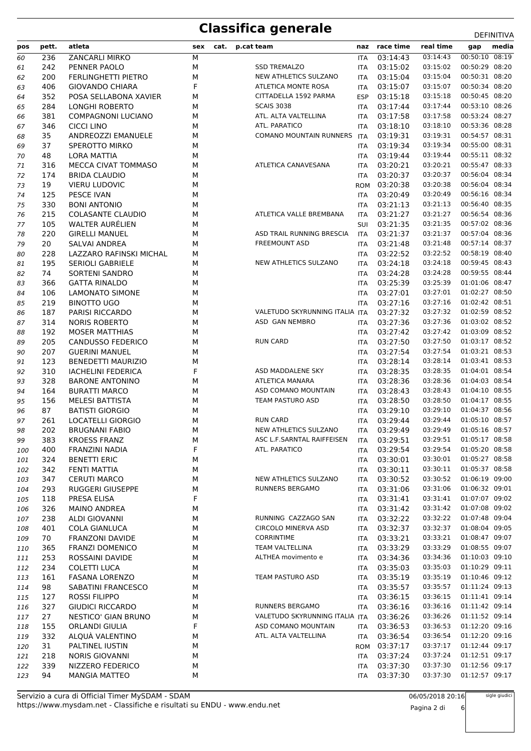| pos        | pett.      | atleta                                      | sex       | cat. | p.cat team                                  |            | naz race time        | real time            | media<br>gap                     |  |
|------------|------------|---------------------------------------------|-----------|------|---------------------------------------------|------------|----------------------|----------------------|----------------------------------|--|
| 60         | 236        | ZANCARLI MIRKO                              | М         |      |                                             | <b>ITA</b> | 03:14:43             | 03:14:43             | 00:50:10 08:19                   |  |
| 61         | 242        | PENNER PAOLO                                | М         |      | <b>SSD TREMALZO</b>                         | ITA        | 03:15:02             | 03:15:02             | 00:50:29 08:20                   |  |
| 62         | 200        | FERLINGHETTI PIETRO                         | М         |      | NEW ATHLETICS SULZANO                       | ITA        | 03:15:04             | 03:15:04             | 00:50:31 08:20                   |  |
| 63         | 406        | <b>GIOVANDO CHIARA</b>                      | F         |      | ATLETICA MONTE ROSA                         | <b>ITA</b> | 03:15:07             | 03:15:07             | 00:50:34 08:20                   |  |
| 64         | 352        | POSA SELLABONA XAVIER                       | М         |      | CITTADELLA 1592 PARMA                       | <b>ESP</b> | 03:15:18             | 03:15:18             | 00:50:45 08:20                   |  |
| 65         | 284        | LONGHI ROBERTO                              | М         |      | <b>SCAIS 3038</b>                           | ITA        | 03:17:44             | 03:17:44             | 00:53:10 08:26                   |  |
| 66         | 381        | <b>COMPAGNONI LUCIANO</b>                   | М         |      | ATL. ALTA VALTELLINA                        | <b>ITA</b> | 03:17:58             | 03:17:58             | 00:53:24 08:27                   |  |
| 67         | 346        | CICCI LINO                                  | М         |      | ATL. PARATICO                               | <b>ITA</b> | 03:18:10             | 03:18:10             | 00:53:36 08:28                   |  |
| 68         | 35         | <b>ANDREOZZI EMANUELE</b>                   | М         |      | <b>COMANO MOUNTAIN RUNNERS</b>              | ITA        | 03:19:31             | 03:19:31             | 00:54:57 08:31                   |  |
| 69         | 37         | SPEROTTO MIRKO                              | М         |      |                                             | <b>ITA</b> | 03:19:34             | 03:19:34             | 00:55:00 08:31                   |  |
| 70         | 48         | <b>LORA MATTIA</b>                          | М         |      |                                             | <b>ITA</b> | 03:19:44             | 03:19:44             | 00:55:11 08:32                   |  |
| 71         | 316        | MECCA CIVAT TOMMASO                         | M         |      | ATLETICA CANAVESANA                         | <b>ITA</b> | 03:20:21             | 03:20:21             | 00:55:47 08:33                   |  |
| 72         | 174        | <b>BRIDA CLAUDIO</b>                        | М         |      |                                             | <b>ITA</b> | 03:20:37             | 03:20:37             | 00:56:04 08:34                   |  |
| 73         | 19         | <b>VIERU LUDOVIC</b>                        | M         |      |                                             | <b>ROM</b> | 03:20:38             | 03:20:38             | 00:56:04 08:34                   |  |
| 74         | 125        | PESCE IVAN                                  | M         |      |                                             | <b>ITA</b> | 03:20:49             | 03:20:49             | 00:56:16 08:34                   |  |
| 75         | 330        | <b>BONI ANTONIO</b>                         | M         |      |                                             | <b>ITA</b> | 03:21:13             | 03:21:13             | 00:56:40 08:35                   |  |
| 76         | 215        | <b>COLASANTE CLAUDIO</b>                    | M         |      | ATLETICA VALLE BREMBANA                     | <b>ITA</b> | 03:21:27             | 03:21:27             | 00:56:54 08:36                   |  |
| 77         | 105        | <b>WALTER AURÉLIEN</b>                      | М         |      |                                             | SUI        | 03:21:35             | 03:21:35             | 00:57:02 08:36                   |  |
| 78         | 220        | <b>GIRELLI MANUEL</b>                       | М         |      | ASD TRAIL RUNNING BRESCIA                   | <b>ITA</b> | 03:21:37             | 03:21:37             | 00:57:04 08:36                   |  |
| 79         | 20         | SALVAI ANDREA                               | М         |      | <b>FREEMOUNT ASD</b>                        | <b>ITA</b> | 03:21:48             | 03:21:48             | 00:57:14 08:37                   |  |
| 80         | 228        | LAZZARO RAFINSKI MICHAL                     | М         |      |                                             | ITA        | 03:22:52             | 03:22:52             | 00:58:19 08:40                   |  |
| 81         | 195        | <b>SERIOLI GABRIELE</b>                     | М         |      | NEW ATHLETICS SULZANO                       | <b>ITA</b> | 03:24:18             | 03:24:18             | 00:59:45 08:43                   |  |
| 82         | 74         | <b>SORTENI SANDRO</b>                       | М         |      |                                             | <b>ITA</b> | 03:24:28             | 03:24:28             | 00:59:55 08:44                   |  |
| 83         | 366        | <b>GATTA RINALDO</b>                        | М         |      |                                             | ITA        | 03:25:39             | 03:25:39             | 01:01:06 08:47                   |  |
| 84         | 106        | LAMONATO SIMONE                             | М         |      |                                             | <b>ITA</b> | 03:27:01             | 03:27:01             | 01:02:27 08:50                   |  |
| 85         | 219        | <b>BINOTTO UGO</b>                          | М         |      |                                             | <b>ITA</b> | 03:27:16             | 03:27:16             | 01:02:42 08:51                   |  |
| 86         | 187        | PARISI RICCARDO                             | М         |      | VALETUDO SKYRUNNING ITALIA ITA              |            | 03:27:32             | 03:27:32             | 01:02:59 08:52                   |  |
| 87         | 314        | <b>NORIS ROBERTO</b>                        | М         |      | ASD GAN NEMBRO                              | <b>ITA</b> | 03:27:36             | 03:27:36             | 01:03:02 08:52                   |  |
| 88         | 192        | <b>MOSER MATTHIAS</b>                       | М         |      |                                             | <b>ITA</b> | 03:27:42             | 03:27:42             | 01:03:09 08:52                   |  |
| 89         | 205        | <b>CANDUSSO FEDERICO</b>                    | M         |      | <b>RUN CARD</b>                             | ITA        | 03:27:50             | 03:27:50             | 01:03:17 08:52                   |  |
| 90         | 207        | <b>GUERINI MANUEL</b>                       | М         |      |                                             | ITA        | 03:27:54             | 03:27:54             | 01:03:21 08:53                   |  |
| 91         | 123        | <b>BENEDETTI MAURIZIO</b>                   | М         |      |                                             | <b>ITA</b> | 03:28:14             | 03:28:14             | 01:03:41 08:53                   |  |
| 92         | 310        | <b>IACHELINI FEDERICA</b>                   | F         |      | ASD MADDALENE SKY                           | ITA        | 03:28:35             | 03:28:35             | 01:04:01 08:54                   |  |
| 93         | 328        | <b>BARONE ANTONINO</b>                      | М         |      | <b>ATLETICA MANARA</b>                      | <b>ITA</b> | 03:28:36             | 03:28:36             | 01:04:03 08:54                   |  |
| 94         | 164        | <b>BURATTI MARCO</b>                        | М         |      | ASD COMANO MOUNTAIN                         | <b>ITA</b> | 03:28:43             | 03:28:43             | 01:04:10 08:55                   |  |
| 95         | 156        | <b>MELESI BATTISTA</b>                      | М         |      | <b>TEAM PASTURO ASD</b>                     | ITA        | 03:28:50             | 03:28:50             | 01:04:17 08:55                   |  |
| 96         | 87         | <b>BATISTI GIORGIO</b>                      | М         |      |                                             | <b>ITA</b> | 03:29:10             | 03:29:10             | 01:04:37 08:56                   |  |
| 97         | 261        | <b>LOCATELLI GIORGIO</b>                    | М         |      | <b>RUN CARD</b>                             | ITA        | 03:29:44             | 03:29:44             | 01:05:10 08:57                   |  |
| 98         | 202        | <b>BRUGNANI FABIO</b>                       | М         |      | NEW ATHLETICS SULZANO                       | <b>ITA</b> | 03:29:49             | 03:29:49             | 01:05:16 08:57                   |  |
| 99         | 383        | <b>KROESS FRANZ</b>                         | ${\sf M}$ |      | ASC L.F.SARNTAL RAIFFEISEN ITA 03:29:51     |            |                      |                      | 03:29:51  01:05:17  08:58        |  |
| 100        | 400        | FRANZINI NADIA                              | F         |      | ATL. PARATICO                               | ITA        | 03:29:54             | 03:29:54             | 01:05:20 08:58                   |  |
| 101        | 324        | <b>BENETTI ERIC</b>                         | М         |      |                                             | ITA        | 03:30:01             | 03:30:01             | 01:05:27 08:58                   |  |
| 102        | 342        | FENTI MATTIA                                | М         |      |                                             | ITA        | 03:30:11             | 03:30:11             | 01:05:37 08:58                   |  |
| 103        | 347        | <b>CERUTI MARCO</b>                         | М         |      | NEW ATHLETICS SULZANO                       | ITA        | 03:30:52             | 03:30:52             | 01:06:19 09:00                   |  |
| 104        | 293        | RUGGERI GIUSEPPE                            | M         |      | <b>RUNNERS BERGAMO</b>                      | ITA        | 03:31:06             | 03:31:06             | 01:06:32 09:01                   |  |
| 105        | 118        | PRESA ELISA                                 | F         |      |                                             | ITA        | 03:31:41             | 03:31:41             | 01:07:07 09:02                   |  |
| 106        | 326        | <b>MAINO ANDREA</b>                         | М         |      |                                             | ITA        | 03:31:42             | 03:31:42             | 01:07:08 09:02                   |  |
| 107        | 238        | ALDI GIOVANNI                               | М         |      | RUNNING CAZZAGO SAN                         | ITA        | 03:32:22             | 03:32:22             | 01:07:48 09:04                   |  |
| 108        | 401        | <b>COLA GIANLUCA</b>                        | М         |      | <b>CIRCOLO MINERVA ASD</b>                  | ITA        | 03:32:37             | 03:32:37             | 01:08:04 09:05                   |  |
| 109        | 70         | <b>FRANZONI DAVIDE</b>                      | М         |      | <b>CORRINTIME</b><br><b>TEAM VALTELLINA</b> | ITA        | 03:33:21             | 03:33:21             | 01:08:47 09:07<br>01:08:55 09:07 |  |
| 110        | 365        | <b>FRANZI DOMENICO</b>                      | М         |      |                                             | ITA        | 03:33:29             | 03:33:29             |                                  |  |
| 111        | 253        | ROSSAINI DAVIDE                             | М         |      | ALTHEA movimento e                          | ITA        | 03:34:36             | 03:34:36             | 01:10:03 09:10<br>01:10:29 09:11 |  |
| 112        | 234        | <b>COLETTI LUCA</b>                         | М         |      |                                             | ITA        | 03:35:03             | 03:35:03             |                                  |  |
| 113        | 161<br>98  | <b>FASANA LORENZO</b><br>SABATINI FRANCESCO | М<br>М    |      | TEAM PASTURO ASD                            | ITA        | 03:35:19<br>03:35:57 | 03:35:19<br>03:35:57 | 01:10:46 09:12<br>01:11:24 09:13 |  |
| 114        |            | ROSSI FILIPPO                               | М         |      |                                             | ITA        | 03:36:15             | 03:36:15             | 01:11:41 09:14                   |  |
| 115<br>116 | 127<br>327 | <b>GIUDICI RICCARDO</b>                     | М         |      | <b>RUNNERS BERGAMO</b>                      | ITA<br>ITA | 03:36:16             | 03:36:16             | 01:11:42 09:14                   |  |
| 117        | 27         | <b>NESTICO' GIAN BRUNO</b>                  | М         |      | VALETUDO SKYRUNNING ITALIA ITA              |            | 03:36:26             | 03:36:26             | 01:11:52 09:14                   |  |
| 118        | 155        | <b>ORLANDI GIULIA</b>                       | F         |      | ASD COMANO MOUNTAIN                         | ITA        | 03:36:53             | 03:36:53             | 01:12:20 09:16                   |  |
| 119        | 332        | ALQUÀ VALENTINO                             | М         |      | ATL. ALTA VALTELLINA                        | ITA        | 03:36:54             | 03:36:54             | 01:12:20 09:16                   |  |
| 120        | 31         | PALTINEL IUSTIN                             | М         |      |                                             | ROM        | 03:37:17             | 03:37:17             | 01:12:44 09:17                   |  |
| 121        | 218        | <b>NORIS GIOVANNI</b>                       | М         |      |                                             | ITA        | 03:37:24             | 03:37:24             | 01:12:51 09:17                   |  |
| 122        | 339        | NIZZERO FEDERICO                            | М         |      |                                             | ITA        | 03:37:30             | 03:37:30             | 01:12:56 09:17                   |  |
| 123        | 94         | <b>MANGIA MATTEO</b>                        | М         |      |                                             | ITA        | 03:37:30             | 03:37:30             | 01:12:57 09:17                   |  |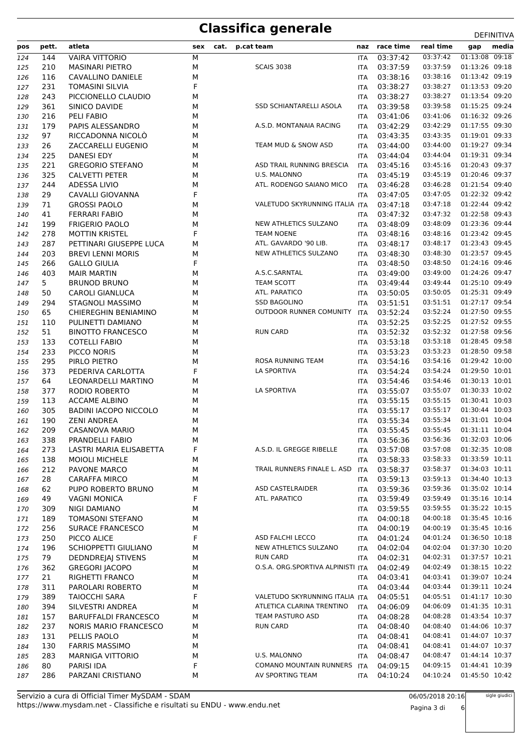| 01:13:08 09:18<br>03:37:42<br>03:37:42<br>144<br><b>VAIRA VITTORIO</b><br>М<br>124<br>ITA<br>01:13:26 09:18<br>210<br>М<br><b>SCAIS 3038</b><br>03:37:59<br>03:37:59<br><b>MASINARI PIETRO</b><br>125<br>ITA<br>01:13:42 09:19<br>03:38:16<br>116<br>М<br>03:38:16<br>126<br>CAVALLINO DANIELE<br>ITA<br>01:13:53 09:20<br>F<br>03:38:27<br>231<br><b>TOMASINI SILVIA</b><br>03:38:27<br>127<br>ITA<br>01:13:54 09:20<br>243<br>М<br>03:38:27<br>03:38:27<br>PICCIONELLO CLAUDIO<br>128<br><b>ITA</b><br>01:15:25 09:24<br>SSD SCHIANTARELLI ASOLA<br>03:39:58<br>361<br>М<br>03:39:58<br>129<br>SINICO DAVIDE<br>ITA<br>01:16:32 09:26<br>216<br>PELI FABIO<br>03:41:06<br>03:41:06<br>М<br>130<br>ITA<br>01:17:55 09:30<br>М<br>A.S.D. MONTANAIA RACING<br>03:42:29<br>03:42:29<br>179<br>PAPIS ALESSANDRO<br>131<br>ITA<br>01:19:01 09:33<br>97<br>RICCADONNA NICOLÒ<br>М<br>03:43:35<br>03:43:35<br>132<br>ITA<br>TEAM MUD & SNOW ASD<br>01:19:27 09:34<br>26<br>03:44:00<br>03:44:00<br>ZACCARELLI EUGENIO<br>М<br>133<br>ITA<br>01:19:31 09:34<br>225<br>М<br>03:44:04<br>03:44:04<br><b>DANESI EDY</b><br>134<br>ITA<br>ASD TRAIL RUNNING BRESCIA<br>01:20:43 09:37<br>221<br>03:45:16<br>03:45:16<br>135<br><b>GREGORIO STEFANO</b><br>М<br><b>ITA</b><br>U.S. MALONNO<br>03:45:19<br>01:20:46 09:37<br>325<br>03:45:19<br>CALVETTI PETER<br>М<br>136<br>ITA<br>01:21:54 09:40<br>М<br>ATL. RODENGO SAIANO MICO<br>03:46:28<br>244<br>ADESSA LIVIO<br>03:46:28<br>137<br>ITA<br>01:22:32 09:42<br>F<br>03:47:05<br>29<br>CAVALLI GIOVANNA<br>03:47:05<br>138<br><b>ITA</b><br>01:22:44 09:42<br>71<br><b>GROSSI PAOLO</b><br>VALETUDO SKYRUNNING ITALIA ITA<br>03:47:18<br>03:47:18<br>М<br>139<br>01:22:58 09:43<br>03:47:32<br>41<br><b>FERRARI FABIO</b><br>М<br>03:47:32<br>140<br><b>ITA</b><br>01:23:36 09:44<br>NEW ATHLETICS SULZANO<br>03:48:09<br>М<br>03:48:09<br>199<br><b>FRIGERIO PAOLO</b><br>141<br>ITA<br>01:23:42 09:45<br>F<br><b>TEAM NOENE</b><br>03:48:16<br>03:48:16<br>278<br><b>MOTTIN KRISTEL</b><br>142<br>ITA<br>01:23:43 09:45<br>ATL. GAVARDO '90 LIB.<br>287<br>PETTINARI GIUSEPPE LUCA<br>М<br>03:48:17<br>03:48:17<br>143<br><b>ITA</b><br>01:23:57 09:45<br>NEW ATHLETICS SULZANO<br>203<br>М<br>03:48:30<br>03:48:30<br>144<br><b>BREVI LENNI MORIS</b><br>ITA<br>F<br>01:24:16 09:46<br>03:48:50<br>266<br><b>GALLO GIULIA</b><br>03:48:50<br>145<br><b>ITA</b><br>01:24:26 09:47<br>403<br>М<br>A.S.C.SARNTAL<br>03:49:00<br><b>MAIR MARTIN</b><br>03:49:00<br>146<br><b>ITA</b><br>TEAM SCOTT<br>01:25:10 09:49<br>5<br>M<br>03:49:44<br>03:49:44<br>147<br><b>BRUNOD BRUNO</b><br><b>ITA</b><br>01:25:31 09:49<br>ATL. PARATICO<br>03:50:05<br>03:50:05<br>50<br><b>CAROLI GIANLUCA</b><br>М<br>148<br>ITA<br>01:27:17 09:54<br>294<br>STAGNOLI MASSIMO<br>М<br><b>SSD BAGOLINO</b><br>03:51:51<br>03:51:51<br>149<br><b>ITA</b><br>01:27:50 09:55<br>03:52:24<br>65<br>OUTDOOR RUNNER COMUNITY<br>03:52:24<br>CHIEREGHIN BENIAMINO<br>М<br><b>ITA</b><br>150<br>01:27:52 09:55<br>110<br>03:52:25<br>03:52:25<br>PULINETTI DAMIANO<br>151<br>М<br><b>ITA</b><br>01:27:58 09:56<br>03:52:32<br>51<br><b>BINOTTO FRANCESCO</b><br>М<br><b>RUN CARD</b><br>03:52:32<br>152<br><b>ITA</b><br>01:28:45 09:58<br>03:53:18<br>М<br>03:53:18<br>153<br>133<br><b>COTELLI FABIO</b><br><b>ITA</b><br>01:28:50 09:58<br>233<br>03:53:23<br>03:53:23<br>PICCO NORIS<br>М<br>154<br>ITA<br>01:29:42 10:00<br>М<br>ROSA RUNNING TEAM<br>295<br>PIRLO PIETRO<br>03:54:16<br>03:54:16<br>155<br><b>ITA</b><br>F<br>LA SPORTIVA<br>01:29:50 10:01<br>373<br>03:54:24<br>03:54:24<br>156<br>PEDERIVA CARLOTTA<br><b>ITA</b><br>01:30:13 10:01<br>03:54:46<br>03:54:46<br>157<br>64<br>LEONARDELLI MARTINO<br>М<br><b>ITA</b><br>LA SPORTIVA<br>01:30:33 10:02<br>377<br>RODIO ROBERTO<br>М<br>03:55:07<br>03:55:07<br>158<br><b>ITA</b><br>01:30:41 10:03<br>03:55:15<br>03:55:15<br>159<br>113<br><b>ACCAME ALBINO</b><br>М<br>ITA<br>01:30:44 10:03<br><b>BADINI IACOPO NICCOLO</b><br>03:55:17<br>03:55:17<br>305<br>М<br>160<br><b>ITA</b><br>01:31:01 10:04<br>03:55:34<br>03:55:34<br>190<br><b>ZENI ANDREA</b><br>М<br>161<br><b>ITA</b><br>03:55:45<br>01:31:11 10:04<br>209<br>03:55:45<br>162<br><b>CASANOVA MARIO</b><br>М<br><b>ITA</b><br>338<br>03:56:36  01:32:03  10:06<br>163<br>PRANDELLI FABIO<br>М<br>ITA 03:56:36<br>F<br>01:32:35 10:08<br>A.S.D. IL GREGGE RIBELLE<br>03:57:08<br>03:57:08<br>273<br>LASTRI MARIA ELISABETTA<br>164<br><b>ITA</b><br>01:33:59 10:11<br>03:58:33<br>03:58:33<br>138<br><b>MOIOLI MICHELE</b><br>М<br>165<br><b>ITA</b><br>TRAIL RUNNERS FINALE L. ASD<br>03:58:37<br>03:58:37<br>01:34:03 10:11<br>212<br>PAVONE MARCO<br>М<br>166<br>ITA<br>01:34:40 10:13<br>М<br>03:59:13<br>03:59:13<br>28<br><b>CARAFFA MIRCO</b><br>167<br><b>ITA</b><br><b>ASD CASTELRAIDER</b><br>01:35:02 10:14<br>62<br>М<br>03:59:36<br>03:59:36<br>168<br>PUPO ROBERTO BRUNO<br>ITA<br>F<br>01:35:16 10:14<br>ATL. PARATICO<br>03:59:49<br>03:59:49<br>49<br><b>VAGNI MONICA</b><br>169<br>ITA<br>01:35:22 10:15<br>03:59:55<br>03:59:55<br>309<br><b>NIGI DAMIANO</b><br>М<br>170<br>ITA<br>01:35:45 10:16<br>М<br>04:00:18<br>04:00:18<br>189<br><b>TOMASONI STEFANO</b><br>171<br><b>ITA</b><br>М<br>04:00:19<br>04:00:19<br>01:35:45 10:16<br>256<br><b>SURACE FRANCESCO</b><br>172<br>ITA<br>F<br>ASD FALCHI LECCO<br>04:01:24<br>01:36:50 10:18<br>04:01:24<br>250<br>PICCO ALICE<br>173<br><b>ITA</b><br>NEW ATHLETICS SULZANO<br>01:37:30 10:20<br>196<br>М<br>04:02:04<br>04:02:04<br>SCHIOPPETTI GIULIANO<br>174<br>ITA<br>79<br><b>RUN CARD</b><br>04:02:31<br>04:02:31<br>01:37:57 10:21<br><b>DEDNDREJAJ STIVENS</b><br>М<br>175<br>ITA<br>04:02:49<br>01:38:15 10:22<br>362<br><b>GREGORI JACOPO</b><br>O.S.A. ORG.SPORTIVA ALPINISTI ITA<br>04:02:49<br>М<br>176<br>04:03:41<br>04:03:41<br>01:39:07 10:24<br>21<br>RIGHETTI FRANCO<br>М<br>177<br>ITA<br>01:39:11 10:24<br>М<br>04:03:44<br>04:03:44<br>311<br>PAROLARI ROBERTO<br>178<br>ITA<br>F<br>VALETUDO SKYRUNNING ITALIA ITA<br>01:41:17 10:30<br>04:05:51<br>04:05:51<br>389<br><b>TAIOCCHI SARA</b><br>179<br>01:41:35 10:31<br>394<br>М<br>ATLETICA CLARINA TRENTINO<br>04:06:09<br>04:06:09<br>SILVESTRI ANDREA<br>180<br><b>ITA</b><br>01:43:54 10:37<br>TEAM PASTURO ASD<br>04:08:28<br>04:08:28<br>157<br><b>BARUFFALDI FRANCESCO</b><br>М<br>181<br><b>ITA</b><br>01:44:06 10:37<br>237<br><b>RUN CARD</b><br>04:08:40<br>04:08:40<br><b>NORIS MARIO FRANCESCO</b><br>М<br>182<br><b>ITA</b><br>01:44:07 10:37<br>131<br>04:08:41<br>04:08:41<br>183<br>PELLIS PAOLO<br>М<br>ITA<br>М<br>04:08:41<br>04:08:41<br>01:44:07 10:37<br>130<br><b>FARRIS MASSIMO</b><br>184<br>ITA<br>01:44:14 10:37<br>283<br>М<br>U.S. MALONNO<br>04:08:47<br>04:08:47<br><b>MARNIGA VITTORIO</b><br>185<br><b>ITA</b><br>F<br>80<br>COMANO MOUNTAIN RUNNERS ITA<br>04:09:15<br>04:09:15<br>01:44:41 10:39<br>PARISI IDA<br>186 | pos | pett. | atleta            | sex | cat. | p.cat team       | naz | race time | real time | media<br>gap   |
|---------------------------------------------------------------------------------------------------------------------------------------------------------------------------------------------------------------------------------------------------------------------------------------------------------------------------------------------------------------------------------------------------------------------------------------------------------------------------------------------------------------------------------------------------------------------------------------------------------------------------------------------------------------------------------------------------------------------------------------------------------------------------------------------------------------------------------------------------------------------------------------------------------------------------------------------------------------------------------------------------------------------------------------------------------------------------------------------------------------------------------------------------------------------------------------------------------------------------------------------------------------------------------------------------------------------------------------------------------------------------------------------------------------------------------------------------------------------------------------------------------------------------------------------------------------------------------------------------------------------------------------------------------------------------------------------------------------------------------------------------------------------------------------------------------------------------------------------------------------------------------------------------------------------------------------------------------------------------------------------------------------------------------------------------------------------------------------------------------------------------------------------------------------------------------------------------------------------------------------------------------------------------------------------------------------------------------------------------------------------------------------------------------------------------------------------------------------------------------------------------------------------------------------------------------------------------------------------------------------------------------------------------------------------------------------------------------------------------------------------------------------------------------------------------------------------------------------------------------------------------------------------------------------------------------------------------------------------------------------------------------------------------------------------------------------------------------------------------------------------------------------------------------------------------------------------------------------------------------------------------------------------------------------------------------------------------------------------------------------------------------------------------------------------------------------------------------------------------------------------------------------------------------------------------------------------------------------------------------------------------------------------------------------------------------------------------------------------------------------------------------------------------------------------------------------------------------------------------------------------------------------------------------------------------------------------------------------------------------------------------------------------------------------------------------------------------------------------------------------------------------------------------------------------------------------------------------------------------------------------------------------------------------------------------------------------------------------------------------------------------------------------------------------------------------------------------------------------------------------------------------------------------------------------------------------------------------------------------------------------------------------------------------------------------------------------------------------------------------------------------------------------------------------------------------------------------------------------------------------------------------------------------------------------------------------------------------------------------------------------------------------------------------------------------------------------------------------------------------------------------------------------------------------------------------------------------------------------------------------------------------------------------------------------------------------------------------------------------------------------------------------------------------------------------------------------------------------------------------------------------------------------------------------------------------------------------------------------------------------------------------------------------------------------------------------------------------------------------------------------------------------------------------------------------------------------------------------------------------------------------------------------------------------------------------------------------------------------------------------------------------------------------------------------------------------------------------------------------------------------------------------------------------------------------------------------------------------------------------------------------------------------------------------------------------------------------------------------------------------------------------------------------------------------------------------------------------------------------------------------------------------------------------------------------------------------------------------------------------------------------------------------------------------------------------------------------------------------------------------------------------------------------------------------------------------------------------------------------------------------------------------------------------------------------------------------------------------|-----|-------|-------------------|-----|------|------------------|-----|-----------|-----------|----------------|
|                                                                                                                                                                                                                                                                                                                                                                                                                                                                                                                                                                                                                                                                                                                                                                                                                                                                                                                                                                                                                                                                                                                                                                                                                                                                                                                                                                                                                                                                                                                                                                                                                                                                                                                                                                                                                                                                                                                                                                                                                                                                                                                                                                                                                                                                                                                                                                                                                                                                                                                                                                                                                                                                                                                                                                                                                                                                                                                                                                                                                                                                                                                                                                                                                                                                                                                                                                                                                                                                                                                                                                                                                                                                                                                                                                                                                                                                                                                                                                                                                                                                                                                                                                                                                                                                                                                                                                                                                                                                                                                                                                                                                                                                                                                                                                                                                                                                                                                                                                                                                                                                                                                                                                                                                                                                                                                                                                                                                                                                                                                                                                                                                                                                                                                                                                                                                                                                                                                                                                                                                                                                                                                                                                                                                                                                                                                                                                                                                                                                                                                                                                                                                                                                                                                                                                                                                                                                                                                                                               |     |       |                   |     |      |                  |     |           |           |                |
|                                                                                                                                                                                                                                                                                                                                                                                                                                                                                                                                                                                                                                                                                                                                                                                                                                                                                                                                                                                                                                                                                                                                                                                                                                                                                                                                                                                                                                                                                                                                                                                                                                                                                                                                                                                                                                                                                                                                                                                                                                                                                                                                                                                                                                                                                                                                                                                                                                                                                                                                                                                                                                                                                                                                                                                                                                                                                                                                                                                                                                                                                                                                                                                                                                                                                                                                                                                                                                                                                                                                                                                                                                                                                                                                                                                                                                                                                                                                                                                                                                                                                                                                                                                                                                                                                                                                                                                                                                                                                                                                                                                                                                                                                                                                                                                                                                                                                                                                                                                                                                                                                                                                                                                                                                                                                                                                                                                                                                                                                                                                                                                                                                                                                                                                                                                                                                                                                                                                                                                                                                                                                                                                                                                                                                                                                                                                                                                                                                                                                                                                                                                                                                                                                                                                                                                                                                                                                                                                                               |     |       |                   |     |      |                  |     |           |           |                |
|                                                                                                                                                                                                                                                                                                                                                                                                                                                                                                                                                                                                                                                                                                                                                                                                                                                                                                                                                                                                                                                                                                                                                                                                                                                                                                                                                                                                                                                                                                                                                                                                                                                                                                                                                                                                                                                                                                                                                                                                                                                                                                                                                                                                                                                                                                                                                                                                                                                                                                                                                                                                                                                                                                                                                                                                                                                                                                                                                                                                                                                                                                                                                                                                                                                                                                                                                                                                                                                                                                                                                                                                                                                                                                                                                                                                                                                                                                                                                                                                                                                                                                                                                                                                                                                                                                                                                                                                                                                                                                                                                                                                                                                                                                                                                                                                                                                                                                                                                                                                                                                                                                                                                                                                                                                                                                                                                                                                                                                                                                                                                                                                                                                                                                                                                                                                                                                                                                                                                                                                                                                                                                                                                                                                                                                                                                                                                                                                                                                                                                                                                                                                                                                                                                                                                                                                                                                                                                                                                               |     |       |                   |     |      |                  |     |           |           |                |
|                                                                                                                                                                                                                                                                                                                                                                                                                                                                                                                                                                                                                                                                                                                                                                                                                                                                                                                                                                                                                                                                                                                                                                                                                                                                                                                                                                                                                                                                                                                                                                                                                                                                                                                                                                                                                                                                                                                                                                                                                                                                                                                                                                                                                                                                                                                                                                                                                                                                                                                                                                                                                                                                                                                                                                                                                                                                                                                                                                                                                                                                                                                                                                                                                                                                                                                                                                                                                                                                                                                                                                                                                                                                                                                                                                                                                                                                                                                                                                                                                                                                                                                                                                                                                                                                                                                                                                                                                                                                                                                                                                                                                                                                                                                                                                                                                                                                                                                                                                                                                                                                                                                                                                                                                                                                                                                                                                                                                                                                                                                                                                                                                                                                                                                                                                                                                                                                                                                                                                                                                                                                                                                                                                                                                                                                                                                                                                                                                                                                                                                                                                                                                                                                                                                                                                                                                                                                                                                                                               |     |       |                   |     |      |                  |     |           |           |                |
|                                                                                                                                                                                                                                                                                                                                                                                                                                                                                                                                                                                                                                                                                                                                                                                                                                                                                                                                                                                                                                                                                                                                                                                                                                                                                                                                                                                                                                                                                                                                                                                                                                                                                                                                                                                                                                                                                                                                                                                                                                                                                                                                                                                                                                                                                                                                                                                                                                                                                                                                                                                                                                                                                                                                                                                                                                                                                                                                                                                                                                                                                                                                                                                                                                                                                                                                                                                                                                                                                                                                                                                                                                                                                                                                                                                                                                                                                                                                                                                                                                                                                                                                                                                                                                                                                                                                                                                                                                                                                                                                                                                                                                                                                                                                                                                                                                                                                                                                                                                                                                                                                                                                                                                                                                                                                                                                                                                                                                                                                                                                                                                                                                                                                                                                                                                                                                                                                                                                                                                                                                                                                                                                                                                                                                                                                                                                                                                                                                                                                                                                                                                                                                                                                                                                                                                                                                                                                                                                                               |     |       |                   |     |      |                  |     |           |           |                |
|                                                                                                                                                                                                                                                                                                                                                                                                                                                                                                                                                                                                                                                                                                                                                                                                                                                                                                                                                                                                                                                                                                                                                                                                                                                                                                                                                                                                                                                                                                                                                                                                                                                                                                                                                                                                                                                                                                                                                                                                                                                                                                                                                                                                                                                                                                                                                                                                                                                                                                                                                                                                                                                                                                                                                                                                                                                                                                                                                                                                                                                                                                                                                                                                                                                                                                                                                                                                                                                                                                                                                                                                                                                                                                                                                                                                                                                                                                                                                                                                                                                                                                                                                                                                                                                                                                                                                                                                                                                                                                                                                                                                                                                                                                                                                                                                                                                                                                                                                                                                                                                                                                                                                                                                                                                                                                                                                                                                                                                                                                                                                                                                                                                                                                                                                                                                                                                                                                                                                                                                                                                                                                                                                                                                                                                                                                                                                                                                                                                                                                                                                                                                                                                                                                                                                                                                                                                                                                                                                               |     |       |                   |     |      |                  |     |           |           |                |
|                                                                                                                                                                                                                                                                                                                                                                                                                                                                                                                                                                                                                                                                                                                                                                                                                                                                                                                                                                                                                                                                                                                                                                                                                                                                                                                                                                                                                                                                                                                                                                                                                                                                                                                                                                                                                                                                                                                                                                                                                                                                                                                                                                                                                                                                                                                                                                                                                                                                                                                                                                                                                                                                                                                                                                                                                                                                                                                                                                                                                                                                                                                                                                                                                                                                                                                                                                                                                                                                                                                                                                                                                                                                                                                                                                                                                                                                                                                                                                                                                                                                                                                                                                                                                                                                                                                                                                                                                                                                                                                                                                                                                                                                                                                                                                                                                                                                                                                                                                                                                                                                                                                                                                                                                                                                                                                                                                                                                                                                                                                                                                                                                                                                                                                                                                                                                                                                                                                                                                                                                                                                                                                                                                                                                                                                                                                                                                                                                                                                                                                                                                                                                                                                                                                                                                                                                                                                                                                                                               |     |       |                   |     |      |                  |     |           |           |                |
|                                                                                                                                                                                                                                                                                                                                                                                                                                                                                                                                                                                                                                                                                                                                                                                                                                                                                                                                                                                                                                                                                                                                                                                                                                                                                                                                                                                                                                                                                                                                                                                                                                                                                                                                                                                                                                                                                                                                                                                                                                                                                                                                                                                                                                                                                                                                                                                                                                                                                                                                                                                                                                                                                                                                                                                                                                                                                                                                                                                                                                                                                                                                                                                                                                                                                                                                                                                                                                                                                                                                                                                                                                                                                                                                                                                                                                                                                                                                                                                                                                                                                                                                                                                                                                                                                                                                                                                                                                                                                                                                                                                                                                                                                                                                                                                                                                                                                                                                                                                                                                                                                                                                                                                                                                                                                                                                                                                                                                                                                                                                                                                                                                                                                                                                                                                                                                                                                                                                                                                                                                                                                                                                                                                                                                                                                                                                                                                                                                                                                                                                                                                                                                                                                                                                                                                                                                                                                                                                                               |     |       |                   |     |      |                  |     |           |           |                |
|                                                                                                                                                                                                                                                                                                                                                                                                                                                                                                                                                                                                                                                                                                                                                                                                                                                                                                                                                                                                                                                                                                                                                                                                                                                                                                                                                                                                                                                                                                                                                                                                                                                                                                                                                                                                                                                                                                                                                                                                                                                                                                                                                                                                                                                                                                                                                                                                                                                                                                                                                                                                                                                                                                                                                                                                                                                                                                                                                                                                                                                                                                                                                                                                                                                                                                                                                                                                                                                                                                                                                                                                                                                                                                                                                                                                                                                                                                                                                                                                                                                                                                                                                                                                                                                                                                                                                                                                                                                                                                                                                                                                                                                                                                                                                                                                                                                                                                                                                                                                                                                                                                                                                                                                                                                                                                                                                                                                                                                                                                                                                                                                                                                                                                                                                                                                                                                                                                                                                                                                                                                                                                                                                                                                                                                                                                                                                                                                                                                                                                                                                                                                                                                                                                                                                                                                                                                                                                                                                               |     |       |                   |     |      |                  |     |           |           |                |
|                                                                                                                                                                                                                                                                                                                                                                                                                                                                                                                                                                                                                                                                                                                                                                                                                                                                                                                                                                                                                                                                                                                                                                                                                                                                                                                                                                                                                                                                                                                                                                                                                                                                                                                                                                                                                                                                                                                                                                                                                                                                                                                                                                                                                                                                                                                                                                                                                                                                                                                                                                                                                                                                                                                                                                                                                                                                                                                                                                                                                                                                                                                                                                                                                                                                                                                                                                                                                                                                                                                                                                                                                                                                                                                                                                                                                                                                                                                                                                                                                                                                                                                                                                                                                                                                                                                                                                                                                                                                                                                                                                                                                                                                                                                                                                                                                                                                                                                                                                                                                                                                                                                                                                                                                                                                                                                                                                                                                                                                                                                                                                                                                                                                                                                                                                                                                                                                                                                                                                                                                                                                                                                                                                                                                                                                                                                                                                                                                                                                                                                                                                                                                                                                                                                                                                                                                                                                                                                                                               |     |       |                   |     |      |                  |     |           |           |                |
|                                                                                                                                                                                                                                                                                                                                                                                                                                                                                                                                                                                                                                                                                                                                                                                                                                                                                                                                                                                                                                                                                                                                                                                                                                                                                                                                                                                                                                                                                                                                                                                                                                                                                                                                                                                                                                                                                                                                                                                                                                                                                                                                                                                                                                                                                                                                                                                                                                                                                                                                                                                                                                                                                                                                                                                                                                                                                                                                                                                                                                                                                                                                                                                                                                                                                                                                                                                                                                                                                                                                                                                                                                                                                                                                                                                                                                                                                                                                                                                                                                                                                                                                                                                                                                                                                                                                                                                                                                                                                                                                                                                                                                                                                                                                                                                                                                                                                                                                                                                                                                                                                                                                                                                                                                                                                                                                                                                                                                                                                                                                                                                                                                                                                                                                                                                                                                                                                                                                                                                                                                                                                                                                                                                                                                                                                                                                                                                                                                                                                                                                                                                                                                                                                                                                                                                                                                                                                                                                                               |     |       |                   |     |      |                  |     |           |           |                |
|                                                                                                                                                                                                                                                                                                                                                                                                                                                                                                                                                                                                                                                                                                                                                                                                                                                                                                                                                                                                                                                                                                                                                                                                                                                                                                                                                                                                                                                                                                                                                                                                                                                                                                                                                                                                                                                                                                                                                                                                                                                                                                                                                                                                                                                                                                                                                                                                                                                                                                                                                                                                                                                                                                                                                                                                                                                                                                                                                                                                                                                                                                                                                                                                                                                                                                                                                                                                                                                                                                                                                                                                                                                                                                                                                                                                                                                                                                                                                                                                                                                                                                                                                                                                                                                                                                                                                                                                                                                                                                                                                                                                                                                                                                                                                                                                                                                                                                                                                                                                                                                                                                                                                                                                                                                                                                                                                                                                                                                                                                                                                                                                                                                                                                                                                                                                                                                                                                                                                                                                                                                                                                                                                                                                                                                                                                                                                                                                                                                                                                                                                                                                                                                                                                                                                                                                                                                                                                                                                               |     |       |                   |     |      |                  |     |           |           |                |
|                                                                                                                                                                                                                                                                                                                                                                                                                                                                                                                                                                                                                                                                                                                                                                                                                                                                                                                                                                                                                                                                                                                                                                                                                                                                                                                                                                                                                                                                                                                                                                                                                                                                                                                                                                                                                                                                                                                                                                                                                                                                                                                                                                                                                                                                                                                                                                                                                                                                                                                                                                                                                                                                                                                                                                                                                                                                                                                                                                                                                                                                                                                                                                                                                                                                                                                                                                                                                                                                                                                                                                                                                                                                                                                                                                                                                                                                                                                                                                                                                                                                                                                                                                                                                                                                                                                                                                                                                                                                                                                                                                                                                                                                                                                                                                                                                                                                                                                                                                                                                                                                                                                                                                                                                                                                                                                                                                                                                                                                                                                                                                                                                                                                                                                                                                                                                                                                                                                                                                                                                                                                                                                                                                                                                                                                                                                                                                                                                                                                                                                                                                                                                                                                                                                                                                                                                                                                                                                                                               |     |       |                   |     |      |                  |     |           |           |                |
|                                                                                                                                                                                                                                                                                                                                                                                                                                                                                                                                                                                                                                                                                                                                                                                                                                                                                                                                                                                                                                                                                                                                                                                                                                                                                                                                                                                                                                                                                                                                                                                                                                                                                                                                                                                                                                                                                                                                                                                                                                                                                                                                                                                                                                                                                                                                                                                                                                                                                                                                                                                                                                                                                                                                                                                                                                                                                                                                                                                                                                                                                                                                                                                                                                                                                                                                                                                                                                                                                                                                                                                                                                                                                                                                                                                                                                                                                                                                                                                                                                                                                                                                                                                                                                                                                                                                                                                                                                                                                                                                                                                                                                                                                                                                                                                                                                                                                                                                                                                                                                                                                                                                                                                                                                                                                                                                                                                                                                                                                                                                                                                                                                                                                                                                                                                                                                                                                                                                                                                                                                                                                                                                                                                                                                                                                                                                                                                                                                                                                                                                                                                                                                                                                                                                                                                                                                                                                                                                                               |     |       |                   |     |      |                  |     |           |           |                |
|                                                                                                                                                                                                                                                                                                                                                                                                                                                                                                                                                                                                                                                                                                                                                                                                                                                                                                                                                                                                                                                                                                                                                                                                                                                                                                                                                                                                                                                                                                                                                                                                                                                                                                                                                                                                                                                                                                                                                                                                                                                                                                                                                                                                                                                                                                                                                                                                                                                                                                                                                                                                                                                                                                                                                                                                                                                                                                                                                                                                                                                                                                                                                                                                                                                                                                                                                                                                                                                                                                                                                                                                                                                                                                                                                                                                                                                                                                                                                                                                                                                                                                                                                                                                                                                                                                                                                                                                                                                                                                                                                                                                                                                                                                                                                                                                                                                                                                                                                                                                                                                                                                                                                                                                                                                                                                                                                                                                                                                                                                                                                                                                                                                                                                                                                                                                                                                                                                                                                                                                                                                                                                                                                                                                                                                                                                                                                                                                                                                                                                                                                                                                                                                                                                                                                                                                                                                                                                                                                               |     |       |                   |     |      |                  |     |           |           |                |
|                                                                                                                                                                                                                                                                                                                                                                                                                                                                                                                                                                                                                                                                                                                                                                                                                                                                                                                                                                                                                                                                                                                                                                                                                                                                                                                                                                                                                                                                                                                                                                                                                                                                                                                                                                                                                                                                                                                                                                                                                                                                                                                                                                                                                                                                                                                                                                                                                                                                                                                                                                                                                                                                                                                                                                                                                                                                                                                                                                                                                                                                                                                                                                                                                                                                                                                                                                                                                                                                                                                                                                                                                                                                                                                                                                                                                                                                                                                                                                                                                                                                                                                                                                                                                                                                                                                                                                                                                                                                                                                                                                                                                                                                                                                                                                                                                                                                                                                                                                                                                                                                                                                                                                                                                                                                                                                                                                                                                                                                                                                                                                                                                                                                                                                                                                                                                                                                                                                                                                                                                                                                                                                                                                                                                                                                                                                                                                                                                                                                                                                                                                                                                                                                                                                                                                                                                                                                                                                                                               |     |       |                   |     |      |                  |     |           |           |                |
|                                                                                                                                                                                                                                                                                                                                                                                                                                                                                                                                                                                                                                                                                                                                                                                                                                                                                                                                                                                                                                                                                                                                                                                                                                                                                                                                                                                                                                                                                                                                                                                                                                                                                                                                                                                                                                                                                                                                                                                                                                                                                                                                                                                                                                                                                                                                                                                                                                                                                                                                                                                                                                                                                                                                                                                                                                                                                                                                                                                                                                                                                                                                                                                                                                                                                                                                                                                                                                                                                                                                                                                                                                                                                                                                                                                                                                                                                                                                                                                                                                                                                                                                                                                                                                                                                                                                                                                                                                                                                                                                                                                                                                                                                                                                                                                                                                                                                                                                                                                                                                                                                                                                                                                                                                                                                                                                                                                                                                                                                                                                                                                                                                                                                                                                                                                                                                                                                                                                                                                                                                                                                                                                                                                                                                                                                                                                                                                                                                                                                                                                                                                                                                                                                                                                                                                                                                                                                                                                                               |     |       |                   |     |      |                  |     |           |           |                |
|                                                                                                                                                                                                                                                                                                                                                                                                                                                                                                                                                                                                                                                                                                                                                                                                                                                                                                                                                                                                                                                                                                                                                                                                                                                                                                                                                                                                                                                                                                                                                                                                                                                                                                                                                                                                                                                                                                                                                                                                                                                                                                                                                                                                                                                                                                                                                                                                                                                                                                                                                                                                                                                                                                                                                                                                                                                                                                                                                                                                                                                                                                                                                                                                                                                                                                                                                                                                                                                                                                                                                                                                                                                                                                                                                                                                                                                                                                                                                                                                                                                                                                                                                                                                                                                                                                                                                                                                                                                                                                                                                                                                                                                                                                                                                                                                                                                                                                                                                                                                                                                                                                                                                                                                                                                                                                                                                                                                                                                                                                                                                                                                                                                                                                                                                                                                                                                                                                                                                                                                                                                                                                                                                                                                                                                                                                                                                                                                                                                                                                                                                                                                                                                                                                                                                                                                                                                                                                                                                               |     |       |                   |     |      |                  |     |           |           |                |
|                                                                                                                                                                                                                                                                                                                                                                                                                                                                                                                                                                                                                                                                                                                                                                                                                                                                                                                                                                                                                                                                                                                                                                                                                                                                                                                                                                                                                                                                                                                                                                                                                                                                                                                                                                                                                                                                                                                                                                                                                                                                                                                                                                                                                                                                                                                                                                                                                                                                                                                                                                                                                                                                                                                                                                                                                                                                                                                                                                                                                                                                                                                                                                                                                                                                                                                                                                                                                                                                                                                                                                                                                                                                                                                                                                                                                                                                                                                                                                                                                                                                                                                                                                                                                                                                                                                                                                                                                                                                                                                                                                                                                                                                                                                                                                                                                                                                                                                                                                                                                                                                                                                                                                                                                                                                                                                                                                                                                                                                                                                                                                                                                                                                                                                                                                                                                                                                                                                                                                                                                                                                                                                                                                                                                                                                                                                                                                                                                                                                                                                                                                                                                                                                                                                                                                                                                                                                                                                                                               |     |       |                   |     |      |                  |     |           |           |                |
|                                                                                                                                                                                                                                                                                                                                                                                                                                                                                                                                                                                                                                                                                                                                                                                                                                                                                                                                                                                                                                                                                                                                                                                                                                                                                                                                                                                                                                                                                                                                                                                                                                                                                                                                                                                                                                                                                                                                                                                                                                                                                                                                                                                                                                                                                                                                                                                                                                                                                                                                                                                                                                                                                                                                                                                                                                                                                                                                                                                                                                                                                                                                                                                                                                                                                                                                                                                                                                                                                                                                                                                                                                                                                                                                                                                                                                                                                                                                                                                                                                                                                                                                                                                                                                                                                                                                                                                                                                                                                                                                                                                                                                                                                                                                                                                                                                                                                                                                                                                                                                                                                                                                                                                                                                                                                                                                                                                                                                                                                                                                                                                                                                                                                                                                                                                                                                                                                                                                                                                                                                                                                                                                                                                                                                                                                                                                                                                                                                                                                                                                                                                                                                                                                                                                                                                                                                                                                                                                                               |     |       |                   |     |      |                  |     |           |           |                |
|                                                                                                                                                                                                                                                                                                                                                                                                                                                                                                                                                                                                                                                                                                                                                                                                                                                                                                                                                                                                                                                                                                                                                                                                                                                                                                                                                                                                                                                                                                                                                                                                                                                                                                                                                                                                                                                                                                                                                                                                                                                                                                                                                                                                                                                                                                                                                                                                                                                                                                                                                                                                                                                                                                                                                                                                                                                                                                                                                                                                                                                                                                                                                                                                                                                                                                                                                                                                                                                                                                                                                                                                                                                                                                                                                                                                                                                                                                                                                                                                                                                                                                                                                                                                                                                                                                                                                                                                                                                                                                                                                                                                                                                                                                                                                                                                                                                                                                                                                                                                                                                                                                                                                                                                                                                                                                                                                                                                                                                                                                                                                                                                                                                                                                                                                                                                                                                                                                                                                                                                                                                                                                                                                                                                                                                                                                                                                                                                                                                                                                                                                                                                                                                                                                                                                                                                                                                                                                                                                               |     |       |                   |     |      |                  |     |           |           |                |
|                                                                                                                                                                                                                                                                                                                                                                                                                                                                                                                                                                                                                                                                                                                                                                                                                                                                                                                                                                                                                                                                                                                                                                                                                                                                                                                                                                                                                                                                                                                                                                                                                                                                                                                                                                                                                                                                                                                                                                                                                                                                                                                                                                                                                                                                                                                                                                                                                                                                                                                                                                                                                                                                                                                                                                                                                                                                                                                                                                                                                                                                                                                                                                                                                                                                                                                                                                                                                                                                                                                                                                                                                                                                                                                                                                                                                                                                                                                                                                                                                                                                                                                                                                                                                                                                                                                                                                                                                                                                                                                                                                                                                                                                                                                                                                                                                                                                                                                                                                                                                                                                                                                                                                                                                                                                                                                                                                                                                                                                                                                                                                                                                                                                                                                                                                                                                                                                                                                                                                                                                                                                                                                                                                                                                                                                                                                                                                                                                                                                                                                                                                                                                                                                                                                                                                                                                                                                                                                                                               |     |       |                   |     |      |                  |     |           |           |                |
|                                                                                                                                                                                                                                                                                                                                                                                                                                                                                                                                                                                                                                                                                                                                                                                                                                                                                                                                                                                                                                                                                                                                                                                                                                                                                                                                                                                                                                                                                                                                                                                                                                                                                                                                                                                                                                                                                                                                                                                                                                                                                                                                                                                                                                                                                                                                                                                                                                                                                                                                                                                                                                                                                                                                                                                                                                                                                                                                                                                                                                                                                                                                                                                                                                                                                                                                                                                                                                                                                                                                                                                                                                                                                                                                                                                                                                                                                                                                                                                                                                                                                                                                                                                                                                                                                                                                                                                                                                                                                                                                                                                                                                                                                                                                                                                                                                                                                                                                                                                                                                                                                                                                                                                                                                                                                                                                                                                                                                                                                                                                                                                                                                                                                                                                                                                                                                                                                                                                                                                                                                                                                                                                                                                                                                                                                                                                                                                                                                                                                                                                                                                                                                                                                                                                                                                                                                                                                                                                                               |     |       |                   |     |      |                  |     |           |           |                |
|                                                                                                                                                                                                                                                                                                                                                                                                                                                                                                                                                                                                                                                                                                                                                                                                                                                                                                                                                                                                                                                                                                                                                                                                                                                                                                                                                                                                                                                                                                                                                                                                                                                                                                                                                                                                                                                                                                                                                                                                                                                                                                                                                                                                                                                                                                                                                                                                                                                                                                                                                                                                                                                                                                                                                                                                                                                                                                                                                                                                                                                                                                                                                                                                                                                                                                                                                                                                                                                                                                                                                                                                                                                                                                                                                                                                                                                                                                                                                                                                                                                                                                                                                                                                                                                                                                                                                                                                                                                                                                                                                                                                                                                                                                                                                                                                                                                                                                                                                                                                                                                                                                                                                                                                                                                                                                                                                                                                                                                                                                                                                                                                                                                                                                                                                                                                                                                                                                                                                                                                                                                                                                                                                                                                                                                                                                                                                                                                                                                                                                                                                                                                                                                                                                                                                                                                                                                                                                                                                               |     |       |                   |     |      |                  |     |           |           |                |
|                                                                                                                                                                                                                                                                                                                                                                                                                                                                                                                                                                                                                                                                                                                                                                                                                                                                                                                                                                                                                                                                                                                                                                                                                                                                                                                                                                                                                                                                                                                                                                                                                                                                                                                                                                                                                                                                                                                                                                                                                                                                                                                                                                                                                                                                                                                                                                                                                                                                                                                                                                                                                                                                                                                                                                                                                                                                                                                                                                                                                                                                                                                                                                                                                                                                                                                                                                                                                                                                                                                                                                                                                                                                                                                                                                                                                                                                                                                                                                                                                                                                                                                                                                                                                                                                                                                                                                                                                                                                                                                                                                                                                                                                                                                                                                                                                                                                                                                                                                                                                                                                                                                                                                                                                                                                                                                                                                                                                                                                                                                                                                                                                                                                                                                                                                                                                                                                                                                                                                                                                                                                                                                                                                                                                                                                                                                                                                                                                                                                                                                                                                                                                                                                                                                                                                                                                                                                                                                                                               |     |       |                   |     |      |                  |     |           |           |                |
|                                                                                                                                                                                                                                                                                                                                                                                                                                                                                                                                                                                                                                                                                                                                                                                                                                                                                                                                                                                                                                                                                                                                                                                                                                                                                                                                                                                                                                                                                                                                                                                                                                                                                                                                                                                                                                                                                                                                                                                                                                                                                                                                                                                                                                                                                                                                                                                                                                                                                                                                                                                                                                                                                                                                                                                                                                                                                                                                                                                                                                                                                                                                                                                                                                                                                                                                                                                                                                                                                                                                                                                                                                                                                                                                                                                                                                                                                                                                                                                                                                                                                                                                                                                                                                                                                                                                                                                                                                                                                                                                                                                                                                                                                                                                                                                                                                                                                                                                                                                                                                                                                                                                                                                                                                                                                                                                                                                                                                                                                                                                                                                                                                                                                                                                                                                                                                                                                                                                                                                                                                                                                                                                                                                                                                                                                                                                                                                                                                                                                                                                                                                                                                                                                                                                                                                                                                                                                                                                                               |     |       |                   |     |      |                  |     |           |           |                |
|                                                                                                                                                                                                                                                                                                                                                                                                                                                                                                                                                                                                                                                                                                                                                                                                                                                                                                                                                                                                                                                                                                                                                                                                                                                                                                                                                                                                                                                                                                                                                                                                                                                                                                                                                                                                                                                                                                                                                                                                                                                                                                                                                                                                                                                                                                                                                                                                                                                                                                                                                                                                                                                                                                                                                                                                                                                                                                                                                                                                                                                                                                                                                                                                                                                                                                                                                                                                                                                                                                                                                                                                                                                                                                                                                                                                                                                                                                                                                                                                                                                                                                                                                                                                                                                                                                                                                                                                                                                                                                                                                                                                                                                                                                                                                                                                                                                                                                                                                                                                                                                                                                                                                                                                                                                                                                                                                                                                                                                                                                                                                                                                                                                                                                                                                                                                                                                                                                                                                                                                                                                                                                                                                                                                                                                                                                                                                                                                                                                                                                                                                                                                                                                                                                                                                                                                                                                                                                                                                               |     |       |                   |     |      |                  |     |           |           |                |
|                                                                                                                                                                                                                                                                                                                                                                                                                                                                                                                                                                                                                                                                                                                                                                                                                                                                                                                                                                                                                                                                                                                                                                                                                                                                                                                                                                                                                                                                                                                                                                                                                                                                                                                                                                                                                                                                                                                                                                                                                                                                                                                                                                                                                                                                                                                                                                                                                                                                                                                                                                                                                                                                                                                                                                                                                                                                                                                                                                                                                                                                                                                                                                                                                                                                                                                                                                                                                                                                                                                                                                                                                                                                                                                                                                                                                                                                                                                                                                                                                                                                                                                                                                                                                                                                                                                                                                                                                                                                                                                                                                                                                                                                                                                                                                                                                                                                                                                                                                                                                                                                                                                                                                                                                                                                                                                                                                                                                                                                                                                                                                                                                                                                                                                                                                                                                                                                                                                                                                                                                                                                                                                                                                                                                                                                                                                                                                                                                                                                                                                                                                                                                                                                                                                                                                                                                                                                                                                                                               |     |       |                   |     |      |                  |     |           |           |                |
|                                                                                                                                                                                                                                                                                                                                                                                                                                                                                                                                                                                                                                                                                                                                                                                                                                                                                                                                                                                                                                                                                                                                                                                                                                                                                                                                                                                                                                                                                                                                                                                                                                                                                                                                                                                                                                                                                                                                                                                                                                                                                                                                                                                                                                                                                                                                                                                                                                                                                                                                                                                                                                                                                                                                                                                                                                                                                                                                                                                                                                                                                                                                                                                                                                                                                                                                                                                                                                                                                                                                                                                                                                                                                                                                                                                                                                                                                                                                                                                                                                                                                                                                                                                                                                                                                                                                                                                                                                                                                                                                                                                                                                                                                                                                                                                                                                                                                                                                                                                                                                                                                                                                                                                                                                                                                                                                                                                                                                                                                                                                                                                                                                                                                                                                                                                                                                                                                                                                                                                                                                                                                                                                                                                                                                                                                                                                                                                                                                                                                                                                                                                                                                                                                                                                                                                                                                                                                                                                                               |     |       |                   |     |      |                  |     |           |           |                |
|                                                                                                                                                                                                                                                                                                                                                                                                                                                                                                                                                                                                                                                                                                                                                                                                                                                                                                                                                                                                                                                                                                                                                                                                                                                                                                                                                                                                                                                                                                                                                                                                                                                                                                                                                                                                                                                                                                                                                                                                                                                                                                                                                                                                                                                                                                                                                                                                                                                                                                                                                                                                                                                                                                                                                                                                                                                                                                                                                                                                                                                                                                                                                                                                                                                                                                                                                                                                                                                                                                                                                                                                                                                                                                                                                                                                                                                                                                                                                                                                                                                                                                                                                                                                                                                                                                                                                                                                                                                                                                                                                                                                                                                                                                                                                                                                                                                                                                                                                                                                                                                                                                                                                                                                                                                                                                                                                                                                                                                                                                                                                                                                                                                                                                                                                                                                                                                                                                                                                                                                                                                                                                                                                                                                                                                                                                                                                                                                                                                                                                                                                                                                                                                                                                                                                                                                                                                                                                                                                               |     |       |                   |     |      |                  |     |           |           |                |
|                                                                                                                                                                                                                                                                                                                                                                                                                                                                                                                                                                                                                                                                                                                                                                                                                                                                                                                                                                                                                                                                                                                                                                                                                                                                                                                                                                                                                                                                                                                                                                                                                                                                                                                                                                                                                                                                                                                                                                                                                                                                                                                                                                                                                                                                                                                                                                                                                                                                                                                                                                                                                                                                                                                                                                                                                                                                                                                                                                                                                                                                                                                                                                                                                                                                                                                                                                                                                                                                                                                                                                                                                                                                                                                                                                                                                                                                                                                                                                                                                                                                                                                                                                                                                                                                                                                                                                                                                                                                                                                                                                                                                                                                                                                                                                                                                                                                                                                                                                                                                                                                                                                                                                                                                                                                                                                                                                                                                                                                                                                                                                                                                                                                                                                                                                                                                                                                                                                                                                                                                                                                                                                                                                                                                                                                                                                                                                                                                                                                                                                                                                                                                                                                                                                                                                                                                                                                                                                                                               |     |       |                   |     |      |                  |     |           |           |                |
|                                                                                                                                                                                                                                                                                                                                                                                                                                                                                                                                                                                                                                                                                                                                                                                                                                                                                                                                                                                                                                                                                                                                                                                                                                                                                                                                                                                                                                                                                                                                                                                                                                                                                                                                                                                                                                                                                                                                                                                                                                                                                                                                                                                                                                                                                                                                                                                                                                                                                                                                                                                                                                                                                                                                                                                                                                                                                                                                                                                                                                                                                                                                                                                                                                                                                                                                                                                                                                                                                                                                                                                                                                                                                                                                                                                                                                                                                                                                                                                                                                                                                                                                                                                                                                                                                                                                                                                                                                                                                                                                                                                                                                                                                                                                                                                                                                                                                                                                                                                                                                                                                                                                                                                                                                                                                                                                                                                                                                                                                                                                                                                                                                                                                                                                                                                                                                                                                                                                                                                                                                                                                                                                                                                                                                                                                                                                                                                                                                                                                                                                                                                                                                                                                                                                                                                                                                                                                                                                                               |     |       |                   |     |      |                  |     |           |           |                |
|                                                                                                                                                                                                                                                                                                                                                                                                                                                                                                                                                                                                                                                                                                                                                                                                                                                                                                                                                                                                                                                                                                                                                                                                                                                                                                                                                                                                                                                                                                                                                                                                                                                                                                                                                                                                                                                                                                                                                                                                                                                                                                                                                                                                                                                                                                                                                                                                                                                                                                                                                                                                                                                                                                                                                                                                                                                                                                                                                                                                                                                                                                                                                                                                                                                                                                                                                                                                                                                                                                                                                                                                                                                                                                                                                                                                                                                                                                                                                                                                                                                                                                                                                                                                                                                                                                                                                                                                                                                                                                                                                                                                                                                                                                                                                                                                                                                                                                                                                                                                                                                                                                                                                                                                                                                                                                                                                                                                                                                                                                                                                                                                                                                                                                                                                                                                                                                                                                                                                                                                                                                                                                                                                                                                                                                                                                                                                                                                                                                                                                                                                                                                                                                                                                                                                                                                                                                                                                                                                               |     |       |                   |     |      |                  |     |           |           |                |
|                                                                                                                                                                                                                                                                                                                                                                                                                                                                                                                                                                                                                                                                                                                                                                                                                                                                                                                                                                                                                                                                                                                                                                                                                                                                                                                                                                                                                                                                                                                                                                                                                                                                                                                                                                                                                                                                                                                                                                                                                                                                                                                                                                                                                                                                                                                                                                                                                                                                                                                                                                                                                                                                                                                                                                                                                                                                                                                                                                                                                                                                                                                                                                                                                                                                                                                                                                                                                                                                                                                                                                                                                                                                                                                                                                                                                                                                                                                                                                                                                                                                                                                                                                                                                                                                                                                                                                                                                                                                                                                                                                                                                                                                                                                                                                                                                                                                                                                                                                                                                                                                                                                                                                                                                                                                                                                                                                                                                                                                                                                                                                                                                                                                                                                                                                                                                                                                                                                                                                                                                                                                                                                                                                                                                                                                                                                                                                                                                                                                                                                                                                                                                                                                                                                                                                                                                                                                                                                                                               |     |       |                   |     |      |                  |     |           |           |                |
|                                                                                                                                                                                                                                                                                                                                                                                                                                                                                                                                                                                                                                                                                                                                                                                                                                                                                                                                                                                                                                                                                                                                                                                                                                                                                                                                                                                                                                                                                                                                                                                                                                                                                                                                                                                                                                                                                                                                                                                                                                                                                                                                                                                                                                                                                                                                                                                                                                                                                                                                                                                                                                                                                                                                                                                                                                                                                                                                                                                                                                                                                                                                                                                                                                                                                                                                                                                                                                                                                                                                                                                                                                                                                                                                                                                                                                                                                                                                                                                                                                                                                                                                                                                                                                                                                                                                                                                                                                                                                                                                                                                                                                                                                                                                                                                                                                                                                                                                                                                                                                                                                                                                                                                                                                                                                                                                                                                                                                                                                                                                                                                                                                                                                                                                                                                                                                                                                                                                                                                                                                                                                                                                                                                                                                                                                                                                                                                                                                                                                                                                                                                                                                                                                                                                                                                                                                                                                                                                                               |     |       |                   |     |      |                  |     |           |           |                |
|                                                                                                                                                                                                                                                                                                                                                                                                                                                                                                                                                                                                                                                                                                                                                                                                                                                                                                                                                                                                                                                                                                                                                                                                                                                                                                                                                                                                                                                                                                                                                                                                                                                                                                                                                                                                                                                                                                                                                                                                                                                                                                                                                                                                                                                                                                                                                                                                                                                                                                                                                                                                                                                                                                                                                                                                                                                                                                                                                                                                                                                                                                                                                                                                                                                                                                                                                                                                                                                                                                                                                                                                                                                                                                                                                                                                                                                                                                                                                                                                                                                                                                                                                                                                                                                                                                                                                                                                                                                                                                                                                                                                                                                                                                                                                                                                                                                                                                                                                                                                                                                                                                                                                                                                                                                                                                                                                                                                                                                                                                                                                                                                                                                                                                                                                                                                                                                                                                                                                                                                                                                                                                                                                                                                                                                                                                                                                                                                                                                                                                                                                                                                                                                                                                                                                                                                                                                                                                                                                               |     |       |                   |     |      |                  |     |           |           |                |
|                                                                                                                                                                                                                                                                                                                                                                                                                                                                                                                                                                                                                                                                                                                                                                                                                                                                                                                                                                                                                                                                                                                                                                                                                                                                                                                                                                                                                                                                                                                                                                                                                                                                                                                                                                                                                                                                                                                                                                                                                                                                                                                                                                                                                                                                                                                                                                                                                                                                                                                                                                                                                                                                                                                                                                                                                                                                                                                                                                                                                                                                                                                                                                                                                                                                                                                                                                                                                                                                                                                                                                                                                                                                                                                                                                                                                                                                                                                                                                                                                                                                                                                                                                                                                                                                                                                                                                                                                                                                                                                                                                                                                                                                                                                                                                                                                                                                                                                                                                                                                                                                                                                                                                                                                                                                                                                                                                                                                                                                                                                                                                                                                                                                                                                                                                                                                                                                                                                                                                                                                                                                                                                                                                                                                                                                                                                                                                                                                                                                                                                                                                                                                                                                                                                                                                                                                                                                                                                                                               |     |       |                   |     |      |                  |     |           |           |                |
|                                                                                                                                                                                                                                                                                                                                                                                                                                                                                                                                                                                                                                                                                                                                                                                                                                                                                                                                                                                                                                                                                                                                                                                                                                                                                                                                                                                                                                                                                                                                                                                                                                                                                                                                                                                                                                                                                                                                                                                                                                                                                                                                                                                                                                                                                                                                                                                                                                                                                                                                                                                                                                                                                                                                                                                                                                                                                                                                                                                                                                                                                                                                                                                                                                                                                                                                                                                                                                                                                                                                                                                                                                                                                                                                                                                                                                                                                                                                                                                                                                                                                                                                                                                                                                                                                                                                                                                                                                                                                                                                                                                                                                                                                                                                                                                                                                                                                                                                                                                                                                                                                                                                                                                                                                                                                                                                                                                                                                                                                                                                                                                                                                                                                                                                                                                                                                                                                                                                                                                                                                                                                                                                                                                                                                                                                                                                                                                                                                                                                                                                                                                                                                                                                                                                                                                                                                                                                                                                                               |     |       |                   |     |      |                  |     |           |           |                |
|                                                                                                                                                                                                                                                                                                                                                                                                                                                                                                                                                                                                                                                                                                                                                                                                                                                                                                                                                                                                                                                                                                                                                                                                                                                                                                                                                                                                                                                                                                                                                                                                                                                                                                                                                                                                                                                                                                                                                                                                                                                                                                                                                                                                                                                                                                                                                                                                                                                                                                                                                                                                                                                                                                                                                                                                                                                                                                                                                                                                                                                                                                                                                                                                                                                                                                                                                                                                                                                                                                                                                                                                                                                                                                                                                                                                                                                                                                                                                                                                                                                                                                                                                                                                                                                                                                                                                                                                                                                                                                                                                                                                                                                                                                                                                                                                                                                                                                                                                                                                                                                                                                                                                                                                                                                                                                                                                                                                                                                                                                                                                                                                                                                                                                                                                                                                                                                                                                                                                                                                                                                                                                                                                                                                                                                                                                                                                                                                                                                                                                                                                                                                                                                                                                                                                                                                                                                                                                                                                               |     |       |                   |     |      |                  |     |           |           |                |
|                                                                                                                                                                                                                                                                                                                                                                                                                                                                                                                                                                                                                                                                                                                                                                                                                                                                                                                                                                                                                                                                                                                                                                                                                                                                                                                                                                                                                                                                                                                                                                                                                                                                                                                                                                                                                                                                                                                                                                                                                                                                                                                                                                                                                                                                                                                                                                                                                                                                                                                                                                                                                                                                                                                                                                                                                                                                                                                                                                                                                                                                                                                                                                                                                                                                                                                                                                                                                                                                                                                                                                                                                                                                                                                                                                                                                                                                                                                                                                                                                                                                                                                                                                                                                                                                                                                                                                                                                                                                                                                                                                                                                                                                                                                                                                                                                                                                                                                                                                                                                                                                                                                                                                                                                                                                                                                                                                                                                                                                                                                                                                                                                                                                                                                                                                                                                                                                                                                                                                                                                                                                                                                                                                                                                                                                                                                                                                                                                                                                                                                                                                                                                                                                                                                                                                                                                                                                                                                                                               |     |       |                   |     |      |                  |     |           |           |                |
|                                                                                                                                                                                                                                                                                                                                                                                                                                                                                                                                                                                                                                                                                                                                                                                                                                                                                                                                                                                                                                                                                                                                                                                                                                                                                                                                                                                                                                                                                                                                                                                                                                                                                                                                                                                                                                                                                                                                                                                                                                                                                                                                                                                                                                                                                                                                                                                                                                                                                                                                                                                                                                                                                                                                                                                                                                                                                                                                                                                                                                                                                                                                                                                                                                                                                                                                                                                                                                                                                                                                                                                                                                                                                                                                                                                                                                                                                                                                                                                                                                                                                                                                                                                                                                                                                                                                                                                                                                                                                                                                                                                                                                                                                                                                                                                                                                                                                                                                                                                                                                                                                                                                                                                                                                                                                                                                                                                                                                                                                                                                                                                                                                                                                                                                                                                                                                                                                                                                                                                                                                                                                                                                                                                                                                                                                                                                                                                                                                                                                                                                                                                                                                                                                                                                                                                                                                                                                                                                                               |     |       |                   |     |      |                  |     |           |           |                |
|                                                                                                                                                                                                                                                                                                                                                                                                                                                                                                                                                                                                                                                                                                                                                                                                                                                                                                                                                                                                                                                                                                                                                                                                                                                                                                                                                                                                                                                                                                                                                                                                                                                                                                                                                                                                                                                                                                                                                                                                                                                                                                                                                                                                                                                                                                                                                                                                                                                                                                                                                                                                                                                                                                                                                                                                                                                                                                                                                                                                                                                                                                                                                                                                                                                                                                                                                                                                                                                                                                                                                                                                                                                                                                                                                                                                                                                                                                                                                                                                                                                                                                                                                                                                                                                                                                                                                                                                                                                                                                                                                                                                                                                                                                                                                                                                                                                                                                                                                                                                                                                                                                                                                                                                                                                                                                                                                                                                                                                                                                                                                                                                                                                                                                                                                                                                                                                                                                                                                                                                                                                                                                                                                                                                                                                                                                                                                                                                                                                                                                                                                                                                                                                                                                                                                                                                                                                                                                                                                               |     |       |                   |     |      |                  |     |           |           |                |
|                                                                                                                                                                                                                                                                                                                                                                                                                                                                                                                                                                                                                                                                                                                                                                                                                                                                                                                                                                                                                                                                                                                                                                                                                                                                                                                                                                                                                                                                                                                                                                                                                                                                                                                                                                                                                                                                                                                                                                                                                                                                                                                                                                                                                                                                                                                                                                                                                                                                                                                                                                                                                                                                                                                                                                                                                                                                                                                                                                                                                                                                                                                                                                                                                                                                                                                                                                                                                                                                                                                                                                                                                                                                                                                                                                                                                                                                                                                                                                                                                                                                                                                                                                                                                                                                                                                                                                                                                                                                                                                                                                                                                                                                                                                                                                                                                                                                                                                                                                                                                                                                                                                                                                                                                                                                                                                                                                                                                                                                                                                                                                                                                                                                                                                                                                                                                                                                                                                                                                                                                                                                                                                                                                                                                                                                                                                                                                                                                                                                                                                                                                                                                                                                                                                                                                                                                                                                                                                                                               |     |       |                   |     |      |                  |     |           |           |                |
|                                                                                                                                                                                                                                                                                                                                                                                                                                                                                                                                                                                                                                                                                                                                                                                                                                                                                                                                                                                                                                                                                                                                                                                                                                                                                                                                                                                                                                                                                                                                                                                                                                                                                                                                                                                                                                                                                                                                                                                                                                                                                                                                                                                                                                                                                                                                                                                                                                                                                                                                                                                                                                                                                                                                                                                                                                                                                                                                                                                                                                                                                                                                                                                                                                                                                                                                                                                                                                                                                                                                                                                                                                                                                                                                                                                                                                                                                                                                                                                                                                                                                                                                                                                                                                                                                                                                                                                                                                                                                                                                                                                                                                                                                                                                                                                                                                                                                                                                                                                                                                                                                                                                                                                                                                                                                                                                                                                                                                                                                                                                                                                                                                                                                                                                                                                                                                                                                                                                                                                                                                                                                                                                                                                                                                                                                                                                                                                                                                                                                                                                                                                                                                                                                                                                                                                                                                                                                                                                                               |     |       |                   |     |      |                  |     |           |           |                |
|                                                                                                                                                                                                                                                                                                                                                                                                                                                                                                                                                                                                                                                                                                                                                                                                                                                                                                                                                                                                                                                                                                                                                                                                                                                                                                                                                                                                                                                                                                                                                                                                                                                                                                                                                                                                                                                                                                                                                                                                                                                                                                                                                                                                                                                                                                                                                                                                                                                                                                                                                                                                                                                                                                                                                                                                                                                                                                                                                                                                                                                                                                                                                                                                                                                                                                                                                                                                                                                                                                                                                                                                                                                                                                                                                                                                                                                                                                                                                                                                                                                                                                                                                                                                                                                                                                                                                                                                                                                                                                                                                                                                                                                                                                                                                                                                                                                                                                                                                                                                                                                                                                                                                                                                                                                                                                                                                                                                                                                                                                                                                                                                                                                                                                                                                                                                                                                                                                                                                                                                                                                                                                                                                                                                                                                                                                                                                                                                                                                                                                                                                                                                                                                                                                                                                                                                                                                                                                                                                               |     |       |                   |     |      |                  |     |           |           |                |
|                                                                                                                                                                                                                                                                                                                                                                                                                                                                                                                                                                                                                                                                                                                                                                                                                                                                                                                                                                                                                                                                                                                                                                                                                                                                                                                                                                                                                                                                                                                                                                                                                                                                                                                                                                                                                                                                                                                                                                                                                                                                                                                                                                                                                                                                                                                                                                                                                                                                                                                                                                                                                                                                                                                                                                                                                                                                                                                                                                                                                                                                                                                                                                                                                                                                                                                                                                                                                                                                                                                                                                                                                                                                                                                                                                                                                                                                                                                                                                                                                                                                                                                                                                                                                                                                                                                                                                                                                                                                                                                                                                                                                                                                                                                                                                                                                                                                                                                                                                                                                                                                                                                                                                                                                                                                                                                                                                                                                                                                                                                                                                                                                                                                                                                                                                                                                                                                                                                                                                                                                                                                                                                                                                                                                                                                                                                                                                                                                                                                                                                                                                                                                                                                                                                                                                                                                                                                                                                                                               |     |       |                   |     |      |                  |     |           |           |                |
|                                                                                                                                                                                                                                                                                                                                                                                                                                                                                                                                                                                                                                                                                                                                                                                                                                                                                                                                                                                                                                                                                                                                                                                                                                                                                                                                                                                                                                                                                                                                                                                                                                                                                                                                                                                                                                                                                                                                                                                                                                                                                                                                                                                                                                                                                                                                                                                                                                                                                                                                                                                                                                                                                                                                                                                                                                                                                                                                                                                                                                                                                                                                                                                                                                                                                                                                                                                                                                                                                                                                                                                                                                                                                                                                                                                                                                                                                                                                                                                                                                                                                                                                                                                                                                                                                                                                                                                                                                                                                                                                                                                                                                                                                                                                                                                                                                                                                                                                                                                                                                                                                                                                                                                                                                                                                                                                                                                                                                                                                                                                                                                                                                                                                                                                                                                                                                                                                                                                                                                                                                                                                                                                                                                                                                                                                                                                                                                                                                                                                                                                                                                                                                                                                                                                                                                                                                                                                                                                                               |     |       |                   |     |      |                  |     |           |           |                |
|                                                                                                                                                                                                                                                                                                                                                                                                                                                                                                                                                                                                                                                                                                                                                                                                                                                                                                                                                                                                                                                                                                                                                                                                                                                                                                                                                                                                                                                                                                                                                                                                                                                                                                                                                                                                                                                                                                                                                                                                                                                                                                                                                                                                                                                                                                                                                                                                                                                                                                                                                                                                                                                                                                                                                                                                                                                                                                                                                                                                                                                                                                                                                                                                                                                                                                                                                                                                                                                                                                                                                                                                                                                                                                                                                                                                                                                                                                                                                                                                                                                                                                                                                                                                                                                                                                                                                                                                                                                                                                                                                                                                                                                                                                                                                                                                                                                                                                                                                                                                                                                                                                                                                                                                                                                                                                                                                                                                                                                                                                                                                                                                                                                                                                                                                                                                                                                                                                                                                                                                                                                                                                                                                                                                                                                                                                                                                                                                                                                                                                                                                                                                                                                                                                                                                                                                                                                                                                                                                               |     |       |                   |     |      |                  |     |           |           |                |
|                                                                                                                                                                                                                                                                                                                                                                                                                                                                                                                                                                                                                                                                                                                                                                                                                                                                                                                                                                                                                                                                                                                                                                                                                                                                                                                                                                                                                                                                                                                                                                                                                                                                                                                                                                                                                                                                                                                                                                                                                                                                                                                                                                                                                                                                                                                                                                                                                                                                                                                                                                                                                                                                                                                                                                                                                                                                                                                                                                                                                                                                                                                                                                                                                                                                                                                                                                                                                                                                                                                                                                                                                                                                                                                                                                                                                                                                                                                                                                                                                                                                                                                                                                                                                                                                                                                                                                                                                                                                                                                                                                                                                                                                                                                                                                                                                                                                                                                                                                                                                                                                                                                                                                                                                                                                                                                                                                                                                                                                                                                                                                                                                                                                                                                                                                                                                                                                                                                                                                                                                                                                                                                                                                                                                                                                                                                                                                                                                                                                                                                                                                                                                                                                                                                                                                                                                                                                                                                                                               |     |       |                   |     |      |                  |     |           |           |                |
|                                                                                                                                                                                                                                                                                                                                                                                                                                                                                                                                                                                                                                                                                                                                                                                                                                                                                                                                                                                                                                                                                                                                                                                                                                                                                                                                                                                                                                                                                                                                                                                                                                                                                                                                                                                                                                                                                                                                                                                                                                                                                                                                                                                                                                                                                                                                                                                                                                                                                                                                                                                                                                                                                                                                                                                                                                                                                                                                                                                                                                                                                                                                                                                                                                                                                                                                                                                                                                                                                                                                                                                                                                                                                                                                                                                                                                                                                                                                                                                                                                                                                                                                                                                                                                                                                                                                                                                                                                                                                                                                                                                                                                                                                                                                                                                                                                                                                                                                                                                                                                                                                                                                                                                                                                                                                                                                                                                                                                                                                                                                                                                                                                                                                                                                                                                                                                                                                                                                                                                                                                                                                                                                                                                                                                                                                                                                                                                                                                                                                                                                                                                                                                                                                                                                                                                                                                                                                                                                                               |     |       |                   |     |      |                  |     |           |           |                |
|                                                                                                                                                                                                                                                                                                                                                                                                                                                                                                                                                                                                                                                                                                                                                                                                                                                                                                                                                                                                                                                                                                                                                                                                                                                                                                                                                                                                                                                                                                                                                                                                                                                                                                                                                                                                                                                                                                                                                                                                                                                                                                                                                                                                                                                                                                                                                                                                                                                                                                                                                                                                                                                                                                                                                                                                                                                                                                                                                                                                                                                                                                                                                                                                                                                                                                                                                                                                                                                                                                                                                                                                                                                                                                                                                                                                                                                                                                                                                                                                                                                                                                                                                                                                                                                                                                                                                                                                                                                                                                                                                                                                                                                                                                                                                                                                                                                                                                                                                                                                                                                                                                                                                                                                                                                                                                                                                                                                                                                                                                                                                                                                                                                                                                                                                                                                                                                                                                                                                                                                                                                                                                                                                                                                                                                                                                                                                                                                                                                                                                                                                                                                                                                                                                                                                                                                                                                                                                                                                               |     |       |                   |     |      |                  |     |           |           |                |
|                                                                                                                                                                                                                                                                                                                                                                                                                                                                                                                                                                                                                                                                                                                                                                                                                                                                                                                                                                                                                                                                                                                                                                                                                                                                                                                                                                                                                                                                                                                                                                                                                                                                                                                                                                                                                                                                                                                                                                                                                                                                                                                                                                                                                                                                                                                                                                                                                                                                                                                                                                                                                                                                                                                                                                                                                                                                                                                                                                                                                                                                                                                                                                                                                                                                                                                                                                                                                                                                                                                                                                                                                                                                                                                                                                                                                                                                                                                                                                                                                                                                                                                                                                                                                                                                                                                                                                                                                                                                                                                                                                                                                                                                                                                                                                                                                                                                                                                                                                                                                                                                                                                                                                                                                                                                                                                                                                                                                                                                                                                                                                                                                                                                                                                                                                                                                                                                                                                                                                                                                                                                                                                                                                                                                                                                                                                                                                                                                                                                                                                                                                                                                                                                                                                                                                                                                                                                                                                                                               |     |       |                   |     |      |                  |     |           |           |                |
|                                                                                                                                                                                                                                                                                                                                                                                                                                                                                                                                                                                                                                                                                                                                                                                                                                                                                                                                                                                                                                                                                                                                                                                                                                                                                                                                                                                                                                                                                                                                                                                                                                                                                                                                                                                                                                                                                                                                                                                                                                                                                                                                                                                                                                                                                                                                                                                                                                                                                                                                                                                                                                                                                                                                                                                                                                                                                                                                                                                                                                                                                                                                                                                                                                                                                                                                                                                                                                                                                                                                                                                                                                                                                                                                                                                                                                                                                                                                                                                                                                                                                                                                                                                                                                                                                                                                                                                                                                                                                                                                                                                                                                                                                                                                                                                                                                                                                                                                                                                                                                                                                                                                                                                                                                                                                                                                                                                                                                                                                                                                                                                                                                                                                                                                                                                                                                                                                                                                                                                                                                                                                                                                                                                                                                                                                                                                                                                                                                                                                                                                                                                                                                                                                                                                                                                                                                                                                                                                                               |     |       |                   |     |      |                  |     |           |           |                |
|                                                                                                                                                                                                                                                                                                                                                                                                                                                                                                                                                                                                                                                                                                                                                                                                                                                                                                                                                                                                                                                                                                                                                                                                                                                                                                                                                                                                                                                                                                                                                                                                                                                                                                                                                                                                                                                                                                                                                                                                                                                                                                                                                                                                                                                                                                                                                                                                                                                                                                                                                                                                                                                                                                                                                                                                                                                                                                                                                                                                                                                                                                                                                                                                                                                                                                                                                                                                                                                                                                                                                                                                                                                                                                                                                                                                                                                                                                                                                                                                                                                                                                                                                                                                                                                                                                                                                                                                                                                                                                                                                                                                                                                                                                                                                                                                                                                                                                                                                                                                                                                                                                                                                                                                                                                                                                                                                                                                                                                                                                                                                                                                                                                                                                                                                                                                                                                                                                                                                                                                                                                                                                                                                                                                                                                                                                                                                                                                                                                                                                                                                                                                                                                                                                                                                                                                                                                                                                                                                               |     |       |                   |     |      |                  |     |           |           |                |
|                                                                                                                                                                                                                                                                                                                                                                                                                                                                                                                                                                                                                                                                                                                                                                                                                                                                                                                                                                                                                                                                                                                                                                                                                                                                                                                                                                                                                                                                                                                                                                                                                                                                                                                                                                                                                                                                                                                                                                                                                                                                                                                                                                                                                                                                                                                                                                                                                                                                                                                                                                                                                                                                                                                                                                                                                                                                                                                                                                                                                                                                                                                                                                                                                                                                                                                                                                                                                                                                                                                                                                                                                                                                                                                                                                                                                                                                                                                                                                                                                                                                                                                                                                                                                                                                                                                                                                                                                                                                                                                                                                                                                                                                                                                                                                                                                                                                                                                                                                                                                                                                                                                                                                                                                                                                                                                                                                                                                                                                                                                                                                                                                                                                                                                                                                                                                                                                                                                                                                                                                                                                                                                                                                                                                                                                                                                                                                                                                                                                                                                                                                                                                                                                                                                                                                                                                                                                                                                                                               |     |       |                   |     |      |                  |     |           |           |                |
|                                                                                                                                                                                                                                                                                                                                                                                                                                                                                                                                                                                                                                                                                                                                                                                                                                                                                                                                                                                                                                                                                                                                                                                                                                                                                                                                                                                                                                                                                                                                                                                                                                                                                                                                                                                                                                                                                                                                                                                                                                                                                                                                                                                                                                                                                                                                                                                                                                                                                                                                                                                                                                                                                                                                                                                                                                                                                                                                                                                                                                                                                                                                                                                                                                                                                                                                                                                                                                                                                                                                                                                                                                                                                                                                                                                                                                                                                                                                                                                                                                                                                                                                                                                                                                                                                                                                                                                                                                                                                                                                                                                                                                                                                                                                                                                                                                                                                                                                                                                                                                                                                                                                                                                                                                                                                                                                                                                                                                                                                                                                                                                                                                                                                                                                                                                                                                                                                                                                                                                                                                                                                                                                                                                                                                                                                                                                                                                                                                                                                                                                                                                                                                                                                                                                                                                                                                                                                                                                                               |     |       |                   |     |      |                  |     |           |           |                |
|                                                                                                                                                                                                                                                                                                                                                                                                                                                                                                                                                                                                                                                                                                                                                                                                                                                                                                                                                                                                                                                                                                                                                                                                                                                                                                                                                                                                                                                                                                                                                                                                                                                                                                                                                                                                                                                                                                                                                                                                                                                                                                                                                                                                                                                                                                                                                                                                                                                                                                                                                                                                                                                                                                                                                                                                                                                                                                                                                                                                                                                                                                                                                                                                                                                                                                                                                                                                                                                                                                                                                                                                                                                                                                                                                                                                                                                                                                                                                                                                                                                                                                                                                                                                                                                                                                                                                                                                                                                                                                                                                                                                                                                                                                                                                                                                                                                                                                                                                                                                                                                                                                                                                                                                                                                                                                                                                                                                                                                                                                                                                                                                                                                                                                                                                                                                                                                                                                                                                                                                                                                                                                                                                                                                                                                                                                                                                                                                                                                                                                                                                                                                                                                                                                                                                                                                                                                                                                                                                               |     |       |                   |     |      |                  |     |           |           |                |
|                                                                                                                                                                                                                                                                                                                                                                                                                                                                                                                                                                                                                                                                                                                                                                                                                                                                                                                                                                                                                                                                                                                                                                                                                                                                                                                                                                                                                                                                                                                                                                                                                                                                                                                                                                                                                                                                                                                                                                                                                                                                                                                                                                                                                                                                                                                                                                                                                                                                                                                                                                                                                                                                                                                                                                                                                                                                                                                                                                                                                                                                                                                                                                                                                                                                                                                                                                                                                                                                                                                                                                                                                                                                                                                                                                                                                                                                                                                                                                                                                                                                                                                                                                                                                                                                                                                                                                                                                                                                                                                                                                                                                                                                                                                                                                                                                                                                                                                                                                                                                                                                                                                                                                                                                                                                                                                                                                                                                                                                                                                                                                                                                                                                                                                                                                                                                                                                                                                                                                                                                                                                                                                                                                                                                                                                                                                                                                                                                                                                                                                                                                                                                                                                                                                                                                                                                                                                                                                                                               |     |       |                   |     |      |                  |     |           |           |                |
|                                                                                                                                                                                                                                                                                                                                                                                                                                                                                                                                                                                                                                                                                                                                                                                                                                                                                                                                                                                                                                                                                                                                                                                                                                                                                                                                                                                                                                                                                                                                                                                                                                                                                                                                                                                                                                                                                                                                                                                                                                                                                                                                                                                                                                                                                                                                                                                                                                                                                                                                                                                                                                                                                                                                                                                                                                                                                                                                                                                                                                                                                                                                                                                                                                                                                                                                                                                                                                                                                                                                                                                                                                                                                                                                                                                                                                                                                                                                                                                                                                                                                                                                                                                                                                                                                                                                                                                                                                                                                                                                                                                                                                                                                                                                                                                                                                                                                                                                                                                                                                                                                                                                                                                                                                                                                                                                                                                                                                                                                                                                                                                                                                                                                                                                                                                                                                                                                                                                                                                                                                                                                                                                                                                                                                                                                                                                                                                                                                                                                                                                                                                                                                                                                                                                                                                                                                                                                                                                                               |     |       |                   |     |      |                  |     |           |           |                |
|                                                                                                                                                                                                                                                                                                                                                                                                                                                                                                                                                                                                                                                                                                                                                                                                                                                                                                                                                                                                                                                                                                                                                                                                                                                                                                                                                                                                                                                                                                                                                                                                                                                                                                                                                                                                                                                                                                                                                                                                                                                                                                                                                                                                                                                                                                                                                                                                                                                                                                                                                                                                                                                                                                                                                                                                                                                                                                                                                                                                                                                                                                                                                                                                                                                                                                                                                                                                                                                                                                                                                                                                                                                                                                                                                                                                                                                                                                                                                                                                                                                                                                                                                                                                                                                                                                                                                                                                                                                                                                                                                                                                                                                                                                                                                                                                                                                                                                                                                                                                                                                                                                                                                                                                                                                                                                                                                                                                                                                                                                                                                                                                                                                                                                                                                                                                                                                                                                                                                                                                                                                                                                                                                                                                                                                                                                                                                                                                                                                                                                                                                                                                                                                                                                                                                                                                                                                                                                                                                               |     |       |                   |     |      |                  |     |           |           |                |
|                                                                                                                                                                                                                                                                                                                                                                                                                                                                                                                                                                                                                                                                                                                                                                                                                                                                                                                                                                                                                                                                                                                                                                                                                                                                                                                                                                                                                                                                                                                                                                                                                                                                                                                                                                                                                                                                                                                                                                                                                                                                                                                                                                                                                                                                                                                                                                                                                                                                                                                                                                                                                                                                                                                                                                                                                                                                                                                                                                                                                                                                                                                                                                                                                                                                                                                                                                                                                                                                                                                                                                                                                                                                                                                                                                                                                                                                                                                                                                                                                                                                                                                                                                                                                                                                                                                                                                                                                                                                                                                                                                                                                                                                                                                                                                                                                                                                                                                                                                                                                                                                                                                                                                                                                                                                                                                                                                                                                                                                                                                                                                                                                                                                                                                                                                                                                                                                                                                                                                                                                                                                                                                                                                                                                                                                                                                                                                                                                                                                                                                                                                                                                                                                                                                                                                                                                                                                                                                                                               |     |       |                   |     |      |                  |     |           |           |                |
|                                                                                                                                                                                                                                                                                                                                                                                                                                                                                                                                                                                                                                                                                                                                                                                                                                                                                                                                                                                                                                                                                                                                                                                                                                                                                                                                                                                                                                                                                                                                                                                                                                                                                                                                                                                                                                                                                                                                                                                                                                                                                                                                                                                                                                                                                                                                                                                                                                                                                                                                                                                                                                                                                                                                                                                                                                                                                                                                                                                                                                                                                                                                                                                                                                                                                                                                                                                                                                                                                                                                                                                                                                                                                                                                                                                                                                                                                                                                                                                                                                                                                                                                                                                                                                                                                                                                                                                                                                                                                                                                                                                                                                                                                                                                                                                                                                                                                                                                                                                                                                                                                                                                                                                                                                                                                                                                                                                                                                                                                                                                                                                                                                                                                                                                                                                                                                                                                                                                                                                                                                                                                                                                                                                                                                                                                                                                                                                                                                                                                                                                                                                                                                                                                                                                                                                                                                                                                                                                                               | 187 | 286   | PARZANI CRISTIANO | М   |      | AV SPORTING TEAM | ITA | 04:10:24  | 04:10:24  | 01:45:50 10:42 |

sigle giudici

Pagina 3 di 6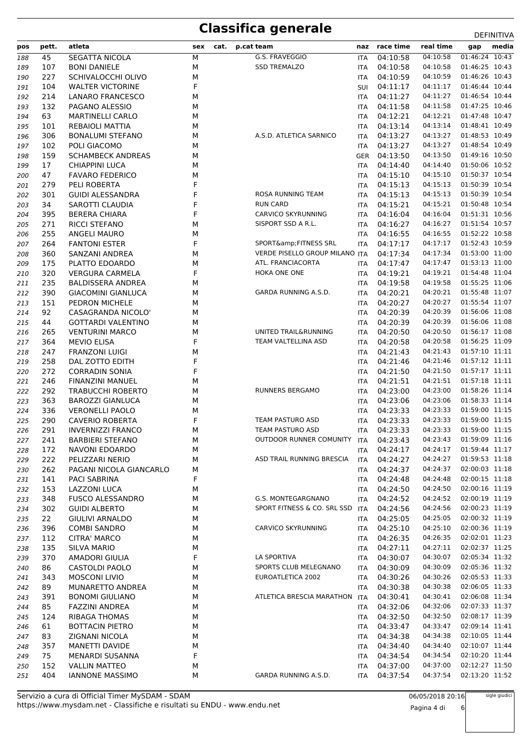| pos | pett. | atleta                    | sex | cat. | p.cat team                      | naz        | race time | real time | gap            | media |
|-----|-------|---------------------------|-----|------|---------------------------------|------------|-----------|-----------|----------------|-------|
|     |       |                           |     |      | G.S. FRAVEGGIO                  |            |           | 04:10:58  | 01:46:24 10:43 |       |
| 188 | 45    | <b>SEGATTA NICOLA</b>     | М   |      |                                 | <b>ITA</b> | 04:10:58  |           |                |       |
| 189 | 107   | <b>BONI DANIELE</b>       | M   |      | <b>SSD TREMALZO</b>             | ITA        | 04:10:58  | 04:10:58  | 01:46:25 10:43 |       |
| 190 | 227   | SCHIVALOCCHI OLIVO        | М   |      |                                 | <b>ITA</b> | 04:10:59  | 04:10:59  | 01:46:26 10:43 |       |
| 191 | 104   | <b>WALTER VICTORINE</b>   | F   |      |                                 | SUI        | 04:11:17  | 04:11:17  | 01:46:44 10:44 |       |
| 192 | 214   | <b>LANARO FRANCESCO</b>   | М   |      |                                 | ITA        | 04:11:27  | 04:11:27  | 01:46:54 10:44 |       |
| 193 | 132   | PAGANO ALESSIO            | М   |      |                                 | ITA        | 04:11:58  | 04:11:58  | 01:47:25 10:46 |       |
| 194 | 63    | <b>MARTINELLI CARLO</b>   | М   |      |                                 | ITA        | 04:12:21  | 04:12:21  | 01:47:48 10:47 |       |
| 195 | 101   | REBAIOLI MATTIA           | М   |      |                                 | ITA        | 04:13:14  | 04:13:14  | 01:48:41 10:49 |       |
| 196 | 306   | <b>BONALUMI STEFANO</b>   | М   |      | A.S.D. ATLETICA SARNICO         | <b>ITA</b> | 04:13:27  | 04:13:27  | 01:48:53 10:49 |       |
| 197 | 102   | POLI GIACOMO              | M   |      |                                 | ITA        | 04:13:27  | 04:13:27  | 01:48:54 10:49 |       |
| 198 | 159   | <b>SCHAMBECK ANDREAS</b>  | М   |      |                                 | GER        | 04:13:50  | 04:13:50  | 01:49:16 10:50 |       |
| 199 | 17    | <b>CHIAPPINI LUCA</b>     | М   |      |                                 | ITA        | 04:14:40  | 04:14:40  | 01:50:06 10:52 |       |
| 200 | 47    | <b>FAVARO FEDERICO</b>    | м   |      |                                 | ITA        | 04:15:10  | 04:15:10  | 01:50:37 10:54 |       |
| 201 | 279   | PELI ROBERTA              | F   |      |                                 | ITA        | 04:15:13  | 04:15:13  | 01:50:39 10:54 |       |
| 202 | 301   | <b>GUIDI ALESSANDRA</b>   | F   |      | ROSA RUNNING TEAM               | <b>ITA</b> | 04:15:13  | 04:15:13  | 01:50:39 10:54 |       |
|     | 34    |                           | F   |      | <b>RUN CARD</b>                 |            | 04:15:21  | 04:15:21  | 01:50:48 10:54 |       |
| 203 |       | SAROTTI CLAUDIA           |     |      |                                 | ITA        |           |           |                |       |
| 204 | 395   | <b>BERERA CHIARA</b>      | F   |      | CARVICO SKYRUNNING              | <b>ITA</b> | 04:16:04  | 04:16:04  | 01:51:31 10:56 |       |
| 205 | 271   | RICCI STEFANO             | м   |      | SISPORT SSD A R.L.              | ITA        | 04:16:27  | 04:16:27  | 01:51:54 10:57 |       |
| 206 | 255   | ANGELI MAURO              | м   |      |                                 | ITA        | 04:16:55  | 04:16:55  | 01:52:22 10:58 |       |
| 207 | 264   | <b>FANTONI ESTER</b>      | F   |      | SPORT&FITNESS SRL               | <b>ITA</b> | 04:17:17  | 04:17:17  | 01:52:43 10:59 |       |
| 208 | 360   | SANZANI ANDREA            | м   |      | VERDE PISELLO GROUP MILANO ITA  |            | 04:17:34  | 04:17:34  | 01:53:00 11:00 |       |
| 209 | 175   | PLATTO EDOARDO            | M   |      | ATL. FRANCIACORTA               | ITA        | 04:17:47  | 04:17:47  | 01:53:13 11:00 |       |
| 210 | 320   | <b>VERGURA CARMELA</b>    | F   |      | HOKA ONE ONE                    | <b>ITA</b> | 04:19:21  | 04:19:21  | 01:54:48 11:04 |       |
| 211 | 235   | <b>BALDISSERA ANDREA</b>  | М   |      |                                 | ITA        | 04:19:58  | 04:19:58  | 01:55:25 11:06 |       |
| 212 | 390   | <b>GIACOMINI GIANLUCA</b> | М   |      | GARDA RUNNING A.S.D.            | ITA        | 04:20:21  | 04:20:21  | 01:55:48 11:07 |       |
| 213 | 151   | PEDRON MICHELE            | М   |      |                                 | ITA        | 04:20:27  | 04:20:27  | 01:55:54 11:07 |       |
| 214 | 92    | CASAGRANDA NICOLO'        | М   |      |                                 | ITA        | 04:20:39  | 04:20:39  | 01:56:06 11:08 |       |
| 215 | 44    | <b>GOTTARDI VALENTINO</b> | М   |      |                                 | ITA        | 04:20:39  | 04:20:39  | 01:56:06 11:08 |       |
|     |       |                           |     |      |                                 |            |           |           | 01:56:17 11:08 |       |
| 216 | 265   | <b>VENTURINI MARCO</b>    | М   |      | UNITED TRAIL&RUNNING            | <b>ITA</b> | 04:20:50  | 04:20:50  |                |       |
| 217 | 364   | <b>MEVIO ELISA</b>        | F   |      | TEAM VALTELLINA ASD             | ITA        | 04:20:58  | 04:20:58  | 01:56:25 11:09 |       |
| 218 | 247   | <b>FRANZONI LUIGI</b>     | м   |      |                                 | ITA        | 04:21:43  | 04:21:43  | 01:57:10 11:11 |       |
| 219 | 258   | DAL ZOTTO EDITH           | F   |      |                                 | ITA        | 04:21:46  | 04:21:46  | 01:57:12 11:11 |       |
| 220 | 272   | <b>CORRADIN SONIA</b>     | F   |      |                                 | ITA        | 04:21:50  | 04:21:50  | 01:57:17 11:11 |       |
| 221 | 246   | <b>FINANZINI MANUEL</b>   | M   |      |                                 | ITA        | 04:21:51  | 04:21:51  | 01:57:18 11:11 |       |
| 222 | 292   | <b>TRABUCCHI ROBERTO</b>  | М   |      | RUNNERS BERGAMO                 | <b>ITA</b> | 04:23:00  | 04:23:00  | 01:58:26 11:14 |       |
| 223 | 363   | <b>BAROZZI GIANLUCA</b>   | М   |      |                                 | ITA        | 04:23:06  | 04:23:06  | 01:58:33 11:14 |       |
| 224 | 336   | <b>VERONELLI PAOLO</b>    | м   |      |                                 | ITA        | 04:23:33  | 04:23:33  | 01:59:00 11:15 |       |
| 225 | 290   | <b>CAVERIO ROBERTA</b>    | F   |      | <b>TEAM PASTURO ASD</b>         | <b>ITA</b> | 04:23:33  | 04:23:33  | 01:59:00 11:15 |       |
| 226 | 291   | <b>INVERNIZZI FRANCO</b>  | м   |      | TEAM PASTURO ASD                | <b>ITA</b> | 04:23:33  | 04:23:33  | 01:59:00 11:15 |       |
| 227 | 241   | <b>BARBIERI STEFANO</b>   | М   |      | OUTDOOR RUNNER COMUNITY         | ITA        | 04:23:43  | 04:23:43  | 01:59:09 11:16 |       |
| 228 | 172   | NAVONI EDOARDO            | М   |      |                                 | <b>ITA</b> | 04:24:17  | 04:24:17  | 01:59:44 11:17 |       |
|     | 222   | PELIZZARI NERIO           | М   |      | ASD TRAIL RUNNING BRESCIA       | <b>ITA</b> | 04:24:27  | 04:24:27  | 01:59:53 11:18 |       |
| 229 |       |                           |     |      |                                 |            |           |           |                |       |
| 230 | 262   | PAGANI NICOLA GIANCARLO   | М   |      |                                 | ITA        | 04:24:37  | 04:24:37  | 02:00:03 11:18 |       |
| 231 | 141   | PACI SABRINA              | F   |      |                                 | ITA.       | 04:24:48  | 04:24:48  | 02:00:15 11:18 |       |
| 232 | 153   | <b>LAZZONI LUCA</b>       | М   |      |                                 | ITA        | 04:24:50  | 04:24:50  | 02:00:16 11:19 |       |
| 233 | 348   | <b>FUSCO ALESSANDRO</b>   | М   |      | G.S. MONTEGARGNANO              | ITA        | 04:24:52  | 04:24:52  | 02:00:19 11:19 |       |
| 234 | 302   | <b>GUIDI ALBERTO</b>      | М   |      | SPORT FITNESS & CO. SRL SSD ITA |            | 04:24:56  | 04:24:56  | 02:00:23 11:19 |       |
| 235 | 22    | <b>GIULIVI ARNALDO</b>    | М   |      |                                 | <b>ITA</b> | 04:25:05  | 04:25:05  | 02:00:32 11:19 |       |
| 236 | 396   | <b>COMBI SANDRO</b>       | М   |      | CARVICO SKYRUNNING              | ITA        | 04:25:10  | 04:25:10  | 02:00:36 11:19 |       |
| 237 | 112   | <b>CITRA' MARCO</b>       | М   |      |                                 | ITA        | 04:26:35  | 04:26:35  | 02:02:01 11:23 |       |
| 238 | 135   | <b>SILVA MARIO</b>        | м   |      |                                 | <b>ITA</b> | 04:27:11  | 04:27:11  | 02:02:37 11:25 |       |
| 239 | 370   | AMADORI GIULIA            | F   |      | LA SPORTIVA                     | ITA        | 04:30:07  | 04:30:07  | 02:05:34 11:32 |       |
| 240 | 86    | CASTOLDI PAOLO            | М   |      | SPORTS CLUB MELEGNANO           | ITA        | 04:30:09  | 04:30:09  | 02:05:36 11:32 |       |
| 241 | 343   | <b>MOSCONI LIVIO</b>      | м   |      | EUROATLETICA 2002               | <b>ITA</b> | 04:30:26  | 04:30:26  | 02:05:53 11:33 |       |
| 242 | 89    | MUNARETTO ANDREA          | М   |      |                                 | <b>ITA</b> | 04:30:38  | 04:30:38  | 02:06:05 11:33 |       |
| 243 | 391   | <b>BONOMI GIULIANO</b>    | М   |      | ATLETICA BRESCIA MARATHON ITA   |            | 04:30:41  | 04:30:41  | 02:06:08 11:34 |       |
| 244 | 85    | <b>FAZZINI ANDREA</b>     | М   |      |                                 | <b>ITA</b> | 04:32:06  | 04:32:06  | 02:07:33 11:37 |       |
|     |       |                           |     |      |                                 |            |           | 04:32:50  | 02:08:17 11:39 |       |
| 245 | 124   | <b>RIBAGA THOMAS</b>      | М   |      |                                 | <b>ITA</b> | 04:32:50  |           |                |       |
| 246 | 61    | <b>BOTTACIN PIETRO</b>    | М   |      |                                 | ITA        | 04:33:47  | 04:33:47  | 02:09:14 11:41 |       |
| 247 | 83    | <b>ZIGNANI NICOLA</b>     | М   |      |                                 | ITA        | 04:34:38  | 04:34:38  | 02:10:05 11:44 |       |
| 248 | 357   | <b>MANETTI DAVIDE</b>     | м   |      |                                 | <b>ITA</b> | 04:34:40  | 04:34:40  | 02:10:07 11:44 |       |
| 249 | 75    | MENARDI SUSANNA           | F   |      |                                 | ITA        | 04:34:54  | 04:34:54  | 02:10:20 11:44 |       |
| 250 | 152   | <b>VALLIN MATTEO</b>      | М   |      |                                 | ITA        | 04:37:00  | 04:37:00  | 02:12:27 11:50 |       |
| 251 | 404   | <b>IANNONE MASSIMO</b>    | М   |      | GARDA RUNNING A.S.D.            | <b>ITA</b> | 04:37:54  | 04:37:54  | 02:13:20 11:52 |       |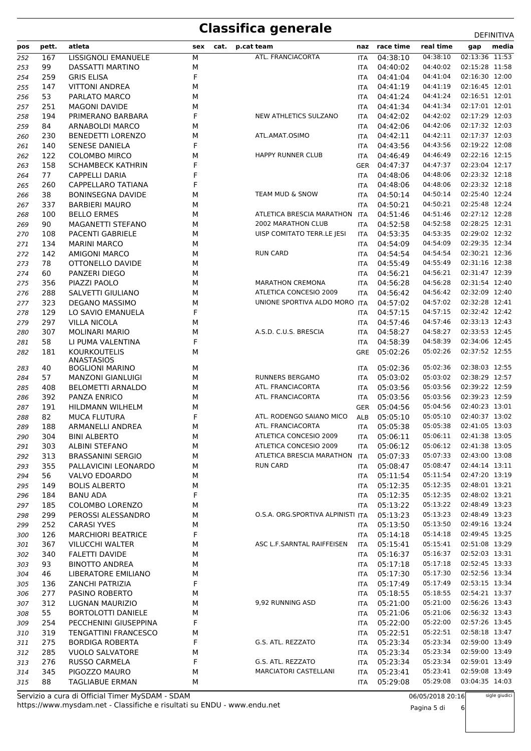| pos | pett. | atleta                      | sex | cat. | p.cat team                        | naz        | race time    | real time | gap            | media |
|-----|-------|-----------------------------|-----|------|-----------------------------------|------------|--------------|-----------|----------------|-------|
| 252 | 167   | LISSIGNOLI EMANUELE         | M   |      | ATL. FRANCIACORTA                 | <b>ITA</b> | 04:38:10     | 04:38:10  | 02:13:36 11:53 |       |
| 253 | 99    | <b>DASSATTI MARTINO</b>     | M   |      |                                   | ITA        | 04:40:02     | 04:40:02  | 02:15:28 11:58 |       |
| 254 | 259   | <b>GRIS ELISA</b>           | F   |      |                                   | <b>ITA</b> | 04:41:04     | 04:41:04  | 02:16:30 12:00 |       |
| 255 | 147   | <b>VITTONI ANDREA</b>       | М   |      |                                   | <b>ITA</b> | 04:41:19     | 04:41:19  | 02:16:45 12:01 |       |
| 256 | 53    | PARLATO MARCO               | М   |      |                                   | ITA        | 04:41:24     | 04:41:24  | 02:16:51 12:01 |       |
| 257 | 251   | <b>MAGONI DAVIDE</b>        | М   |      |                                   | ITA        | 04:41:34     | 04:41:34  | 02:17:01 12:01 |       |
| 258 | 194   | PRIMERANO BARBARA           | F   |      | NEW ATHLETICS SULZANO             | <b>ITA</b> | 04:42:02     | 04:42:02  | 02:17:29 12:03 |       |
| 259 | 84    | ARNABOLDI MARCO             | М   |      |                                   | ITA        | 04:42:06     | 04:42:06  | 02:17:32 12:03 |       |
| 260 | 230   | <b>BENEDETTI LORENZO</b>    | М   |      | ATL.AMAT.OSIMO                    | <b>ITA</b> | 04:42:11     | 04:42:11  | 02:17:37 12:03 |       |
| 261 | 140   | <b>SENESE DANIELA</b>       | F   |      |                                   | <b>ITA</b> | 04:43:56     | 04:43:56  | 02:19:22 12:08 |       |
| 262 | 122   | <b>COLOMBO MIRCO</b>        | М   |      | HAPPY RUNNER CLUB                 | <b>ITA</b> | 04:46:49     | 04:46:49  | 02:22:16 12:15 |       |
| 263 | 158   | <b>SCHAMBECK KATHRIN</b>    | F   |      |                                   | GER        | 04:47:37     | 04:47:37  | 02:23:04 12:17 |       |
| 264 | 77    | <b>CAPPELLI DARIA</b>       | F   |      |                                   | <b>ITA</b> | 04:48:06     | 04:48:06  | 02:23:32 12:18 |       |
| 265 | 260   | CAPPELLARO TATIANA          | F   |      |                                   | ITA        | 04:48:06     | 04:48:06  | 02:23:32 12:18 |       |
| 266 | 38    | <b>BONINSEGNA DAVIDE</b>    | М   |      | TEAM MUD & SNOW                   | <b>ITA</b> | 04:50:14     | 04:50:14  | 02:25:40 12:24 |       |
| 267 | 337   | <b>BARBIERI MAURO</b>       | М   |      |                                   | <b>ITA</b> | 04:50:21     | 04:50:21  | 02:25:48 12:24 |       |
| 268 | 100   | <b>BELLO ERMES</b>          | М   |      | ATLETICA BRESCIA MARATHON ITA     |            | 04:51:46     | 04:51:46  | 02:27:12 12:28 |       |
| 269 | 90    | MAGANETTI STEFANO           | М   |      | 2002 MARATHON CLUB                | <b>ITA</b> | 04:52:58     | 04:52:58  | 02:28:25 12:31 |       |
| 270 | 108   | <b>PACENTI GABRIELE</b>     | М   |      | UISP COMITATO TERR.LE JESI        | ITA        | 04:53:35     | 04:53:35  | 02:29:02 12:32 |       |
| 271 | 134   | <b>MARINI MARCO</b>         | М   |      |                                   | <b>ITA</b> | 04:54:09     | 04:54:09  | 02:29:35 12:34 |       |
| 272 | 142   | AMIGONI MARCO               | M   |      | <b>RUN CARD</b>                   | <b>ITA</b> | 04:54:54     | 04:54:54  | 02:30:21 12:36 |       |
| 273 | 78    | OTTONELLO DAVIDE            | М   |      |                                   | ITA        | 04:55:49     | 04:55:49  | 02:31:16 12:38 |       |
| 274 | 60    | PANZERI DIEGO               | м   |      |                                   | <b>ITA</b> | 04:56:21     | 04:56:21  | 02:31:47 12:39 |       |
| 275 | 356   | PIAZZI PAOLO                | М   |      | <b>MARATHON CREMONA</b>           | ITA        | 04:56:28     | 04:56:28  | 02:31:54 12:40 |       |
| 276 | 288   | SALVETTI GIULIANO           | М   |      | ATLETICA CONCESIO 2009            | ITA        | 04:56:42     | 04:56:42  | 02:32:09 12:40 |       |
| 277 | 323   | DEGANO MASSIMO              | М   |      | UNIONE SPORTIVA ALDO MORO ITA     |            | 04:57:02     | 04:57:02  | 02:32:28 12:41 |       |
| 278 | 129   | LO SAVIO EMANUELA           | F   |      |                                   | ITA        | 04:57:15     | 04:57:15  | 02:32:42 12:42 |       |
| 279 | 297   | <b>VILLA NICOLA</b>         | М   |      |                                   | ITA        | 04:57:46     | 04:57:46  | 02:33:13 12:43 |       |
| 280 | 307   | <b>MOLINARI MARIO</b>       | М   |      | A.S.D. C.U.S. BRESCIA             | <b>ITA</b> | 04:58:27     | 04:58:27  | 02:33:53 12:45 |       |
| 281 | 58    | LI PUMA VALENTINA           | F   |      |                                   | <b>ITA</b> | 04:58:39     | 04:58:39  | 02:34:06 12:45 |       |
| 282 | 181   | <b>KOURKOUTELIS</b>         | М   |      |                                   | <b>GRE</b> | 05:02:26     | 05:02:26  | 02:37:52 12:55 |       |
|     |       | ANASTASIOS                  |     |      |                                   |            |              |           |                |       |
| 283 | 40    | <b>BOGLIONI MARINO</b>      | М   |      |                                   | <b>ITA</b> | 05:02:36     | 05:02:36  | 02:38:03 12:55 |       |
| 284 | 57    | <b>MANZONI GIANLUIGI</b>    | М   |      | RUNNERS BERGAMO                   | <b>ITA</b> | 05:03:02     | 05:03:02  | 02:38:29 12:57 |       |
| 285 | 408   | <b>BELOMETTI ARNALDO</b>    | М   |      | ATL. FRANCIACORTA                 | <b>ITA</b> | 05:03:56     | 05:03:56  | 02:39:22 12:59 |       |
| 286 | 392   | PANZA ENRICO                | М   |      | ATL. FRANCIACORTA                 | ITA        | 05:03:56     | 05:03:56  | 02:39:23 12:59 |       |
| 287 | 191   | <b>HILDMANN WILHELM</b>     | М   |      |                                   | GER        | 05:04:56     | 05:04:56  | 02:40:23 13:01 |       |
| 288 | 82    | <b>MUCA FLUTURA</b>         | F   |      | ATL. RODENGO SAIANO MICO          | ALB        | 05:05:10     | 05:05:10  | 02:40:37 13:02 |       |
| 289 | 188   | ARMANELLI ANDREA            | М   |      | ATL. FRANCIACORTA                 | <b>ITA</b> | 05:05:38     | 05:05:38  | 02:41:05 13:03 |       |
| 290 | 304   | <b>BINI ALBERTO</b>         | м   |      | ATLETICA CONCESIO 2009            |            | ITA 05:06:11 | 05:06:11  | 02:41:38 13:05 |       |
| 291 | 303   | <b>ALBINI STEFANO</b>       | М   |      | ATLETICA CONCESIO 2009            | ITA.       | 05:06:12     | 05:06:12  | 02:41:38 13:05 |       |
| 292 | 313   | <b>BRASSANINI SERGIO</b>    | М   |      | ATLETICA BRESCIA MARATHON ITA     |            | 05:07:33     | 05:07:33  | 02:43:00 13:08 |       |
| 293 | 355   | PALLAVICINI LEONARDO        | М   |      | <b>RUN CARD</b>                   | ITA        | 05:08:47     | 05:08:47  | 02:44:14 13:11 |       |
| 294 | 56    | VALVO EDOARDO               | М   |      |                                   | ITA.       | 05:11:54     | 05:11:54  | 02:47:20 13:19 |       |
| 295 | 149   | <b>BOLIS ALBERTO</b>        | М   |      |                                   | ITA        | 05:12:35     | 05:12:35  | 02:48:01 13:21 |       |
| 296 | 184   | <b>BANU ADA</b>             | F   |      |                                   | <b>ITA</b> | 05:12:35     | 05:12:35  | 02:48:02 13:21 |       |
| 297 | 185   | COLOMBO LORENZO             | М   |      |                                   | ITA.       | 05:13:22     | 05:13:22  | 02:48:49 13:23 |       |
| 298 | 299   | PEROSSI ALESSANDRO          | М   |      | O.S.A. ORG.SPORTIVA ALPINISTI ITA |            | 05:13:23     | 05:13:23  | 02:48:49 13:23 |       |
| 299 | 252   | <b>CARASI YVES</b>          | М   |      |                                   | <b>ITA</b> | 05:13:50     | 05:13:50  | 02:49:16 13:24 |       |
| 300 | 126   | <b>MARCHIORI BEATRICE</b>   | F   |      |                                   | ITA        | 05:14:18     | 05:14:18  | 02:49:45 13:25 |       |
| 301 | 367   | <b>VILUCCHI WALTER</b>      | М   |      | ASC L.F.SARNTAL RAIFFEISEN        | <b>ITA</b> | 05:15:41     | 05:15:41  | 02:51:08 13:29 |       |
| 302 | 340   | <b>FALETTI DAVIDE</b>       | М   |      |                                   | <b>ITA</b> | 05:16:37     | 05:16:37  | 02:52:03 13:31 |       |
| 303 | 93    | <b>BINOTTO ANDREA</b>       | М   |      |                                   | ITA.       | 05:17:18     | 05:17:18  | 02:52:45 13:33 |       |
| 304 | 46    | LIBERATORE EMILIANO         | М   |      |                                   | <b>ITA</b> | 05:17:30     | 05:17:30  | 02:52:56 13:34 |       |
| 305 | 136   | <b>ZANCHI PATRIZIA</b>      | F   |      |                                   | ITA        | 05:17:49     | 05:17:49  | 02:53:15 13:34 |       |
| 306 | 277   | PASINO ROBERTO              | М   |      |                                   | ITA        | 05:18:55     | 05:18:55  | 02:54:21 13:37 |       |
| 307 | 312   | LUGNAN MAURIZIO             | М   |      | 9,92 RUNNING ASD                  | ITA        | 05:21:00     | 05:21:00  | 02:56:26 13:43 |       |
| 308 | 55    | <b>BORTOLOTTI DANIELE</b>   | М   |      |                                   | <b>ITA</b> | 05:21:06     | 05:21:06  | 02:56:32 13:43 |       |
| 309 | 254   | PECCHENINI GIUSEPPINA       | F   |      |                                   | ITA        | 05:22:00     | 05:22:00  | 02:57:26 13:45 |       |
| 310 | 319   | <b>TENGATTINI FRANCESCO</b> | М   |      |                                   | ITA        | 05:22:51     | 05:22:51  | 02:58:18 13:47 |       |
| 311 | 275   | <b>BORDIGA ROBERTA</b>      | F   |      | G.S. ATL. REZZATO                 | ITA        | 05:23:34     | 05:23:34  | 02:59:00 13:49 |       |
| 312 | 285   | <b>VUOLO SALVATORE</b>      | М   |      |                                   | ITA        | 05:23:34     | 05:23:34  | 02:59:00 13:49 |       |
| 313 | 276   | RUSSO CARMELA               | F   |      | G.S. ATL. REZZATO                 | ITA        | 05:23:34     | 05:23:34  | 02:59:01 13:49 |       |
| 314 | 345   | PIGOZZO MAURO               | М   |      | MARCIATORI CASTELLANI             | ITA        | 05:23:41     | 05:23:41  | 02:59:08 13:49 |       |
| 315 | 88    | TAGLIABUE ERMAN             | М   |      |                                   | ITA        | 05:29:08     | 05:29:08  | 03:04:35 14:03 |       |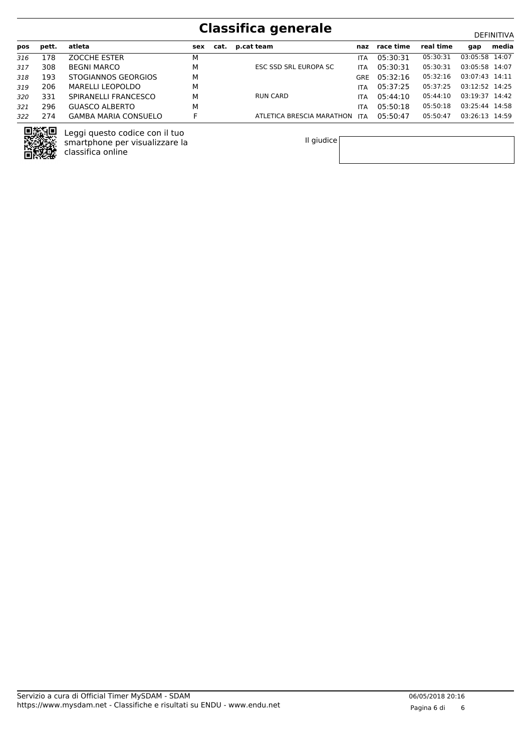| pos | pett. | atleta                      | sex | cat. | p.cat team                | naz        | race time | real time | qap            | media |
|-----|-------|-----------------------------|-----|------|---------------------------|------------|-----------|-----------|----------------|-------|
| 316 | 178   | <b>ZOCCHE ESTER</b>         | м   |      |                           | <b>ITA</b> | 05:30:31  | 05:30:31  | 03:05:58 14:07 |       |
| 317 | 308   | <b>BEGNI MARCO</b>          | М   |      | ESC SSD SRL EUROPA SC     | <b>ITA</b> | 05:30:31  | 05:30:31  | 03:05:58 14:07 |       |
| 318 | 193   | STOGIANNOS GEORGIOS         | M   |      |                           | GRF        | 05:32:16  | 05:32:16  | 03:07:43 14:11 |       |
| 319 | 206   | MARELLI LEOPOLDO            | М   |      |                           | <b>ITA</b> | 05:37:25  | 05:37:25  | 03:12:52 14:25 |       |
| 320 | 331   | SPIRANELLI FRANCESCO        | М   |      | RUN CARD                  | <b>ITA</b> | 05:44:10  | 05:44:10  | 03:19:37 14:42 |       |
| 321 | 296   | GUASCO ALBERTO              | М   |      |                           | <b>ITA</b> | 05:50:18  | 05:50:18  | 03:25:44 14:58 |       |
| 322 | 274   | <b>GAMBA MARIA CONSUELO</b> |     |      | ATLETICA BRESCIA MARATHON | <b>ITA</b> | 05:50:47  | 05:50:47  | 03:26:13 14:59 |       |

Il giudice



Leggi questo codice con il tuo smartphone per visualizzare la

classifica online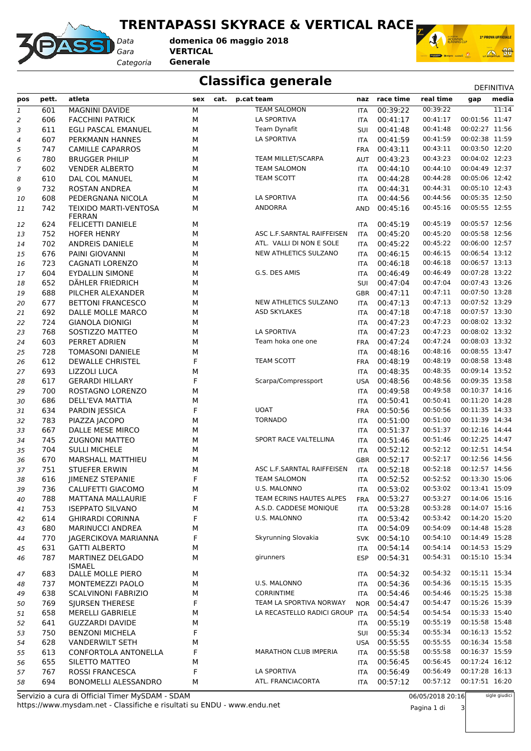**TRENTAPASSI SKYRACE & VERTICAL RACE**



*Gara* **VERTICAL** *Categoria* **Generale domenica 06 maggio 2018**



#### **Classifica generale** Department of the DEFINITIVA

| 00:39:22<br>11:14<br>601<br><b>MAGNINI DAVIDE</b><br>М<br><b>TEAM SALOMON</b><br>00:39:22<br>$\mathfrak 1$<br><b>ITA</b><br>00:01:56 11:47<br>LA SPORTIVA<br>00:41:17<br>606<br><b>FACCHINI PATRICK</b><br>М<br>00:41:17<br>$\overline{c}$<br><b>ITA</b><br>00:02:27 11:56<br>Team Dynafit<br>00:41:48<br>00:41:48<br>611<br>EGLI PASCAL EMANUEL<br>M<br>З<br>SUI<br>00:02:38 11:59<br>LA SPORTIVA<br>00:41:59<br>607<br>М<br>00:41:59<br>PERKMANN HANNES<br>4<br>ITA<br>00:03:50 12:20<br>00:43:11<br>747<br><b>CAMILLE CAPARROS</b><br>М<br>00:43:11<br>5<br><b>FRA</b><br>00:04:02 12:23<br>TEAM MILLET/SCARPA<br>00:43:23<br>00:43:23<br>780<br><b>BRUGGER PHILIP</b><br>М<br>6<br>AUT<br>00:04:49 12:37<br>00:44:10<br>602<br><b>VENDER ALBERTO</b><br>М<br><b>TEAM SALOMON</b><br>00:44:10<br>7<br><b>ITA</b><br>00:05:06 12:42<br>610<br><b>TEAM SCOTT</b><br>00:44:28<br>DAL COL MANUEL<br>М<br>00:44:28<br>8<br><b>ITA</b><br>00:05:10 12:43<br>732<br><b>ROSTAN ANDREA</b><br>M<br>00:44:31<br>00:44:31<br><b>ITA</b><br>9<br>00:05:35 12:50<br>608<br><b>LA SPORTIVA</b><br>00:44:56<br>PEDERGNANA NICOLA<br>М<br>00:44:56<br><b>ITA</b><br>10<br>00:05:55 12:55<br>742<br>ANDORRA<br>00:45:16<br>TEIXIDO MARTI-VENTOSA<br>М<br>00:45:16<br>AND<br>11<br><b>FERRAN</b><br>00:05:57 12:56<br>FELICETTI DANIELE<br>00:45:19<br>00:45:19<br>624<br>М<br><b>ITA</b><br>12<br>00:45:20<br>00:05:58 12:56<br>752<br><b>HOFER HENRY</b><br>М<br>ASC L.F.SARNTAL RAIFFEISEN<br>00:45:20<br><b>ITA</b><br>13<br>ATL. VALLI DI NON E SOLE<br>00:45:22<br>00:06:00 12:57<br>702<br>ANDREIS DANIELE<br>М<br>00:45:22<br><b>ITA</b><br>14<br>NEW ATHLETICS SULZANO<br>00:06:54 13:12<br>00:46:15<br>676<br>PAINI GIOVANNI<br>М<br>00:46:15<br>15<br><b>ITA</b><br>00:06:57 13:13<br>00:46:18<br>723<br><b>CAGNATI LORENZO</b><br>M<br>00:46:18<br>16<br><b>ITA</b><br>00:07:28 13:22<br>604<br><b>EYDALLIN SIMONE</b><br>М<br>G.S. DES AMIS<br>00:46:49<br>00:46:49<br><b>ITA</b><br>17<br>00:07:43 13:26<br>652<br>00:47:04<br>DÄHLER FRIEDRICH<br>М<br>00:47:04<br>SUI<br>18<br>00:07:50 13:28<br>688<br>PILCHER ALEXANDER<br>М<br>00:47:11<br>00:47:11<br><b>GBR</b><br>19<br>NEW ATHLETICS SULZANO<br>00:07:52 13:29<br>677<br><b>BETTONI FRANCESCO</b><br>М<br>00:47:13<br>00:47:13<br><b>ITA</b><br>20<br>00:07:57 13:30<br><b>ASD SKYLAKES</b><br>00:47:18<br>692<br>DALLE MOLLE MARCO<br>М<br>00:47:18<br>21<br><b>ITA</b><br>00:47:23<br>00:08:02 13:32<br>724<br><b>GIANOLA DIONIGI</b><br>M<br>00:47:23<br>22<br><b>ITA</b><br>00:47:23<br>00:08:02 13:32<br>768<br>М<br><b>LA SPORTIVA</b><br>00:47:23<br>SOSTIZZO MATTEO<br>23<br><b>ITA</b><br>00:08:03 13:32<br>Team hoka one one<br>00:47:24<br>603<br>PERRET ADRIEN<br>М<br>00:47:24<br><b>FRA</b><br>24<br>00:08:55 13:47<br>00:48:16<br>728<br><b>TOMASONI DANIELE</b><br>M<br>00:48:16<br><b>ITA</b><br>25<br>F<br>00:48:19<br>00:08:58 13:48<br>612<br><b>DEWALLE CHRISTEL</b><br>TEAM SCOTT<br>00:48:19<br><b>FRA</b><br>26<br>00:09:14 13:52<br>693<br>00:48:35<br>LIZZOLI LUCA<br>M<br>00:48:35<br>27<br>ITA<br>00:09:35 13:58<br>F<br>00:48:56<br>617<br><b>GERARDI HILLARY</b><br>Scarpa/Compressport<br>00:48:56<br><b>USA</b><br>28<br>00:10:37 14:16<br>700<br>М<br>00:49:58<br>ROSTAGNO LORENZO<br>00:49:58<br><b>ITA</b><br>29<br>00:11:20 14:28<br>00:50:41<br>686<br>DELL'EVA MATTIA<br>M<br>00:50:41<br><b>ITA</b><br>30<br>F<br><b>UOAT</b><br>00:50:56<br>00:11:35 14:33<br>634<br>PARDIN JESSICA<br>00:50:56<br><b>FRA</b><br>31<br>00:11:39 14:34<br><b>TORNADO</b><br>00:51:00<br>783<br>PIAZZA JACOPO<br>М<br>00:51:00<br><b>ITA</b><br>32<br>00:12:16 14:44<br>00:51:37<br>667<br>DALLE MESE MIRCO<br>М<br>00:51:37<br>33<br><b>ITA</b><br>00:12:25 14:47<br>745<br>M<br>SPORT RACE VALTELLINA<br>00:51:46<br>00:51:46<br><b>ZUGNONI MATTEO</b><br><b>ITA</b><br>34<br>00:12:51 14:54<br>00:52:12<br>704<br>М<br>00:52:12<br><b>SULLI MICHELE</b><br><b>ITA</b><br>35<br>00:12:56 14:56<br>00:52:17<br>670<br>MARSHALL MATTHIEU<br>М<br>GBR<br>00:52:17<br>36<br>00:12:57 14:56<br>751<br><b>STUEFER ERWIN</b><br>M<br>ASC L.F.SARNTAL RAIFFEISEN<br>00:52:18<br>00:52:18<br><b>ITA</b><br>37<br>00:13:30 15:06<br>F<br><b>TEAM SALOMON</b><br>00:52:52<br>616<br><b>JIMENEZ STEPANIE</b><br>00:52:52<br><b>ITA</b><br>38<br>U.S. MALONNO<br>00:53:02<br>00:13:41 15:09<br>736<br>00:53:02<br>39<br>CALUFETTI GIACOMO<br>М<br><b>ITA</b><br>F<br>TEAM ECRINS HAUTES ALPES<br>00:14:06 15:16<br>788<br>MATTANA MALLAURIE<br>00:53:27<br>00:53:27<br>40<br>FRA<br>00:14:07 15:16<br>A.S.D. CADDESE MONIQUE<br>00:53:28<br>M<br>00:53:28<br>753<br><b>ISEPPATO SILVANO</b><br><b>ITA</b><br>41<br>F<br>U.S. MALONNO<br>00:53:42<br>00:14:20 15:20<br>614<br>00:53:42<br><b>GHIRARDI CORINNA</b><br>42<br>ITA<br>00:14:48 15:28<br>680<br>MARINUCCI ANDREA<br>00:54:09<br>00:54:09<br>М<br><b>ITA</b><br>43<br>00:14:49 15:28<br>F<br>Skyrunning Slovakia<br>00:54:10<br>00:54:10<br>770<br><b>JAGERCIKOVA MARIANNA</b><br><b>SVK</b><br>44<br>00:54:14<br>00:14:53 15:29<br>631<br>00:54:14<br><b>GATTI ALBERTO</b><br>М<br>45<br>ITA<br>00:15:10 15:34<br>girunners<br>00:54:31<br>00:54:31<br>787<br>MARTINEZ DELGADO<br>М<br>ESP<br>46<br>ISMAEL<br>00:54:32<br>00:54:32<br>00:15:11 15:34<br>683<br>DALLE MOLLE PIERO<br>М<br>47<br>ITA<br>00:15:15 15:35<br>U.S. MALONNO<br>00:54:36<br>М<br>00:54:36<br>737<br>MONTEMEZZI PAOLO<br><b>ITA</b><br>48<br>00:15:25 15:38<br>638<br>М<br><b>CORRINTIME</b><br>00:54:46<br>00:54:46<br><b>SCALVINONI FABRIZIO</b><br><b>ITA</b><br>49<br>F<br>00:15:26 15:39<br>TEAM LA SPORTIVA NORWAY<br>00:54:47<br>00:54:47<br>769<br><b>SJURSEN THERESE</b><br><b>NOR</b><br>50<br>LA RECASTELLO RADICI GROUP ITA<br>00:54:54<br>00:15:33 15:40<br>00:54:54<br>658<br><b>MERELLI GABRIELE</b><br>М<br>51<br>00:55:19<br>00:55:19<br>00:15:58 15:48<br>641<br><b>GUZZARDI DAVIDE</b><br>М<br>52<br>ITA<br>F<br>00:55:34<br>00:55:34<br>00:16:13 15:52<br>750<br><b>BENZONI MICHELA</b><br>53<br><b>SUI</b><br>00:55:55<br>00:16:34 15:58<br>628<br>00:55:55<br><b>VANDERWILT SETH</b><br>М<br><b>USA</b><br>54<br>F<br>613<br>00:55:58<br>00:55:58<br>00:16:37 15:59<br>CONFORTOLA ANTONELLA<br><b>MARATHON CLUB IMPERIA</b><br>55<br><b>ITA</b><br>655<br>00:56:45<br>00:56:45<br>00:17:24 16:12<br>SILETTO MATTEO<br>М<br>56<br>ITA<br>LA SPORTIVA<br>F<br>00:56:49<br>00:17:28 16:13<br>767<br>00:56:49<br>ROSSI FRANCESCA<br>57<br><b>ITA</b><br>694<br>BONOMELLI ALESSANDRO<br>ATL. FRANCIACORTA<br>00:57:12<br>00:57:12<br>00:17:51 16:20<br>М<br>58<br>ITA | pos | pett. | atleta | sex | cat. | p.cat team | naz | race time | real time | gap | media |
|--------------------------------------------------------------------------------------------------------------------------------------------------------------------------------------------------------------------------------------------------------------------------------------------------------------------------------------------------------------------------------------------------------------------------------------------------------------------------------------------------------------------------------------------------------------------------------------------------------------------------------------------------------------------------------------------------------------------------------------------------------------------------------------------------------------------------------------------------------------------------------------------------------------------------------------------------------------------------------------------------------------------------------------------------------------------------------------------------------------------------------------------------------------------------------------------------------------------------------------------------------------------------------------------------------------------------------------------------------------------------------------------------------------------------------------------------------------------------------------------------------------------------------------------------------------------------------------------------------------------------------------------------------------------------------------------------------------------------------------------------------------------------------------------------------------------------------------------------------------------------------------------------------------------------------------------------------------------------------------------------------------------------------------------------------------------------------------------------------------------------------------------------------------------------------------------------------------------------------------------------------------------------------------------------------------------------------------------------------------------------------------------------------------------------------------------------------------------------------------------------------------------------------------------------------------------------------------------------------------------------------------------------------------------------------------------------------------------------------------------------------------------------------------------------------------------------------------------------------------------------------------------------------------------------------------------------------------------------------------------------------------------------------------------------------------------------------------------------------------------------------------------------------------------------------------------------------------------------------------------------------------------------------------------------------------------------------------------------------------------------------------------------------------------------------------------------------------------------------------------------------------------------------------------------------------------------------------------------------------------------------------------------------------------------------------------------------------------------------------------------------------------------------------------------------------------------------------------------------------------------------------------------------------------------------------------------------------------------------------------------------------------------------------------------------------------------------------------------------------------------------------------------------------------------------------------------------------------------------------------------------------------------------------------------------------------------------------------------------------------------------------------------------------------------------------------------------------------------------------------------------------------------------------------------------------------------------------------------------------------------------------------------------------------------------------------------------------------------------------------------------------------------------------------------------------------------------------------------------------------------------------------------------------------------------------------------------------------------------------------------------------------------------------------------------------------------------------------------------------------------------------------------------------------------------------------------------------------------------------------------------------------------------------------------------------------------------------------------------------------------------------------------------------------------------------------------------------------------------------------------------------------------------------------------------------------------------------------------------------------------------------------------------------------------------------------------------------------------------------------------------------------------------------------------------------------------------------------------------------------------------------------------------------------------------------------------------------------------------------------------------------------------------------------------------------------------------------------------------------------------------------------------------------------------------------------------------------------------------------------------------------------------------------------------------------------------------------------------------------------------------------------------------------------------------------------------------------------------------------------------------------------------------------------------------------------------------------------|-----|-------|--------|-----|------|------------|-----|-----------|-----------|-----|-------|
|                                                                                                                                                                                                                                                                                                                                                                                                                                                                                                                                                                                                                                                                                                                                                                                                                                                                                                                                                                                                                                                                                                                                                                                                                                                                                                                                                                                                                                                                                                                                                                                                                                                                                                                                                                                                                                                                                                                                                                                                                                                                                                                                                                                                                                                                                                                                                                                                                                                                                                                                                                                                                                                                                                                                                                                                                                                                                                                                                                                                                                                                                                                                                                                                                                                                                                                                                                                                                                                                                                                                                                                                                                                                                                                                                                                                                                                                                                                                                                                                                                                                                                                                                                                                                                                                                                                                                                                                                                                                                                                                                                                                                                                                                                                                                                                                                                                                                                                                                                                                                                                                                                                                                                                                                                                                                                                                                                                                                                                                                                                                                                                                                                                                                                                                                                                                                                                                                                                                                                                                                                                                                                                                                                                                                                                                                                                                                                                                                                                                                                                                                                                            |     |       |        |     |      |            |     |           |           |     |       |
|                                                                                                                                                                                                                                                                                                                                                                                                                                                                                                                                                                                                                                                                                                                                                                                                                                                                                                                                                                                                                                                                                                                                                                                                                                                                                                                                                                                                                                                                                                                                                                                                                                                                                                                                                                                                                                                                                                                                                                                                                                                                                                                                                                                                                                                                                                                                                                                                                                                                                                                                                                                                                                                                                                                                                                                                                                                                                                                                                                                                                                                                                                                                                                                                                                                                                                                                                                                                                                                                                                                                                                                                                                                                                                                                                                                                                                                                                                                                                                                                                                                                                                                                                                                                                                                                                                                                                                                                                                                                                                                                                                                                                                                                                                                                                                                                                                                                                                                                                                                                                                                                                                                                                                                                                                                                                                                                                                                                                                                                                                                                                                                                                                                                                                                                                                                                                                                                                                                                                                                                                                                                                                                                                                                                                                                                                                                                                                                                                                                                                                                                                                                            |     |       |        |     |      |            |     |           |           |     |       |
|                                                                                                                                                                                                                                                                                                                                                                                                                                                                                                                                                                                                                                                                                                                                                                                                                                                                                                                                                                                                                                                                                                                                                                                                                                                                                                                                                                                                                                                                                                                                                                                                                                                                                                                                                                                                                                                                                                                                                                                                                                                                                                                                                                                                                                                                                                                                                                                                                                                                                                                                                                                                                                                                                                                                                                                                                                                                                                                                                                                                                                                                                                                                                                                                                                                                                                                                                                                                                                                                                                                                                                                                                                                                                                                                                                                                                                                                                                                                                                                                                                                                                                                                                                                                                                                                                                                                                                                                                                                                                                                                                                                                                                                                                                                                                                                                                                                                                                                                                                                                                                                                                                                                                                                                                                                                                                                                                                                                                                                                                                                                                                                                                                                                                                                                                                                                                                                                                                                                                                                                                                                                                                                                                                                                                                                                                                                                                                                                                                                                                                                                                                                            |     |       |        |     |      |            |     |           |           |     |       |
|                                                                                                                                                                                                                                                                                                                                                                                                                                                                                                                                                                                                                                                                                                                                                                                                                                                                                                                                                                                                                                                                                                                                                                                                                                                                                                                                                                                                                                                                                                                                                                                                                                                                                                                                                                                                                                                                                                                                                                                                                                                                                                                                                                                                                                                                                                                                                                                                                                                                                                                                                                                                                                                                                                                                                                                                                                                                                                                                                                                                                                                                                                                                                                                                                                                                                                                                                                                                                                                                                                                                                                                                                                                                                                                                                                                                                                                                                                                                                                                                                                                                                                                                                                                                                                                                                                                                                                                                                                                                                                                                                                                                                                                                                                                                                                                                                                                                                                                                                                                                                                                                                                                                                                                                                                                                                                                                                                                                                                                                                                                                                                                                                                                                                                                                                                                                                                                                                                                                                                                                                                                                                                                                                                                                                                                                                                                                                                                                                                                                                                                                                                                            |     |       |        |     |      |            |     |           |           |     |       |
|                                                                                                                                                                                                                                                                                                                                                                                                                                                                                                                                                                                                                                                                                                                                                                                                                                                                                                                                                                                                                                                                                                                                                                                                                                                                                                                                                                                                                                                                                                                                                                                                                                                                                                                                                                                                                                                                                                                                                                                                                                                                                                                                                                                                                                                                                                                                                                                                                                                                                                                                                                                                                                                                                                                                                                                                                                                                                                                                                                                                                                                                                                                                                                                                                                                                                                                                                                                                                                                                                                                                                                                                                                                                                                                                                                                                                                                                                                                                                                                                                                                                                                                                                                                                                                                                                                                                                                                                                                                                                                                                                                                                                                                                                                                                                                                                                                                                                                                                                                                                                                                                                                                                                                                                                                                                                                                                                                                                                                                                                                                                                                                                                                                                                                                                                                                                                                                                                                                                                                                                                                                                                                                                                                                                                                                                                                                                                                                                                                                                                                                                                                                            |     |       |        |     |      |            |     |           |           |     |       |
|                                                                                                                                                                                                                                                                                                                                                                                                                                                                                                                                                                                                                                                                                                                                                                                                                                                                                                                                                                                                                                                                                                                                                                                                                                                                                                                                                                                                                                                                                                                                                                                                                                                                                                                                                                                                                                                                                                                                                                                                                                                                                                                                                                                                                                                                                                                                                                                                                                                                                                                                                                                                                                                                                                                                                                                                                                                                                                                                                                                                                                                                                                                                                                                                                                                                                                                                                                                                                                                                                                                                                                                                                                                                                                                                                                                                                                                                                                                                                                                                                                                                                                                                                                                                                                                                                                                                                                                                                                                                                                                                                                                                                                                                                                                                                                                                                                                                                                                                                                                                                                                                                                                                                                                                                                                                                                                                                                                                                                                                                                                                                                                                                                                                                                                                                                                                                                                                                                                                                                                                                                                                                                                                                                                                                                                                                                                                                                                                                                                                                                                                                                                            |     |       |        |     |      |            |     |           |           |     |       |
|                                                                                                                                                                                                                                                                                                                                                                                                                                                                                                                                                                                                                                                                                                                                                                                                                                                                                                                                                                                                                                                                                                                                                                                                                                                                                                                                                                                                                                                                                                                                                                                                                                                                                                                                                                                                                                                                                                                                                                                                                                                                                                                                                                                                                                                                                                                                                                                                                                                                                                                                                                                                                                                                                                                                                                                                                                                                                                                                                                                                                                                                                                                                                                                                                                                                                                                                                                                                                                                                                                                                                                                                                                                                                                                                                                                                                                                                                                                                                                                                                                                                                                                                                                                                                                                                                                                                                                                                                                                                                                                                                                                                                                                                                                                                                                                                                                                                                                                                                                                                                                                                                                                                                                                                                                                                                                                                                                                                                                                                                                                                                                                                                                                                                                                                                                                                                                                                                                                                                                                                                                                                                                                                                                                                                                                                                                                                                                                                                                                                                                                                                                                            |     |       |        |     |      |            |     |           |           |     |       |
|                                                                                                                                                                                                                                                                                                                                                                                                                                                                                                                                                                                                                                                                                                                                                                                                                                                                                                                                                                                                                                                                                                                                                                                                                                                                                                                                                                                                                                                                                                                                                                                                                                                                                                                                                                                                                                                                                                                                                                                                                                                                                                                                                                                                                                                                                                                                                                                                                                                                                                                                                                                                                                                                                                                                                                                                                                                                                                                                                                                                                                                                                                                                                                                                                                                                                                                                                                                                                                                                                                                                                                                                                                                                                                                                                                                                                                                                                                                                                                                                                                                                                                                                                                                                                                                                                                                                                                                                                                                                                                                                                                                                                                                                                                                                                                                                                                                                                                                                                                                                                                                                                                                                                                                                                                                                                                                                                                                                                                                                                                                                                                                                                                                                                                                                                                                                                                                                                                                                                                                                                                                                                                                                                                                                                                                                                                                                                                                                                                                                                                                                                                                            |     |       |        |     |      |            |     |           |           |     |       |
|                                                                                                                                                                                                                                                                                                                                                                                                                                                                                                                                                                                                                                                                                                                                                                                                                                                                                                                                                                                                                                                                                                                                                                                                                                                                                                                                                                                                                                                                                                                                                                                                                                                                                                                                                                                                                                                                                                                                                                                                                                                                                                                                                                                                                                                                                                                                                                                                                                                                                                                                                                                                                                                                                                                                                                                                                                                                                                                                                                                                                                                                                                                                                                                                                                                                                                                                                                                                                                                                                                                                                                                                                                                                                                                                                                                                                                                                                                                                                                                                                                                                                                                                                                                                                                                                                                                                                                                                                                                                                                                                                                                                                                                                                                                                                                                                                                                                                                                                                                                                                                                                                                                                                                                                                                                                                                                                                                                                                                                                                                                                                                                                                                                                                                                                                                                                                                                                                                                                                                                                                                                                                                                                                                                                                                                                                                                                                                                                                                                                                                                                                                                            |     |       |        |     |      |            |     |           |           |     |       |
|                                                                                                                                                                                                                                                                                                                                                                                                                                                                                                                                                                                                                                                                                                                                                                                                                                                                                                                                                                                                                                                                                                                                                                                                                                                                                                                                                                                                                                                                                                                                                                                                                                                                                                                                                                                                                                                                                                                                                                                                                                                                                                                                                                                                                                                                                                                                                                                                                                                                                                                                                                                                                                                                                                                                                                                                                                                                                                                                                                                                                                                                                                                                                                                                                                                                                                                                                                                                                                                                                                                                                                                                                                                                                                                                                                                                                                                                                                                                                                                                                                                                                                                                                                                                                                                                                                                                                                                                                                                                                                                                                                                                                                                                                                                                                                                                                                                                                                                                                                                                                                                                                                                                                                                                                                                                                                                                                                                                                                                                                                                                                                                                                                                                                                                                                                                                                                                                                                                                                                                                                                                                                                                                                                                                                                                                                                                                                                                                                                                                                                                                                                                            |     |       |        |     |      |            |     |           |           |     |       |
|                                                                                                                                                                                                                                                                                                                                                                                                                                                                                                                                                                                                                                                                                                                                                                                                                                                                                                                                                                                                                                                                                                                                                                                                                                                                                                                                                                                                                                                                                                                                                                                                                                                                                                                                                                                                                                                                                                                                                                                                                                                                                                                                                                                                                                                                                                                                                                                                                                                                                                                                                                                                                                                                                                                                                                                                                                                                                                                                                                                                                                                                                                                                                                                                                                                                                                                                                                                                                                                                                                                                                                                                                                                                                                                                                                                                                                                                                                                                                                                                                                                                                                                                                                                                                                                                                                                                                                                                                                                                                                                                                                                                                                                                                                                                                                                                                                                                                                                                                                                                                                                                                                                                                                                                                                                                                                                                                                                                                                                                                                                                                                                                                                                                                                                                                                                                                                                                                                                                                                                                                                                                                                                                                                                                                                                                                                                                                                                                                                                                                                                                                                                            |     |       |        |     |      |            |     |           |           |     |       |
|                                                                                                                                                                                                                                                                                                                                                                                                                                                                                                                                                                                                                                                                                                                                                                                                                                                                                                                                                                                                                                                                                                                                                                                                                                                                                                                                                                                                                                                                                                                                                                                                                                                                                                                                                                                                                                                                                                                                                                                                                                                                                                                                                                                                                                                                                                                                                                                                                                                                                                                                                                                                                                                                                                                                                                                                                                                                                                                                                                                                                                                                                                                                                                                                                                                                                                                                                                                                                                                                                                                                                                                                                                                                                                                                                                                                                                                                                                                                                                                                                                                                                                                                                                                                                                                                                                                                                                                                                                                                                                                                                                                                                                                                                                                                                                                                                                                                                                                                                                                                                                                                                                                                                                                                                                                                                                                                                                                                                                                                                                                                                                                                                                                                                                                                                                                                                                                                                                                                                                                                                                                                                                                                                                                                                                                                                                                                                                                                                                                                                                                                                                                            |     |       |        |     |      |            |     |           |           |     |       |
|                                                                                                                                                                                                                                                                                                                                                                                                                                                                                                                                                                                                                                                                                                                                                                                                                                                                                                                                                                                                                                                                                                                                                                                                                                                                                                                                                                                                                                                                                                                                                                                                                                                                                                                                                                                                                                                                                                                                                                                                                                                                                                                                                                                                                                                                                                                                                                                                                                                                                                                                                                                                                                                                                                                                                                                                                                                                                                                                                                                                                                                                                                                                                                                                                                                                                                                                                                                                                                                                                                                                                                                                                                                                                                                                                                                                                                                                                                                                                                                                                                                                                                                                                                                                                                                                                                                                                                                                                                                                                                                                                                                                                                                                                                                                                                                                                                                                                                                                                                                                                                                                                                                                                                                                                                                                                                                                                                                                                                                                                                                                                                                                                                                                                                                                                                                                                                                                                                                                                                                                                                                                                                                                                                                                                                                                                                                                                                                                                                                                                                                                                                                            |     |       |        |     |      |            |     |           |           |     |       |
|                                                                                                                                                                                                                                                                                                                                                                                                                                                                                                                                                                                                                                                                                                                                                                                                                                                                                                                                                                                                                                                                                                                                                                                                                                                                                                                                                                                                                                                                                                                                                                                                                                                                                                                                                                                                                                                                                                                                                                                                                                                                                                                                                                                                                                                                                                                                                                                                                                                                                                                                                                                                                                                                                                                                                                                                                                                                                                                                                                                                                                                                                                                                                                                                                                                                                                                                                                                                                                                                                                                                                                                                                                                                                                                                                                                                                                                                                                                                                                                                                                                                                                                                                                                                                                                                                                                                                                                                                                                                                                                                                                                                                                                                                                                                                                                                                                                                                                                                                                                                                                                                                                                                                                                                                                                                                                                                                                                                                                                                                                                                                                                                                                                                                                                                                                                                                                                                                                                                                                                                                                                                                                                                                                                                                                                                                                                                                                                                                                                                                                                                                                                            |     |       |        |     |      |            |     |           |           |     |       |
|                                                                                                                                                                                                                                                                                                                                                                                                                                                                                                                                                                                                                                                                                                                                                                                                                                                                                                                                                                                                                                                                                                                                                                                                                                                                                                                                                                                                                                                                                                                                                                                                                                                                                                                                                                                                                                                                                                                                                                                                                                                                                                                                                                                                                                                                                                                                                                                                                                                                                                                                                                                                                                                                                                                                                                                                                                                                                                                                                                                                                                                                                                                                                                                                                                                                                                                                                                                                                                                                                                                                                                                                                                                                                                                                                                                                                                                                                                                                                                                                                                                                                                                                                                                                                                                                                                                                                                                                                                                                                                                                                                                                                                                                                                                                                                                                                                                                                                                                                                                                                                                                                                                                                                                                                                                                                                                                                                                                                                                                                                                                                                                                                                                                                                                                                                                                                                                                                                                                                                                                                                                                                                                                                                                                                                                                                                                                                                                                                                                                                                                                                                                            |     |       |        |     |      |            |     |           |           |     |       |
|                                                                                                                                                                                                                                                                                                                                                                                                                                                                                                                                                                                                                                                                                                                                                                                                                                                                                                                                                                                                                                                                                                                                                                                                                                                                                                                                                                                                                                                                                                                                                                                                                                                                                                                                                                                                                                                                                                                                                                                                                                                                                                                                                                                                                                                                                                                                                                                                                                                                                                                                                                                                                                                                                                                                                                                                                                                                                                                                                                                                                                                                                                                                                                                                                                                                                                                                                                                                                                                                                                                                                                                                                                                                                                                                                                                                                                                                                                                                                                                                                                                                                                                                                                                                                                                                                                                                                                                                                                                                                                                                                                                                                                                                                                                                                                                                                                                                                                                                                                                                                                                                                                                                                                                                                                                                                                                                                                                                                                                                                                                                                                                                                                                                                                                                                                                                                                                                                                                                                                                                                                                                                                                                                                                                                                                                                                                                                                                                                                                                                                                                                                                            |     |       |        |     |      |            |     |           |           |     |       |
|                                                                                                                                                                                                                                                                                                                                                                                                                                                                                                                                                                                                                                                                                                                                                                                                                                                                                                                                                                                                                                                                                                                                                                                                                                                                                                                                                                                                                                                                                                                                                                                                                                                                                                                                                                                                                                                                                                                                                                                                                                                                                                                                                                                                                                                                                                                                                                                                                                                                                                                                                                                                                                                                                                                                                                                                                                                                                                                                                                                                                                                                                                                                                                                                                                                                                                                                                                                                                                                                                                                                                                                                                                                                                                                                                                                                                                                                                                                                                                                                                                                                                                                                                                                                                                                                                                                                                                                                                                                                                                                                                                                                                                                                                                                                                                                                                                                                                                                                                                                                                                                                                                                                                                                                                                                                                                                                                                                                                                                                                                                                                                                                                                                                                                                                                                                                                                                                                                                                                                                                                                                                                                                                                                                                                                                                                                                                                                                                                                                                                                                                                                                            |     |       |        |     |      |            |     |           |           |     |       |
|                                                                                                                                                                                                                                                                                                                                                                                                                                                                                                                                                                                                                                                                                                                                                                                                                                                                                                                                                                                                                                                                                                                                                                                                                                                                                                                                                                                                                                                                                                                                                                                                                                                                                                                                                                                                                                                                                                                                                                                                                                                                                                                                                                                                                                                                                                                                                                                                                                                                                                                                                                                                                                                                                                                                                                                                                                                                                                                                                                                                                                                                                                                                                                                                                                                                                                                                                                                                                                                                                                                                                                                                                                                                                                                                                                                                                                                                                                                                                                                                                                                                                                                                                                                                                                                                                                                                                                                                                                                                                                                                                                                                                                                                                                                                                                                                                                                                                                                                                                                                                                                                                                                                                                                                                                                                                                                                                                                                                                                                                                                                                                                                                                                                                                                                                                                                                                                                                                                                                                                                                                                                                                                                                                                                                                                                                                                                                                                                                                                                                                                                                                                            |     |       |        |     |      |            |     |           |           |     |       |
|                                                                                                                                                                                                                                                                                                                                                                                                                                                                                                                                                                                                                                                                                                                                                                                                                                                                                                                                                                                                                                                                                                                                                                                                                                                                                                                                                                                                                                                                                                                                                                                                                                                                                                                                                                                                                                                                                                                                                                                                                                                                                                                                                                                                                                                                                                                                                                                                                                                                                                                                                                                                                                                                                                                                                                                                                                                                                                                                                                                                                                                                                                                                                                                                                                                                                                                                                                                                                                                                                                                                                                                                                                                                                                                                                                                                                                                                                                                                                                                                                                                                                                                                                                                                                                                                                                                                                                                                                                                                                                                                                                                                                                                                                                                                                                                                                                                                                                                                                                                                                                                                                                                                                                                                                                                                                                                                                                                                                                                                                                                                                                                                                                                                                                                                                                                                                                                                                                                                                                                                                                                                                                                                                                                                                                                                                                                                                                                                                                                                                                                                                                                            |     |       |        |     |      |            |     |           |           |     |       |
|                                                                                                                                                                                                                                                                                                                                                                                                                                                                                                                                                                                                                                                                                                                                                                                                                                                                                                                                                                                                                                                                                                                                                                                                                                                                                                                                                                                                                                                                                                                                                                                                                                                                                                                                                                                                                                                                                                                                                                                                                                                                                                                                                                                                                                                                                                                                                                                                                                                                                                                                                                                                                                                                                                                                                                                                                                                                                                                                                                                                                                                                                                                                                                                                                                                                                                                                                                                                                                                                                                                                                                                                                                                                                                                                                                                                                                                                                                                                                                                                                                                                                                                                                                                                                                                                                                                                                                                                                                                                                                                                                                                                                                                                                                                                                                                                                                                                                                                                                                                                                                                                                                                                                                                                                                                                                                                                                                                                                                                                                                                                                                                                                                                                                                                                                                                                                                                                                                                                                                                                                                                                                                                                                                                                                                                                                                                                                                                                                                                                                                                                                                                            |     |       |        |     |      |            |     |           |           |     |       |
|                                                                                                                                                                                                                                                                                                                                                                                                                                                                                                                                                                                                                                                                                                                                                                                                                                                                                                                                                                                                                                                                                                                                                                                                                                                                                                                                                                                                                                                                                                                                                                                                                                                                                                                                                                                                                                                                                                                                                                                                                                                                                                                                                                                                                                                                                                                                                                                                                                                                                                                                                                                                                                                                                                                                                                                                                                                                                                                                                                                                                                                                                                                                                                                                                                                                                                                                                                                                                                                                                                                                                                                                                                                                                                                                                                                                                                                                                                                                                                                                                                                                                                                                                                                                                                                                                                                                                                                                                                                                                                                                                                                                                                                                                                                                                                                                                                                                                                                                                                                                                                                                                                                                                                                                                                                                                                                                                                                                                                                                                                                                                                                                                                                                                                                                                                                                                                                                                                                                                                                                                                                                                                                                                                                                                                                                                                                                                                                                                                                                                                                                                                                            |     |       |        |     |      |            |     |           |           |     |       |
|                                                                                                                                                                                                                                                                                                                                                                                                                                                                                                                                                                                                                                                                                                                                                                                                                                                                                                                                                                                                                                                                                                                                                                                                                                                                                                                                                                                                                                                                                                                                                                                                                                                                                                                                                                                                                                                                                                                                                                                                                                                                                                                                                                                                                                                                                                                                                                                                                                                                                                                                                                                                                                                                                                                                                                                                                                                                                                                                                                                                                                                                                                                                                                                                                                                                                                                                                                                                                                                                                                                                                                                                                                                                                                                                                                                                                                                                                                                                                                                                                                                                                                                                                                                                                                                                                                                                                                                                                                                                                                                                                                                                                                                                                                                                                                                                                                                                                                                                                                                                                                                                                                                                                                                                                                                                                                                                                                                                                                                                                                                                                                                                                                                                                                                                                                                                                                                                                                                                                                                                                                                                                                                                                                                                                                                                                                                                                                                                                                                                                                                                                                                            |     |       |        |     |      |            |     |           |           |     |       |
|                                                                                                                                                                                                                                                                                                                                                                                                                                                                                                                                                                                                                                                                                                                                                                                                                                                                                                                                                                                                                                                                                                                                                                                                                                                                                                                                                                                                                                                                                                                                                                                                                                                                                                                                                                                                                                                                                                                                                                                                                                                                                                                                                                                                                                                                                                                                                                                                                                                                                                                                                                                                                                                                                                                                                                                                                                                                                                                                                                                                                                                                                                                                                                                                                                                                                                                                                                                                                                                                                                                                                                                                                                                                                                                                                                                                                                                                                                                                                                                                                                                                                                                                                                                                                                                                                                                                                                                                                                                                                                                                                                                                                                                                                                                                                                                                                                                                                                                                                                                                                                                                                                                                                                                                                                                                                                                                                                                                                                                                                                                                                                                                                                                                                                                                                                                                                                                                                                                                                                                                                                                                                                                                                                                                                                                                                                                                                                                                                                                                                                                                                                                            |     |       |        |     |      |            |     |           |           |     |       |
|                                                                                                                                                                                                                                                                                                                                                                                                                                                                                                                                                                                                                                                                                                                                                                                                                                                                                                                                                                                                                                                                                                                                                                                                                                                                                                                                                                                                                                                                                                                                                                                                                                                                                                                                                                                                                                                                                                                                                                                                                                                                                                                                                                                                                                                                                                                                                                                                                                                                                                                                                                                                                                                                                                                                                                                                                                                                                                                                                                                                                                                                                                                                                                                                                                                                                                                                                                                                                                                                                                                                                                                                                                                                                                                                                                                                                                                                                                                                                                                                                                                                                                                                                                                                                                                                                                                                                                                                                                                                                                                                                                                                                                                                                                                                                                                                                                                                                                                                                                                                                                                                                                                                                                                                                                                                                                                                                                                                                                                                                                                                                                                                                                                                                                                                                                                                                                                                                                                                                                                                                                                                                                                                                                                                                                                                                                                                                                                                                                                                                                                                                                                            |     |       |        |     |      |            |     |           |           |     |       |
|                                                                                                                                                                                                                                                                                                                                                                                                                                                                                                                                                                                                                                                                                                                                                                                                                                                                                                                                                                                                                                                                                                                                                                                                                                                                                                                                                                                                                                                                                                                                                                                                                                                                                                                                                                                                                                                                                                                                                                                                                                                                                                                                                                                                                                                                                                                                                                                                                                                                                                                                                                                                                                                                                                                                                                                                                                                                                                                                                                                                                                                                                                                                                                                                                                                                                                                                                                                                                                                                                                                                                                                                                                                                                                                                                                                                                                                                                                                                                                                                                                                                                                                                                                                                                                                                                                                                                                                                                                                                                                                                                                                                                                                                                                                                                                                                                                                                                                                                                                                                                                                                                                                                                                                                                                                                                                                                                                                                                                                                                                                                                                                                                                                                                                                                                                                                                                                                                                                                                                                                                                                                                                                                                                                                                                                                                                                                                                                                                                                                                                                                                                                            |     |       |        |     |      |            |     |           |           |     |       |
|                                                                                                                                                                                                                                                                                                                                                                                                                                                                                                                                                                                                                                                                                                                                                                                                                                                                                                                                                                                                                                                                                                                                                                                                                                                                                                                                                                                                                                                                                                                                                                                                                                                                                                                                                                                                                                                                                                                                                                                                                                                                                                                                                                                                                                                                                                                                                                                                                                                                                                                                                                                                                                                                                                                                                                                                                                                                                                                                                                                                                                                                                                                                                                                                                                                                                                                                                                                                                                                                                                                                                                                                                                                                                                                                                                                                                                                                                                                                                                                                                                                                                                                                                                                                                                                                                                                                                                                                                                                                                                                                                                                                                                                                                                                                                                                                                                                                                                                                                                                                                                                                                                                                                                                                                                                                                                                                                                                                                                                                                                                                                                                                                                                                                                                                                                                                                                                                                                                                                                                                                                                                                                                                                                                                                                                                                                                                                                                                                                                                                                                                                                                            |     |       |        |     |      |            |     |           |           |     |       |
|                                                                                                                                                                                                                                                                                                                                                                                                                                                                                                                                                                                                                                                                                                                                                                                                                                                                                                                                                                                                                                                                                                                                                                                                                                                                                                                                                                                                                                                                                                                                                                                                                                                                                                                                                                                                                                                                                                                                                                                                                                                                                                                                                                                                                                                                                                                                                                                                                                                                                                                                                                                                                                                                                                                                                                                                                                                                                                                                                                                                                                                                                                                                                                                                                                                                                                                                                                                                                                                                                                                                                                                                                                                                                                                                                                                                                                                                                                                                                                                                                                                                                                                                                                                                                                                                                                                                                                                                                                                                                                                                                                                                                                                                                                                                                                                                                                                                                                                                                                                                                                                                                                                                                                                                                                                                                                                                                                                                                                                                                                                                                                                                                                                                                                                                                                                                                                                                                                                                                                                                                                                                                                                                                                                                                                                                                                                                                                                                                                                                                                                                                                                            |     |       |        |     |      |            |     |           |           |     |       |
|                                                                                                                                                                                                                                                                                                                                                                                                                                                                                                                                                                                                                                                                                                                                                                                                                                                                                                                                                                                                                                                                                                                                                                                                                                                                                                                                                                                                                                                                                                                                                                                                                                                                                                                                                                                                                                                                                                                                                                                                                                                                                                                                                                                                                                                                                                                                                                                                                                                                                                                                                                                                                                                                                                                                                                                                                                                                                                                                                                                                                                                                                                                                                                                                                                                                                                                                                                                                                                                                                                                                                                                                                                                                                                                                                                                                                                                                                                                                                                                                                                                                                                                                                                                                                                                                                                                                                                                                                                                                                                                                                                                                                                                                                                                                                                                                                                                                                                                                                                                                                                                                                                                                                                                                                                                                                                                                                                                                                                                                                                                                                                                                                                                                                                                                                                                                                                                                                                                                                                                                                                                                                                                                                                                                                                                                                                                                                                                                                                                                                                                                                                                            |     |       |        |     |      |            |     |           |           |     |       |
|                                                                                                                                                                                                                                                                                                                                                                                                                                                                                                                                                                                                                                                                                                                                                                                                                                                                                                                                                                                                                                                                                                                                                                                                                                                                                                                                                                                                                                                                                                                                                                                                                                                                                                                                                                                                                                                                                                                                                                                                                                                                                                                                                                                                                                                                                                                                                                                                                                                                                                                                                                                                                                                                                                                                                                                                                                                                                                                                                                                                                                                                                                                                                                                                                                                                                                                                                                                                                                                                                                                                                                                                                                                                                                                                                                                                                                                                                                                                                                                                                                                                                                                                                                                                                                                                                                                                                                                                                                                                                                                                                                                                                                                                                                                                                                                                                                                                                                                                                                                                                                                                                                                                                                                                                                                                                                                                                                                                                                                                                                                                                                                                                                                                                                                                                                                                                                                                                                                                                                                                                                                                                                                                                                                                                                                                                                                                                                                                                                                                                                                                                                                            |     |       |        |     |      |            |     |           |           |     |       |
|                                                                                                                                                                                                                                                                                                                                                                                                                                                                                                                                                                                                                                                                                                                                                                                                                                                                                                                                                                                                                                                                                                                                                                                                                                                                                                                                                                                                                                                                                                                                                                                                                                                                                                                                                                                                                                                                                                                                                                                                                                                                                                                                                                                                                                                                                                                                                                                                                                                                                                                                                                                                                                                                                                                                                                                                                                                                                                                                                                                                                                                                                                                                                                                                                                                                                                                                                                                                                                                                                                                                                                                                                                                                                                                                                                                                                                                                                                                                                                                                                                                                                                                                                                                                                                                                                                                                                                                                                                                                                                                                                                                                                                                                                                                                                                                                                                                                                                                                                                                                                                                                                                                                                                                                                                                                                                                                                                                                                                                                                                                                                                                                                                                                                                                                                                                                                                                                                                                                                                                                                                                                                                                                                                                                                                                                                                                                                                                                                                                                                                                                                                                            |     |       |        |     |      |            |     |           |           |     |       |
|                                                                                                                                                                                                                                                                                                                                                                                                                                                                                                                                                                                                                                                                                                                                                                                                                                                                                                                                                                                                                                                                                                                                                                                                                                                                                                                                                                                                                                                                                                                                                                                                                                                                                                                                                                                                                                                                                                                                                                                                                                                                                                                                                                                                                                                                                                                                                                                                                                                                                                                                                                                                                                                                                                                                                                                                                                                                                                                                                                                                                                                                                                                                                                                                                                                                                                                                                                                                                                                                                                                                                                                                                                                                                                                                                                                                                                                                                                                                                                                                                                                                                                                                                                                                                                                                                                                                                                                                                                                                                                                                                                                                                                                                                                                                                                                                                                                                                                                                                                                                                                                                                                                                                                                                                                                                                                                                                                                                                                                                                                                                                                                                                                                                                                                                                                                                                                                                                                                                                                                                                                                                                                                                                                                                                                                                                                                                                                                                                                                                                                                                                                                            |     |       |        |     |      |            |     |           |           |     |       |
|                                                                                                                                                                                                                                                                                                                                                                                                                                                                                                                                                                                                                                                                                                                                                                                                                                                                                                                                                                                                                                                                                                                                                                                                                                                                                                                                                                                                                                                                                                                                                                                                                                                                                                                                                                                                                                                                                                                                                                                                                                                                                                                                                                                                                                                                                                                                                                                                                                                                                                                                                                                                                                                                                                                                                                                                                                                                                                                                                                                                                                                                                                                                                                                                                                                                                                                                                                                                                                                                                                                                                                                                                                                                                                                                                                                                                                                                                                                                                                                                                                                                                                                                                                                                                                                                                                                                                                                                                                                                                                                                                                                                                                                                                                                                                                                                                                                                                                                                                                                                                                                                                                                                                                                                                                                                                                                                                                                                                                                                                                                                                                                                                                                                                                                                                                                                                                                                                                                                                                                                                                                                                                                                                                                                                                                                                                                                                                                                                                                                                                                                                                                            |     |       |        |     |      |            |     |           |           |     |       |
|                                                                                                                                                                                                                                                                                                                                                                                                                                                                                                                                                                                                                                                                                                                                                                                                                                                                                                                                                                                                                                                                                                                                                                                                                                                                                                                                                                                                                                                                                                                                                                                                                                                                                                                                                                                                                                                                                                                                                                                                                                                                                                                                                                                                                                                                                                                                                                                                                                                                                                                                                                                                                                                                                                                                                                                                                                                                                                                                                                                                                                                                                                                                                                                                                                                                                                                                                                                                                                                                                                                                                                                                                                                                                                                                                                                                                                                                                                                                                                                                                                                                                                                                                                                                                                                                                                                                                                                                                                                                                                                                                                                                                                                                                                                                                                                                                                                                                                                                                                                                                                                                                                                                                                                                                                                                                                                                                                                                                                                                                                                                                                                                                                                                                                                                                                                                                                                                                                                                                                                                                                                                                                                                                                                                                                                                                                                                                                                                                                                                                                                                                                                            |     |       |        |     |      |            |     |           |           |     |       |
|                                                                                                                                                                                                                                                                                                                                                                                                                                                                                                                                                                                                                                                                                                                                                                                                                                                                                                                                                                                                                                                                                                                                                                                                                                                                                                                                                                                                                                                                                                                                                                                                                                                                                                                                                                                                                                                                                                                                                                                                                                                                                                                                                                                                                                                                                                                                                                                                                                                                                                                                                                                                                                                                                                                                                                                                                                                                                                                                                                                                                                                                                                                                                                                                                                                                                                                                                                                                                                                                                                                                                                                                                                                                                                                                                                                                                                                                                                                                                                                                                                                                                                                                                                                                                                                                                                                                                                                                                                                                                                                                                                                                                                                                                                                                                                                                                                                                                                                                                                                                                                                                                                                                                                                                                                                                                                                                                                                                                                                                                                                                                                                                                                                                                                                                                                                                                                                                                                                                                                                                                                                                                                                                                                                                                                                                                                                                                                                                                                                                                                                                                                                            |     |       |        |     |      |            |     |           |           |     |       |
|                                                                                                                                                                                                                                                                                                                                                                                                                                                                                                                                                                                                                                                                                                                                                                                                                                                                                                                                                                                                                                                                                                                                                                                                                                                                                                                                                                                                                                                                                                                                                                                                                                                                                                                                                                                                                                                                                                                                                                                                                                                                                                                                                                                                                                                                                                                                                                                                                                                                                                                                                                                                                                                                                                                                                                                                                                                                                                                                                                                                                                                                                                                                                                                                                                                                                                                                                                                                                                                                                                                                                                                                                                                                                                                                                                                                                                                                                                                                                                                                                                                                                                                                                                                                                                                                                                                                                                                                                                                                                                                                                                                                                                                                                                                                                                                                                                                                                                                                                                                                                                                                                                                                                                                                                                                                                                                                                                                                                                                                                                                                                                                                                                                                                                                                                                                                                                                                                                                                                                                                                                                                                                                                                                                                                                                                                                                                                                                                                                                                                                                                                                                            |     |       |        |     |      |            |     |           |           |     |       |
|                                                                                                                                                                                                                                                                                                                                                                                                                                                                                                                                                                                                                                                                                                                                                                                                                                                                                                                                                                                                                                                                                                                                                                                                                                                                                                                                                                                                                                                                                                                                                                                                                                                                                                                                                                                                                                                                                                                                                                                                                                                                                                                                                                                                                                                                                                                                                                                                                                                                                                                                                                                                                                                                                                                                                                                                                                                                                                                                                                                                                                                                                                                                                                                                                                                                                                                                                                                                                                                                                                                                                                                                                                                                                                                                                                                                                                                                                                                                                                                                                                                                                                                                                                                                                                                                                                                                                                                                                                                                                                                                                                                                                                                                                                                                                                                                                                                                                                                                                                                                                                                                                                                                                                                                                                                                                                                                                                                                                                                                                                                                                                                                                                                                                                                                                                                                                                                                                                                                                                                                                                                                                                                                                                                                                                                                                                                                                                                                                                                                                                                                                                                            |     |       |        |     |      |            |     |           |           |     |       |
|                                                                                                                                                                                                                                                                                                                                                                                                                                                                                                                                                                                                                                                                                                                                                                                                                                                                                                                                                                                                                                                                                                                                                                                                                                                                                                                                                                                                                                                                                                                                                                                                                                                                                                                                                                                                                                                                                                                                                                                                                                                                                                                                                                                                                                                                                                                                                                                                                                                                                                                                                                                                                                                                                                                                                                                                                                                                                                                                                                                                                                                                                                                                                                                                                                                                                                                                                                                                                                                                                                                                                                                                                                                                                                                                                                                                                                                                                                                                                                                                                                                                                                                                                                                                                                                                                                                                                                                                                                                                                                                                                                                                                                                                                                                                                                                                                                                                                                                                                                                                                                                                                                                                                                                                                                                                                                                                                                                                                                                                                                                                                                                                                                                                                                                                                                                                                                                                                                                                                                                                                                                                                                                                                                                                                                                                                                                                                                                                                                                                                                                                                                                            |     |       |        |     |      |            |     |           |           |     |       |
|                                                                                                                                                                                                                                                                                                                                                                                                                                                                                                                                                                                                                                                                                                                                                                                                                                                                                                                                                                                                                                                                                                                                                                                                                                                                                                                                                                                                                                                                                                                                                                                                                                                                                                                                                                                                                                                                                                                                                                                                                                                                                                                                                                                                                                                                                                                                                                                                                                                                                                                                                                                                                                                                                                                                                                                                                                                                                                                                                                                                                                                                                                                                                                                                                                                                                                                                                                                                                                                                                                                                                                                                                                                                                                                                                                                                                                                                                                                                                                                                                                                                                                                                                                                                                                                                                                                                                                                                                                                                                                                                                                                                                                                                                                                                                                                                                                                                                                                                                                                                                                                                                                                                                                                                                                                                                                                                                                                                                                                                                                                                                                                                                                                                                                                                                                                                                                                                                                                                                                                                                                                                                                                                                                                                                                                                                                                                                                                                                                                                                                                                                                                            |     |       |        |     |      |            |     |           |           |     |       |
|                                                                                                                                                                                                                                                                                                                                                                                                                                                                                                                                                                                                                                                                                                                                                                                                                                                                                                                                                                                                                                                                                                                                                                                                                                                                                                                                                                                                                                                                                                                                                                                                                                                                                                                                                                                                                                                                                                                                                                                                                                                                                                                                                                                                                                                                                                                                                                                                                                                                                                                                                                                                                                                                                                                                                                                                                                                                                                                                                                                                                                                                                                                                                                                                                                                                                                                                                                                                                                                                                                                                                                                                                                                                                                                                                                                                                                                                                                                                                                                                                                                                                                                                                                                                                                                                                                                                                                                                                                                                                                                                                                                                                                                                                                                                                                                                                                                                                                                                                                                                                                                                                                                                                                                                                                                                                                                                                                                                                                                                                                                                                                                                                                                                                                                                                                                                                                                                                                                                                                                                                                                                                                                                                                                                                                                                                                                                                                                                                                                                                                                                                                                            |     |       |        |     |      |            |     |           |           |     |       |
|                                                                                                                                                                                                                                                                                                                                                                                                                                                                                                                                                                                                                                                                                                                                                                                                                                                                                                                                                                                                                                                                                                                                                                                                                                                                                                                                                                                                                                                                                                                                                                                                                                                                                                                                                                                                                                                                                                                                                                                                                                                                                                                                                                                                                                                                                                                                                                                                                                                                                                                                                                                                                                                                                                                                                                                                                                                                                                                                                                                                                                                                                                                                                                                                                                                                                                                                                                                                                                                                                                                                                                                                                                                                                                                                                                                                                                                                                                                                                                                                                                                                                                                                                                                                                                                                                                                                                                                                                                                                                                                                                                                                                                                                                                                                                                                                                                                                                                                                                                                                                                                                                                                                                                                                                                                                                                                                                                                                                                                                                                                                                                                                                                                                                                                                                                                                                                                                                                                                                                                                                                                                                                                                                                                                                                                                                                                                                                                                                                                                                                                                                                                            |     |       |        |     |      |            |     |           |           |     |       |
|                                                                                                                                                                                                                                                                                                                                                                                                                                                                                                                                                                                                                                                                                                                                                                                                                                                                                                                                                                                                                                                                                                                                                                                                                                                                                                                                                                                                                                                                                                                                                                                                                                                                                                                                                                                                                                                                                                                                                                                                                                                                                                                                                                                                                                                                                                                                                                                                                                                                                                                                                                                                                                                                                                                                                                                                                                                                                                                                                                                                                                                                                                                                                                                                                                                                                                                                                                                                                                                                                                                                                                                                                                                                                                                                                                                                                                                                                                                                                                                                                                                                                                                                                                                                                                                                                                                                                                                                                                                                                                                                                                                                                                                                                                                                                                                                                                                                                                                                                                                                                                                                                                                                                                                                                                                                                                                                                                                                                                                                                                                                                                                                                                                                                                                                                                                                                                                                                                                                                                                                                                                                                                                                                                                                                                                                                                                                                                                                                                                                                                                                                                                            |     |       |        |     |      |            |     |           |           |     |       |
|                                                                                                                                                                                                                                                                                                                                                                                                                                                                                                                                                                                                                                                                                                                                                                                                                                                                                                                                                                                                                                                                                                                                                                                                                                                                                                                                                                                                                                                                                                                                                                                                                                                                                                                                                                                                                                                                                                                                                                                                                                                                                                                                                                                                                                                                                                                                                                                                                                                                                                                                                                                                                                                                                                                                                                                                                                                                                                                                                                                                                                                                                                                                                                                                                                                                                                                                                                                                                                                                                                                                                                                                                                                                                                                                                                                                                                                                                                                                                                                                                                                                                                                                                                                                                                                                                                                                                                                                                                                                                                                                                                                                                                                                                                                                                                                                                                                                                                                                                                                                                                                                                                                                                                                                                                                                                                                                                                                                                                                                                                                                                                                                                                                                                                                                                                                                                                                                                                                                                                                                                                                                                                                                                                                                                                                                                                                                                                                                                                                                                                                                                                                            |     |       |        |     |      |            |     |           |           |     |       |
|                                                                                                                                                                                                                                                                                                                                                                                                                                                                                                                                                                                                                                                                                                                                                                                                                                                                                                                                                                                                                                                                                                                                                                                                                                                                                                                                                                                                                                                                                                                                                                                                                                                                                                                                                                                                                                                                                                                                                                                                                                                                                                                                                                                                                                                                                                                                                                                                                                                                                                                                                                                                                                                                                                                                                                                                                                                                                                                                                                                                                                                                                                                                                                                                                                                                                                                                                                                                                                                                                                                                                                                                                                                                                                                                                                                                                                                                                                                                                                                                                                                                                                                                                                                                                                                                                                                                                                                                                                                                                                                                                                                                                                                                                                                                                                                                                                                                                                                                                                                                                                                                                                                                                                                                                                                                                                                                                                                                                                                                                                                                                                                                                                                                                                                                                                                                                                                                                                                                                                                                                                                                                                                                                                                                                                                                                                                                                                                                                                                                                                                                                                                            |     |       |        |     |      |            |     |           |           |     |       |
|                                                                                                                                                                                                                                                                                                                                                                                                                                                                                                                                                                                                                                                                                                                                                                                                                                                                                                                                                                                                                                                                                                                                                                                                                                                                                                                                                                                                                                                                                                                                                                                                                                                                                                                                                                                                                                                                                                                                                                                                                                                                                                                                                                                                                                                                                                                                                                                                                                                                                                                                                                                                                                                                                                                                                                                                                                                                                                                                                                                                                                                                                                                                                                                                                                                                                                                                                                                                                                                                                                                                                                                                                                                                                                                                                                                                                                                                                                                                                                                                                                                                                                                                                                                                                                                                                                                                                                                                                                                                                                                                                                                                                                                                                                                                                                                                                                                                                                                                                                                                                                                                                                                                                                                                                                                                                                                                                                                                                                                                                                                                                                                                                                                                                                                                                                                                                                                                                                                                                                                                                                                                                                                                                                                                                                                                                                                                                                                                                                                                                                                                                                                            |     |       |        |     |      |            |     |           |           |     |       |
|                                                                                                                                                                                                                                                                                                                                                                                                                                                                                                                                                                                                                                                                                                                                                                                                                                                                                                                                                                                                                                                                                                                                                                                                                                                                                                                                                                                                                                                                                                                                                                                                                                                                                                                                                                                                                                                                                                                                                                                                                                                                                                                                                                                                                                                                                                                                                                                                                                                                                                                                                                                                                                                                                                                                                                                                                                                                                                                                                                                                                                                                                                                                                                                                                                                                                                                                                                                                                                                                                                                                                                                                                                                                                                                                                                                                                                                                                                                                                                                                                                                                                                                                                                                                                                                                                                                                                                                                                                                                                                                                                                                                                                                                                                                                                                                                                                                                                                                                                                                                                                                                                                                                                                                                                                                                                                                                                                                                                                                                                                                                                                                                                                                                                                                                                                                                                                                                                                                                                                                                                                                                                                                                                                                                                                                                                                                                                                                                                                                                                                                                                                                            |     |       |        |     |      |            |     |           |           |     |       |
|                                                                                                                                                                                                                                                                                                                                                                                                                                                                                                                                                                                                                                                                                                                                                                                                                                                                                                                                                                                                                                                                                                                                                                                                                                                                                                                                                                                                                                                                                                                                                                                                                                                                                                                                                                                                                                                                                                                                                                                                                                                                                                                                                                                                                                                                                                                                                                                                                                                                                                                                                                                                                                                                                                                                                                                                                                                                                                                                                                                                                                                                                                                                                                                                                                                                                                                                                                                                                                                                                                                                                                                                                                                                                                                                                                                                                                                                                                                                                                                                                                                                                                                                                                                                                                                                                                                                                                                                                                                                                                                                                                                                                                                                                                                                                                                                                                                                                                                                                                                                                                                                                                                                                                                                                                                                                                                                                                                                                                                                                                                                                                                                                                                                                                                                                                                                                                                                                                                                                                                                                                                                                                                                                                                                                                                                                                                                                                                                                                                                                                                                                                                            |     |       |        |     |      |            |     |           |           |     |       |
|                                                                                                                                                                                                                                                                                                                                                                                                                                                                                                                                                                                                                                                                                                                                                                                                                                                                                                                                                                                                                                                                                                                                                                                                                                                                                                                                                                                                                                                                                                                                                                                                                                                                                                                                                                                                                                                                                                                                                                                                                                                                                                                                                                                                                                                                                                                                                                                                                                                                                                                                                                                                                                                                                                                                                                                                                                                                                                                                                                                                                                                                                                                                                                                                                                                                                                                                                                                                                                                                                                                                                                                                                                                                                                                                                                                                                                                                                                                                                                                                                                                                                                                                                                                                                                                                                                                                                                                                                                                                                                                                                                                                                                                                                                                                                                                                                                                                                                                                                                                                                                                                                                                                                                                                                                                                                                                                                                                                                                                                                                                                                                                                                                                                                                                                                                                                                                                                                                                                                                                                                                                                                                                                                                                                                                                                                                                                                                                                                                                                                                                                                                                            |     |       |        |     |      |            |     |           |           |     |       |
|                                                                                                                                                                                                                                                                                                                                                                                                                                                                                                                                                                                                                                                                                                                                                                                                                                                                                                                                                                                                                                                                                                                                                                                                                                                                                                                                                                                                                                                                                                                                                                                                                                                                                                                                                                                                                                                                                                                                                                                                                                                                                                                                                                                                                                                                                                                                                                                                                                                                                                                                                                                                                                                                                                                                                                                                                                                                                                                                                                                                                                                                                                                                                                                                                                                                                                                                                                                                                                                                                                                                                                                                                                                                                                                                                                                                                                                                                                                                                                                                                                                                                                                                                                                                                                                                                                                                                                                                                                                                                                                                                                                                                                                                                                                                                                                                                                                                                                                                                                                                                                                                                                                                                                                                                                                                                                                                                                                                                                                                                                                                                                                                                                                                                                                                                                                                                                                                                                                                                                                                                                                                                                                                                                                                                                                                                                                                                                                                                                                                                                                                                                                            |     |       |        |     |      |            |     |           |           |     |       |
|                                                                                                                                                                                                                                                                                                                                                                                                                                                                                                                                                                                                                                                                                                                                                                                                                                                                                                                                                                                                                                                                                                                                                                                                                                                                                                                                                                                                                                                                                                                                                                                                                                                                                                                                                                                                                                                                                                                                                                                                                                                                                                                                                                                                                                                                                                                                                                                                                                                                                                                                                                                                                                                                                                                                                                                                                                                                                                                                                                                                                                                                                                                                                                                                                                                                                                                                                                                                                                                                                                                                                                                                                                                                                                                                                                                                                                                                                                                                                                                                                                                                                                                                                                                                                                                                                                                                                                                                                                                                                                                                                                                                                                                                                                                                                                                                                                                                                                                                                                                                                                                                                                                                                                                                                                                                                                                                                                                                                                                                                                                                                                                                                                                                                                                                                                                                                                                                                                                                                                                                                                                                                                                                                                                                                                                                                                                                                                                                                                                                                                                                                                                            |     |       |        |     |      |            |     |           |           |     |       |
|                                                                                                                                                                                                                                                                                                                                                                                                                                                                                                                                                                                                                                                                                                                                                                                                                                                                                                                                                                                                                                                                                                                                                                                                                                                                                                                                                                                                                                                                                                                                                                                                                                                                                                                                                                                                                                                                                                                                                                                                                                                                                                                                                                                                                                                                                                                                                                                                                                                                                                                                                                                                                                                                                                                                                                                                                                                                                                                                                                                                                                                                                                                                                                                                                                                                                                                                                                                                                                                                                                                                                                                                                                                                                                                                                                                                                                                                                                                                                                                                                                                                                                                                                                                                                                                                                                                                                                                                                                                                                                                                                                                                                                                                                                                                                                                                                                                                                                                                                                                                                                                                                                                                                                                                                                                                                                                                                                                                                                                                                                                                                                                                                                                                                                                                                                                                                                                                                                                                                                                                                                                                                                                                                                                                                                                                                                                                                                                                                                                                                                                                                                                            |     |       |        |     |      |            |     |           |           |     |       |
|                                                                                                                                                                                                                                                                                                                                                                                                                                                                                                                                                                                                                                                                                                                                                                                                                                                                                                                                                                                                                                                                                                                                                                                                                                                                                                                                                                                                                                                                                                                                                                                                                                                                                                                                                                                                                                                                                                                                                                                                                                                                                                                                                                                                                                                                                                                                                                                                                                                                                                                                                                                                                                                                                                                                                                                                                                                                                                                                                                                                                                                                                                                                                                                                                                                                                                                                                                                                                                                                                                                                                                                                                                                                                                                                                                                                                                                                                                                                                                                                                                                                                                                                                                                                                                                                                                                                                                                                                                                                                                                                                                                                                                                                                                                                                                                                                                                                                                                                                                                                                                                                                                                                                                                                                                                                                                                                                                                                                                                                                                                                                                                                                                                                                                                                                                                                                                                                                                                                                                                                                                                                                                                                                                                                                                                                                                                                                                                                                                                                                                                                                                                            |     |       |        |     |      |            |     |           |           |     |       |
|                                                                                                                                                                                                                                                                                                                                                                                                                                                                                                                                                                                                                                                                                                                                                                                                                                                                                                                                                                                                                                                                                                                                                                                                                                                                                                                                                                                                                                                                                                                                                                                                                                                                                                                                                                                                                                                                                                                                                                                                                                                                                                                                                                                                                                                                                                                                                                                                                                                                                                                                                                                                                                                                                                                                                                                                                                                                                                                                                                                                                                                                                                                                                                                                                                                                                                                                                                                                                                                                                                                                                                                                                                                                                                                                                                                                                                                                                                                                                                                                                                                                                                                                                                                                                                                                                                                                                                                                                                                                                                                                                                                                                                                                                                                                                                                                                                                                                                                                                                                                                                                                                                                                                                                                                                                                                                                                                                                                                                                                                                                                                                                                                                                                                                                                                                                                                                                                                                                                                                                                                                                                                                                                                                                                                                                                                                                                                                                                                                                                                                                                                                                            |     |       |        |     |      |            |     |           |           |     |       |
|                                                                                                                                                                                                                                                                                                                                                                                                                                                                                                                                                                                                                                                                                                                                                                                                                                                                                                                                                                                                                                                                                                                                                                                                                                                                                                                                                                                                                                                                                                                                                                                                                                                                                                                                                                                                                                                                                                                                                                                                                                                                                                                                                                                                                                                                                                                                                                                                                                                                                                                                                                                                                                                                                                                                                                                                                                                                                                                                                                                                                                                                                                                                                                                                                                                                                                                                                                                                                                                                                                                                                                                                                                                                                                                                                                                                                                                                                                                                                                                                                                                                                                                                                                                                                                                                                                                                                                                                                                                                                                                                                                                                                                                                                                                                                                                                                                                                                                                                                                                                                                                                                                                                                                                                                                                                                                                                                                                                                                                                                                                                                                                                                                                                                                                                                                                                                                                                                                                                                                                                                                                                                                                                                                                                                                                                                                                                                                                                                                                                                                                                                                                            |     |       |        |     |      |            |     |           |           |     |       |
|                                                                                                                                                                                                                                                                                                                                                                                                                                                                                                                                                                                                                                                                                                                                                                                                                                                                                                                                                                                                                                                                                                                                                                                                                                                                                                                                                                                                                                                                                                                                                                                                                                                                                                                                                                                                                                                                                                                                                                                                                                                                                                                                                                                                                                                                                                                                                                                                                                                                                                                                                                                                                                                                                                                                                                                                                                                                                                                                                                                                                                                                                                                                                                                                                                                                                                                                                                                                                                                                                                                                                                                                                                                                                                                                                                                                                                                                                                                                                                                                                                                                                                                                                                                                                                                                                                                                                                                                                                                                                                                                                                                                                                                                                                                                                                                                                                                                                                                                                                                                                                                                                                                                                                                                                                                                                                                                                                                                                                                                                                                                                                                                                                                                                                                                                                                                                                                                                                                                                                                                                                                                                                                                                                                                                                                                                                                                                                                                                                                                                                                                                                                            |     |       |        |     |      |            |     |           |           |     |       |
|                                                                                                                                                                                                                                                                                                                                                                                                                                                                                                                                                                                                                                                                                                                                                                                                                                                                                                                                                                                                                                                                                                                                                                                                                                                                                                                                                                                                                                                                                                                                                                                                                                                                                                                                                                                                                                                                                                                                                                                                                                                                                                                                                                                                                                                                                                                                                                                                                                                                                                                                                                                                                                                                                                                                                                                                                                                                                                                                                                                                                                                                                                                                                                                                                                                                                                                                                                                                                                                                                                                                                                                                                                                                                                                                                                                                                                                                                                                                                                                                                                                                                                                                                                                                                                                                                                                                                                                                                                                                                                                                                                                                                                                                                                                                                                                                                                                                                                                                                                                                                                                                                                                                                                                                                                                                                                                                                                                                                                                                                                                                                                                                                                                                                                                                                                                                                                                                                                                                                                                                                                                                                                                                                                                                                                                                                                                                                                                                                                                                                                                                                                                            |     |       |        |     |      |            |     |           |           |     |       |
|                                                                                                                                                                                                                                                                                                                                                                                                                                                                                                                                                                                                                                                                                                                                                                                                                                                                                                                                                                                                                                                                                                                                                                                                                                                                                                                                                                                                                                                                                                                                                                                                                                                                                                                                                                                                                                                                                                                                                                                                                                                                                                                                                                                                                                                                                                                                                                                                                                                                                                                                                                                                                                                                                                                                                                                                                                                                                                                                                                                                                                                                                                                                                                                                                                                                                                                                                                                                                                                                                                                                                                                                                                                                                                                                                                                                                                                                                                                                                                                                                                                                                                                                                                                                                                                                                                                                                                                                                                                                                                                                                                                                                                                                                                                                                                                                                                                                                                                                                                                                                                                                                                                                                                                                                                                                                                                                                                                                                                                                                                                                                                                                                                                                                                                                                                                                                                                                                                                                                                                                                                                                                                                                                                                                                                                                                                                                                                                                                                                                                                                                                                                            |     |       |        |     |      |            |     |           |           |     |       |
|                                                                                                                                                                                                                                                                                                                                                                                                                                                                                                                                                                                                                                                                                                                                                                                                                                                                                                                                                                                                                                                                                                                                                                                                                                                                                                                                                                                                                                                                                                                                                                                                                                                                                                                                                                                                                                                                                                                                                                                                                                                                                                                                                                                                                                                                                                                                                                                                                                                                                                                                                                                                                                                                                                                                                                                                                                                                                                                                                                                                                                                                                                                                                                                                                                                                                                                                                                                                                                                                                                                                                                                                                                                                                                                                                                                                                                                                                                                                                                                                                                                                                                                                                                                                                                                                                                                                                                                                                                                                                                                                                                                                                                                                                                                                                                                                                                                                                                                                                                                                                                                                                                                                                                                                                                                                                                                                                                                                                                                                                                                                                                                                                                                                                                                                                                                                                                                                                                                                                                                                                                                                                                                                                                                                                                                                                                                                                                                                                                                                                                                                                                                            |     |       |        |     |      |            |     |           |           |     |       |
|                                                                                                                                                                                                                                                                                                                                                                                                                                                                                                                                                                                                                                                                                                                                                                                                                                                                                                                                                                                                                                                                                                                                                                                                                                                                                                                                                                                                                                                                                                                                                                                                                                                                                                                                                                                                                                                                                                                                                                                                                                                                                                                                                                                                                                                                                                                                                                                                                                                                                                                                                                                                                                                                                                                                                                                                                                                                                                                                                                                                                                                                                                                                                                                                                                                                                                                                                                                                                                                                                                                                                                                                                                                                                                                                                                                                                                                                                                                                                                                                                                                                                                                                                                                                                                                                                                                                                                                                                                                                                                                                                                                                                                                                                                                                                                                                                                                                                                                                                                                                                                                                                                                                                                                                                                                                                                                                                                                                                                                                                                                                                                                                                                                                                                                                                                                                                                                                                                                                                                                                                                                                                                                                                                                                                                                                                                                                                                                                                                                                                                                                                                                            |     |       |        |     |      |            |     |           |           |     |       |
|                                                                                                                                                                                                                                                                                                                                                                                                                                                                                                                                                                                                                                                                                                                                                                                                                                                                                                                                                                                                                                                                                                                                                                                                                                                                                                                                                                                                                                                                                                                                                                                                                                                                                                                                                                                                                                                                                                                                                                                                                                                                                                                                                                                                                                                                                                                                                                                                                                                                                                                                                                                                                                                                                                                                                                                                                                                                                                                                                                                                                                                                                                                                                                                                                                                                                                                                                                                                                                                                                                                                                                                                                                                                                                                                                                                                                                                                                                                                                                                                                                                                                                                                                                                                                                                                                                                                                                                                                                                                                                                                                                                                                                                                                                                                                                                                                                                                                                                                                                                                                                                                                                                                                                                                                                                                                                                                                                                                                                                                                                                                                                                                                                                                                                                                                                                                                                                                                                                                                                                                                                                                                                                                                                                                                                                                                                                                                                                                                                                                                                                                                                                            |     |       |        |     |      |            |     |           |           |     |       |
|                                                                                                                                                                                                                                                                                                                                                                                                                                                                                                                                                                                                                                                                                                                                                                                                                                                                                                                                                                                                                                                                                                                                                                                                                                                                                                                                                                                                                                                                                                                                                                                                                                                                                                                                                                                                                                                                                                                                                                                                                                                                                                                                                                                                                                                                                                                                                                                                                                                                                                                                                                                                                                                                                                                                                                                                                                                                                                                                                                                                                                                                                                                                                                                                                                                                                                                                                                                                                                                                                                                                                                                                                                                                                                                                                                                                                                                                                                                                                                                                                                                                                                                                                                                                                                                                                                                                                                                                                                                                                                                                                                                                                                                                                                                                                                                                                                                                                                                                                                                                                                                                                                                                                                                                                                                                                                                                                                                                                                                                                                                                                                                                                                                                                                                                                                                                                                                                                                                                                                                                                                                                                                                                                                                                                                                                                                                                                                                                                                                                                                                                                                                            |     |       |        |     |      |            |     |           |           |     |       |

https://www.mysdam.net - Classifiche e risultati su ENDU - www.endu.net Servizio a cura di Official Timer MySDAM - SDAM

06/05/2018 20:16

Pagina 1 di 3

sigle giudici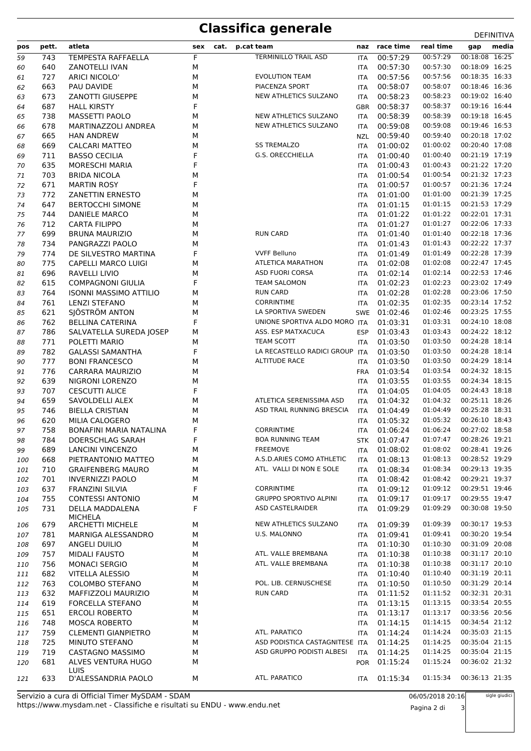| pos | pett. | atleta                        | sex | cat. | p.cat team                     | naz        | race time    | real time | media<br>gap            |
|-----|-------|-------------------------------|-----|------|--------------------------------|------------|--------------|-----------|-------------------------|
| 59  | 743   | <b>TEMPESTA RAFFAELLA</b>     | F   |      | <b>TERMINILLO TRAIL ASD</b>    | <b>ITA</b> | 00:57:29     | 00:57:29  | 00:18:08 16:25          |
| 60  | 640   | <b>ZANOTELLI IVAN</b>         | M   |      |                                | <b>ITA</b> | 00:57:30     | 00:57:30  | 00:18:09 16:25          |
| 61  | 727   | <b>ARICI NICOLO'</b>          | М   |      | <b>EVOLUTION TEAM</b>          | <b>ITA</b> | 00:57:56     | 00:57:56  | 00:18:35 16:33          |
| 62  | 663   | PAU DAVIDE                    | М   |      | PIACENZA SPORT                 | <b>ITA</b> | 00:58:07     | 00:58:07  | 00:18:46 16:36          |
| 63  | 673   | <b>ZANOTTI GIUSEPPE</b>       | М   |      | NEW ATHLETICS SULZANO          | <b>ITA</b> | 00:58:23     | 00:58:23  | 00:19:02 16:40          |
| 64  | 687   | <b>HALL KIRSTY</b>            | F   |      |                                | <b>GBR</b> | 00:58:37     | 00:58:37  | 00:19:16 16:44          |
| 65  | 738   | <b>MASSETTI PAOLO</b>         | M   |      | NEW ATHLETICS SULZANO          | <b>ITA</b> | 00:58:39     | 00:58:39  | 00:19:18 16:45          |
| 66  | 678   | MARTINAZZOLI ANDREA           | М   |      | NEW ATHLETICS SULZANO          | <b>ITA</b> | 00:59:08     | 00:59:08  | 00:19:46 16:53          |
| 67  | 665   | <b>HAN ANDREW</b>             | М   |      |                                | <b>NZL</b> | 00:59:40     | 00:59:40  | 00:20:18 17:02          |
| 68  | 669   | <b>CALCARI MATTEO</b>         | М   |      | <b>SS TREMALZO</b>             | <b>ITA</b> | 01:00:02     | 01:00:02  | 00:20:40 17:08          |
| 69  | 711   | <b>BASSO CECILIA</b>          | F   |      | G.S. ORECCHIELLA               | <b>ITA</b> | 01:00:40     | 01:00:40  | 00:21:19 17:19          |
| 70  | 635   | <b>MORESCHI MARIA</b>         | F   |      |                                | <b>ITA</b> | 01:00:43     | 01:00:43  | 00:21:22 17:20          |
| 71  | 703   | <b>BRIDA NICOLA</b>           | М   |      |                                | <b>ITA</b> | 01:00:54     | 01:00:54  | 00:21:32 17:23          |
| 72  | 671   | <b>MARTIN ROSY</b>            | F   |      |                                | <b>ITA</b> | 01:00:57     | 01:00:57  | 00:21:36 17:24          |
| 73  | 772   | <b>ZANETTIN ERNESTO</b>       | М   |      |                                | <b>ITA</b> | 01:01:00     | 01:01:00  | 00:21:39 17:25          |
| 74  | 647   | <b>BERTOCCHI SIMONE</b>       | М   |      |                                | <b>ITA</b> | 01:01:15     | 01:01:15  | 00:21:53 17:29          |
| 75  | 744   | DANIELE MARCO                 | М   |      |                                | <b>ITA</b> | 01:01:22     | 01:01:22  | 00:22:01 17:31          |
| 76  | 712   | <b>CARTA FILIPPO</b>          | М   |      |                                | <b>ITA</b> | 01:01:27     | 01:01:27  | 00:22:06 17:33          |
| 77  | 699   | <b>BRUNA MAURIZIO</b>         | М   |      | <b>RUN CARD</b>                | <b>ITA</b> | 01:01:40     | 01:01:40  | 00:22:18 17:36          |
| 78  | 734   | PANGRAZZI PAOLO               | М   |      |                                | <b>ITA</b> | 01:01:43     | 01:01:43  | 00:22:22 17:37          |
| 79  | 774   | DE SILVESTRO MARTINA          | F   |      | <b>VVFF Belluno</b>            | <b>ITA</b> | 01:01:49     | 01:01:49  | 00:22:28 17:39          |
| 80  | 775   | <b>CAPELLI MARCO LUIGI</b>    | М   |      | <b>ATLETICA MARATHON</b>       | <b>ITA</b> | 01:02:08     | 01:02:08  | 00:22:47 17:45          |
| 81  | 696   | <b>RAVELLI LIVIO</b>          | М   |      | <b>ASD FUORI CORSA</b>         | <b>ITA</b> | 01:02:14     | 01:02:14  | 00:22:53 17:46          |
| 82  | 615   | <b>COMPAGNONI GIULIA</b>      | F   |      | <b>TEAM SALOMON</b>            | <b>ITA</b> | 01:02:23     | 01:02:23  | 00:23:02 17:49          |
| 83  | 764   | <b>ISONNI MASSIMO ATTILIO</b> | М   |      | <b>RUN CARD</b>                | <b>ITA</b> | 01:02:28     | 01:02:28  | 00:23:06 17:50          |
| 84  | 761   | <b>LENZI STEFANO</b>          | M   |      | <b>CORRINTIME</b>              | <b>ITA</b> | 01:02:35     | 01:02:35  | 00:23:14 17:52          |
| 85  | 621   | SJÖSTRÖM ANTON                | M   |      | LA SPORTIVA SWEDEN             | <b>SWE</b> | 01:02:46     | 01:02:46  | 00:23:25 17:55          |
| 86  | 762   | <b>BELLINA CATERINA</b>       | F   |      | UNIONE SPORTIVA ALDO MORO ITA  |            | 01:03:31     | 01:03:31  | 00:24:10 18:08          |
| 87  | 786   | SALVATELLA SUREDA JOSEP       | М   |      | ASS. ESP MATXACUCA             | <b>ESP</b> | 01:03:43     | 01:03:43  | 00:24:22 18:12          |
| 88  | 771   | POLETTI MARIO                 | М   |      | TEAM SCOTT                     | <b>ITA</b> | 01:03:50     | 01:03:50  | 00:24:28 18:14          |
| 89  | 782   | <b>GALASSI SAMANTHA</b>       | F   |      | LA RECASTELLO RADICI GROUP ITA |            | 01:03:50     | 01:03:50  | 00:24:28 18:14          |
| 90  | 777   | <b>BONI FRANCESCO</b>         | М   |      | <b>ALTITUDE RACE</b>           | ITA        | 01:03:50     | 01:03:50  | 00:24:29 18:14          |
| 91  | 776   | CARRARA MAURIZIO              | М   |      |                                | <b>FRA</b> | 01:03:54     | 01:03:54  | 00:24:32 18:15          |
| 92  | 639   | NIGRONI LORENZO               | М   |      |                                | ITA        | 01:03:55     | 01:03:55  | 00:24:34 18:15          |
| 93  | 707   | <b>CESCUTTI ALICE</b>         | F   |      |                                | <b>ITA</b> | 01:04:05     | 01:04:05  | 00:24:43 18:18          |
| 94  | 659   | SAVOLDELLI ALEX               | М   |      | ATLETICA SERENISSIMA ASD       | <b>ITA</b> | 01:04:32     | 01:04:32  | 00:25:11 18:26          |
| 95  | 746   | <b>BIELLA CRISTIAN</b>        | M   |      | ASD TRAIL RUNNING BRESCIA      | <b>ITA</b> | 01:04:49     | 01:04:49  | 00:25:28 18:31          |
| 96  | 620   | MILIA CALOGERO                | М   |      |                                | <b>ITA</b> | 01:05:32     | 01:05:32  | 00:26:10 18:43          |
| 97  | 758   | BONAFINI MARIA NATALINA       | F   |      | <b>CORRINTIME</b>              | <b>ITA</b> | 01:06:24     | 01:06:24  | 00:27:02 18:58          |
| 98  | 784   | DOERSCHLAG SARAH              | F   |      | <b>BOA RUNNING TEAM</b>        |            | STK 01:07:47 |           | 01:07:47 00:28:26 19:21 |
| 99  | 689   | <b>LANCINI VINCENZO</b>       | М   |      | <b>FREEMOVE</b>                | ITA        | 01:08:02     | 01:08:02  | 00:28:41 19:26          |
| 100 | 668   | PIETRANTONIO MATTEO           | М   |      | A.S.D.ARIES COMO ATHLETIC      | ITA        | 01:08:13     | 01:08:13  | 00:28:52 19:29          |
| 101 | 710   | <b>GRAIFENBERG MAURO</b>      | М   |      | ATL. VALLI DI NON E SOLE       | <b>ITA</b> | 01:08:34     | 01:08:34  | 00:29:13 19:35          |
| 102 | 701   | <b>INVERNIZZI PAOLO</b>       | М   |      |                                | ITA        | 01:08:42     | 01:08:42  | 00:29:21 19:37          |
| 103 | 637   | <b>FRANZINI SILVIA</b>        | F   |      | <b>CORRINTIME</b>              | <b>ITA</b> | 01:09:12     | 01:09:12  | 00:29:51 19:46          |
| 104 | 755   | <b>CONTESSI ANTONIO</b>       | М   |      | <b>GRUPPO SPORTIVO ALPINI</b>  | ITA        | 01:09:17     | 01:09:17  | 00:29:55 19:47          |
| 105 | 731   | DELLA MADDALENA               | F   |      | ASD CASTELRAIDER               | ITA        | 01:09:29     | 01:09:29  | 00:30:08 19:50          |
| 106 | 679   | MICHELA<br>ARCHETTI MICHELE   | М   |      | NEW ATHLETICS SULZANO          | ITA        | 01:09:39     | 01:09:39  | 00:30:17 19:53          |
| 107 | 781   | MARNIGA ALESSANDRO            | М   |      | U.S. MALONNO                   | <b>ITA</b> | 01:09:41     | 01:09:41  | 00:30:20 19:54          |
| 108 | 697   | ANGELI DUILIO                 | М   |      |                                | ITA        | 01:10:30     | 01:10:30  | 00:31:09 20:08          |
| 109 | 757   | <b>MIDALI FAUSTO</b>          | М   |      | ATL. VALLE BREMBANA            | ITA        | 01:10:38     | 01:10:38  | 00:31:17 20:10          |
| 110 | 756   | <b>MONACI SERGIO</b>          | М   |      | ATL. VALLE BREMBANA            | <b>ITA</b> | 01:10:38     | 01:10:38  | 00:31:17 20:10          |
| 111 | 682   | <b>VITELLA ALESSIO</b>        | М   |      |                                | <b>ITA</b> | 01:10:40     | 01:10:40  | 00:31:19 20:11          |
| 112 | 763   | <b>COLOMBO STEFANO</b>        | М   |      | POL. LIB. CERNUSCHESE          | ITA        | 01:10:50     | 01:10:50  | 00:31:29 20:14          |
| 113 | 632   | MAFFIZZOLI MAURIZIO           | М   |      | <b>RUN CARD</b>                | <b>ITA</b> | 01:11:52     | 01:11:52  | 00:32:31 20:31          |
| 114 | 619   | FORCELLA STEFANO              | М   |      |                                | <b>ITA</b> | 01:13:15     | 01:13:15  | 00:33:54 20:55          |
| 115 | 651   | <b>ERCOLI ROBERTO</b>         | М   |      |                                | ITA        | 01:13:17     | 01:13:17  | 00:33:56 20:56          |
| 116 | 748   | <b>MOSCA ROBERTO</b>          | М   |      |                                | <b>ITA</b> | 01:14:15     | 01:14:15  | 00:34:54 21:12          |
| 117 | 759   | <b>CLEMENTI GIANPIETRO</b>    | М   |      | ATL. PARATICO                  | <b>ITA</b> | 01:14:24     | 01:14:24  | 00:35:03 21:15          |
| 118 | 725   | MINUTO STEFANO                | М   |      | ASD PODISTICA CASTAGNITESE ITA |            | 01:14:25     | 01:14:25  | 00:35:04 21:15          |
| 119 | 719   | CASTAGNO MASSIMO              | М   |      | ASD GRUPPO PODISTI ALBESI      | <b>ITA</b> | 01:14:25     | 01:14:25  | 00:35:04 21:15          |
| 120 | 681   | ALVES VENTURA HUGO            | м   |      |                                | <b>POR</b> | 01:15:24     | 01:15:24  | 00:36:02 21:32          |
|     |       | <b>LUIS</b>                   |     |      |                                |            |              |           |                         |
| 121 | 633   | D'ALESSANDRIA PAOLO           | м   |      | ATL. PARATICO                  | <b>ITA</b> | 01:15:34     | 01:15:34  | 00:36:13 21:35          |